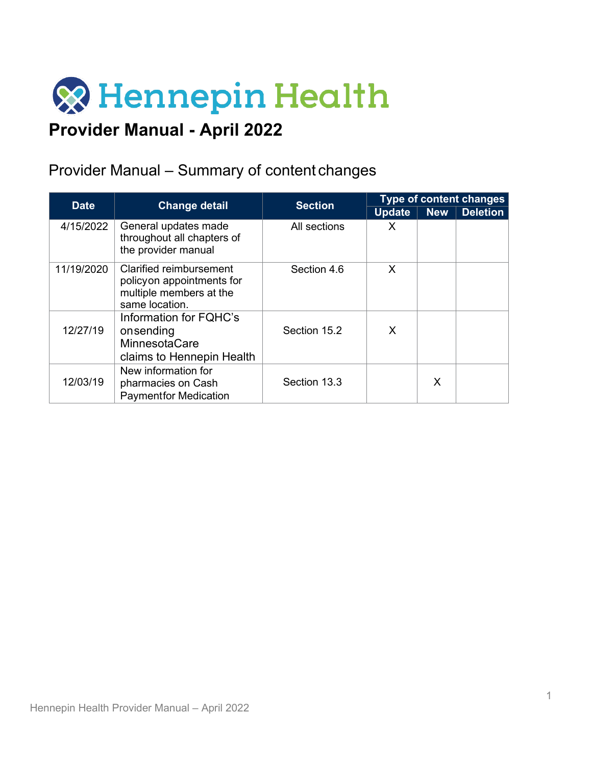

# **Provider Manual - April 2022**

# Provider Manual – Summary of content changes

| <b>Date</b> | <b>Change detail</b>                                                                                     | <b>Section</b> | Type of content changes |            |                 |  |
|-------------|----------------------------------------------------------------------------------------------------------|----------------|-------------------------|------------|-----------------|--|
|             |                                                                                                          |                | <b>Update</b>           | <b>New</b> | <b>Deletion</b> |  |
| 4/15/2022   | General updates made<br>throughout all chapters of<br>the provider manual                                | All sections   | X                       |            |                 |  |
| 11/19/2020  | <b>Clarified reimbursement</b><br>policyon appointments for<br>multiple members at the<br>same location. | Section 4.6    | X                       |            |                 |  |
| 12/27/19    | Information for FQHC's<br>onsending<br><b>MinnesotaCare</b><br>claims to Hennepin Health                 | Section 15.2   | X                       |            |                 |  |
| 12/03/19    | New information for<br>pharmacies on Cash<br><b>Paymentfor Medication</b>                                | Section 13.3   |                         | X          |                 |  |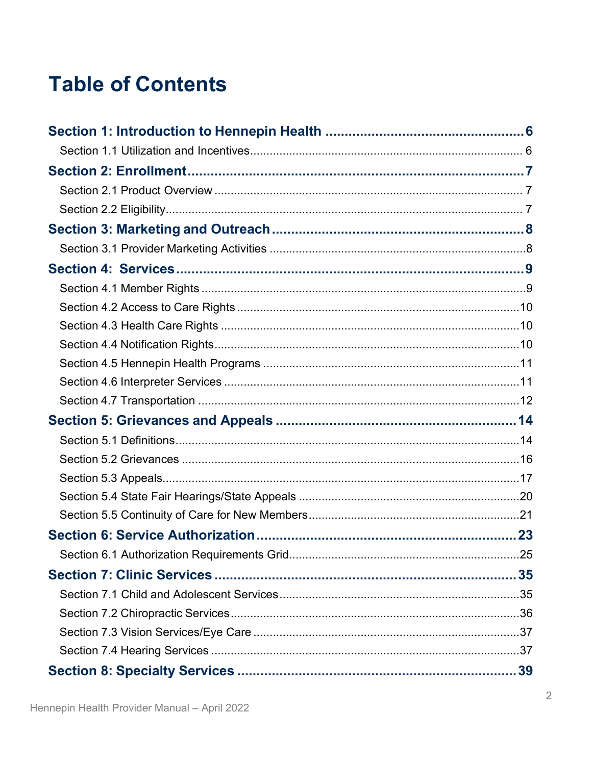# **Table of Contents**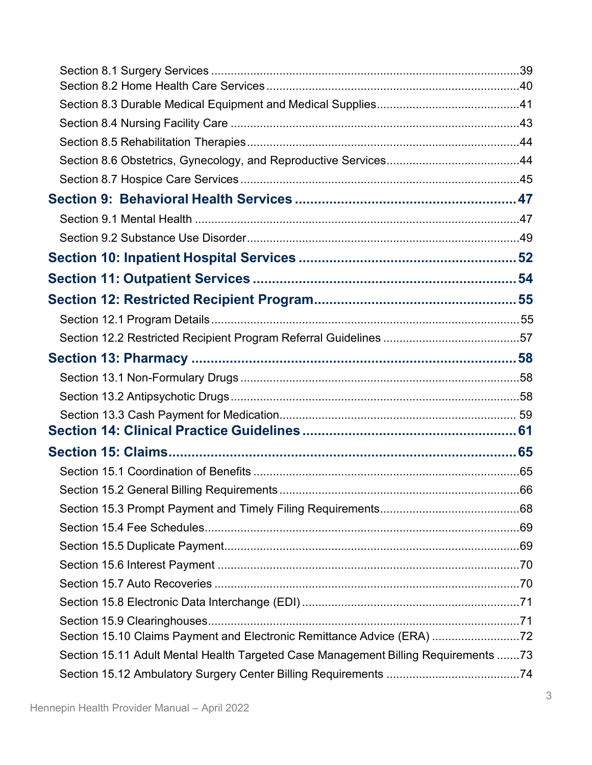| Section 15.10 Claims Payment and Electronic Remittance Advice (ERA) 72             |  |
|------------------------------------------------------------------------------------|--|
| Section 15.11 Adult Mental Health Targeted Case Management Billing Requirements 73 |  |
|                                                                                    |  |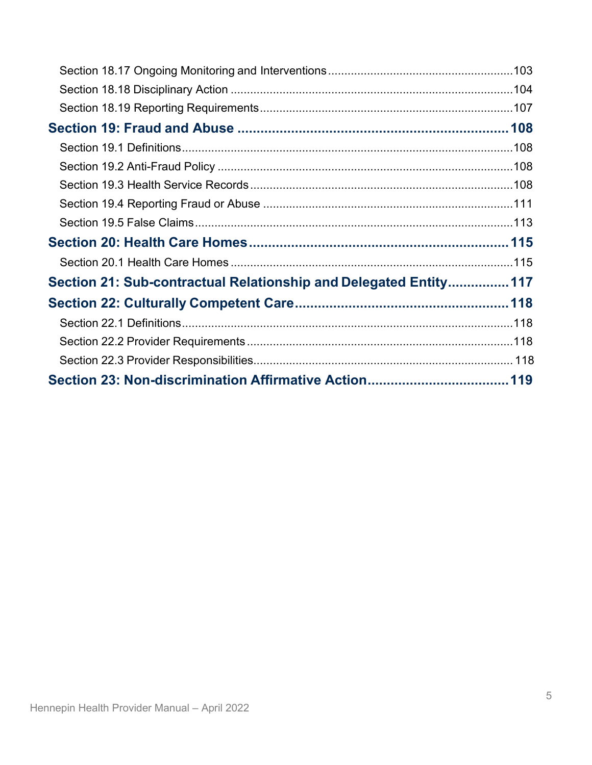| Section 21: Sub-contractual Relationship and Delegated Entity 117 |  |
|-------------------------------------------------------------------|--|
|                                                                   |  |
|                                                                   |  |
|                                                                   |  |
|                                                                   |  |
|                                                                   |  |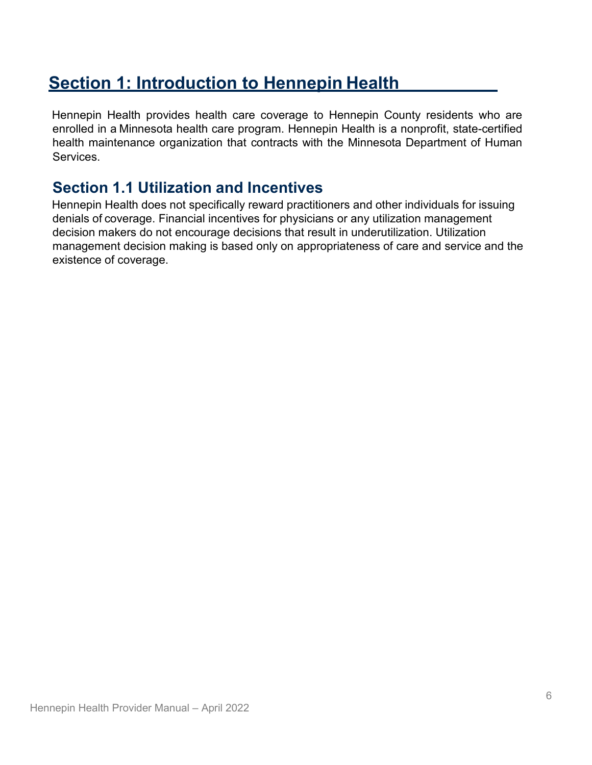# <span id="page-5-0"></span>**Section 1: Introduction to Hennepin Health**

Hennepin Health provides health care coverage to Hennepin County residents who are enrolled in a Minnesota health care program. Hennepin Health is a nonprofit, state-certified health maintenance organization that contracts with the Minnesota Department of Human Services.

## <span id="page-5-1"></span>**Section 1.1 Utilization and Incentives**

Hennepin Health does not specifically reward practitioners and other individuals for issuing denials of coverage. Financial incentives for physicians or any utilization management decision makers do not encourage decisions that result in underutilization. Utilization management decision making is based only on appropriateness of care and service and the existence of coverage.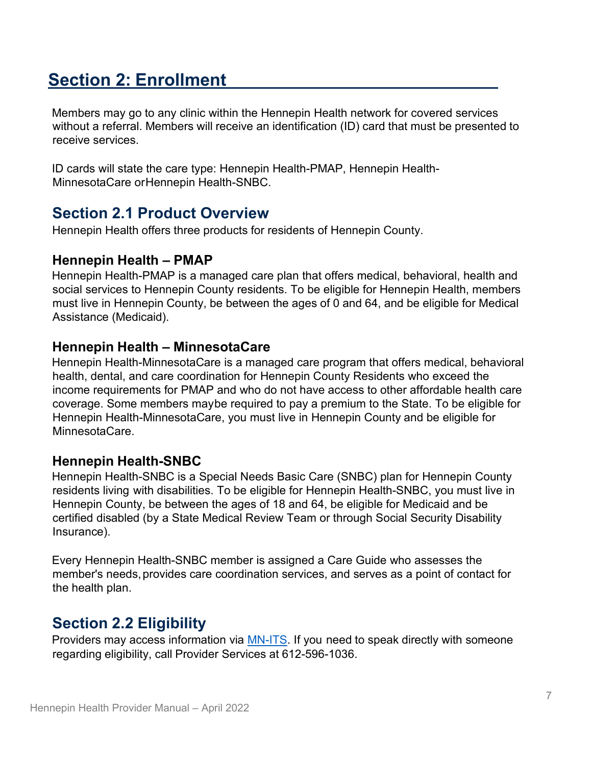# <span id="page-6-0"></span>**Section 2: Enrollment**

Members may go to any clinic within the Hennepin Health network for covered services without a referral. Members will receive an identification (ID) card that must be presented to receive services.

ID cards will state the care type: Hennepin Health-PMAP, Hennepin Health-MinnesotaCare orHennepin Health-SNBC.

# <span id="page-6-1"></span>**Section 2.1 Product Overview**

Hennepin Health offers three products for residents of Hennepin County.

## **Hennepin Health – PMAP**

Hennepin Health-PMAP is a managed care plan that offers medical, behavioral, health and social services to Hennepin County residents. To be eligible for Hennepin Health, members must live in Hennepin County, be between the ages of 0 and 64, and be eligible for Medical Assistance (Medicaid).

## **Hennepin Health – MinnesotaCare**

Hennepin Health-MinnesotaCare is a managed care program that offers medical, behavioral health, dental, and care coordination for Hennepin County Residents who exceed the income requirements for PMAP and who do not have access to other affordable health care coverage. Some members maybe required to pay a premium to the State. To be eligible for Hennepin Health-MinnesotaCare, you must live in Hennepin County and be eligible for MinnesotaCare.

### **Hennepin Health-SNBC**

Hennepin Health-SNBC is a Special Needs Basic Care (SNBC) plan for Hennepin County residents living with disabilities. To be eligible for Hennepin Health-SNBC, you must live in Hennepin County, be between the ages of 18 and 64, be eligible for Medicaid and be certified disabled (by a State Medical Review Team or through Social Security Disability Insurance).

Every Hennepin Health-SNBC member is assigned a Care Guide who assesses the member's needs, provides care coordination services, and serves as a point of contact for the health plan.

# <span id="page-6-2"></span>**Section 2.2 Eligibility**

Providers may access information via **MN-ITS**. If you need to speak directly with someone regarding eligibility, call Provider Services at 612-596-1036.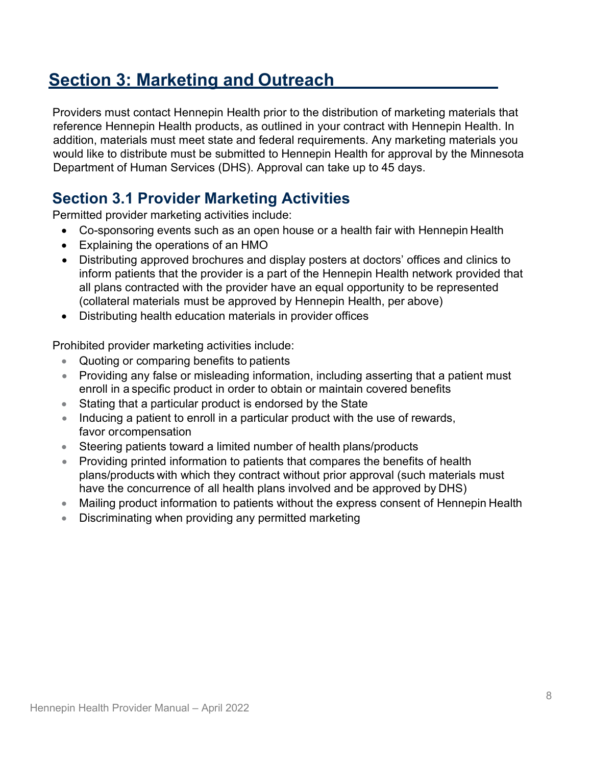# <span id="page-7-0"></span>**Section 3: Marketing and Outreach**

Providers must contact Hennepin Health prior to the distribution of marketing materials that reference Hennepin Health products, as outlined in your contract with Hennepin Health. In addition, materials must meet state and federal requirements. Any marketing materials you would like to distribute must be submitted to Hennepin Health for approval by the Minnesota Department of Human Services (DHS). Approval can take up to 45 days.

# <span id="page-7-1"></span>**Section 3.1 Provider Marketing Activities**

Permitted provider marketing activities include:

- Co-sponsoring events such as an open house or a health fair with Hennepin Health
- Explaining the operations of an HMO
- Distributing approved brochures and display posters at doctors' offices and clinics to inform patients that the provider is a part of the Hennepin Health network provided that all plans contracted with the provider have an equal opportunity to be represented (collateral materials must be approved by Hennepin Health, per above)
- Distributing health education materials in provider offices

Prohibited provider marketing activities include:

- Quoting or comparing benefits to patients
- Providing any false or misleading information, including asserting that a patient must enroll in a specific product in order to obtain or maintain covered benefits
- Stating that a particular product is endorsed by the State
- Inducing a patient to enroll in a particular product with the use of rewards, favor orcompensation
- Steering patients toward a limited number of health plans/products
- Providing printed information to patients that compares the benefits of health plans/products with which they contract without prior approval (such materials must have the concurrence of all health plans involved and be approved by DHS)
- Mailing product information to patients without the express consent of Hennepin Health
- Discriminating when providing any permitted marketing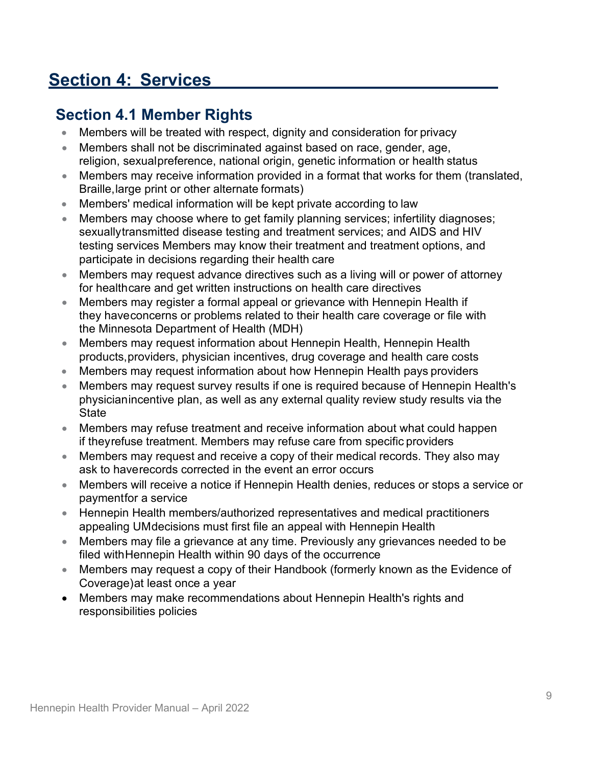# <span id="page-8-0"></span>**Section 4: Services**

# <span id="page-8-1"></span>**Section 4.1 Member Rights**

- Members will be treated with respect, dignity and consideration for privacy
- Members shall not be discriminated against based on race, gender, age, religion, sexualpreference, national origin, genetic information or health status
- Members may receive information provided in a format that works for them (translated, Braille,large print or other alternate formats)
- Members' medical information will be kept private according to law
- Members may choose where to get family planning services; infertility diagnoses; sexuallytransmitted disease testing and treatment services; and AIDS and HIV testing services Members may know their treatment and treatment options, and participate in decisions regarding their health care
- Members may request advance directives such as a living will or power of attorney for healthcare and get written instructions on health care directives
- Members may register a formal appeal or grievance with Hennepin Health if they haveconcerns or problems related to their health care coverage or file with the Minnesota Department of Health (MDH)
- Members may request information about Hennepin Health, Hennepin Health products,providers, physician incentives, drug coverage and health care costs
- Members may request information about how Hennepin Health pays providers
- Members may request survey results if one is required because of Hennepin Health's physician incentive plan, as well as any external quality review study results via the **State**
- Members may refuse treatment and receive information about what could happen if theyrefuse treatment. Members may refuse care from specific providers
- Members may request and receive a copy of their medical records. They also may ask to haverecords corrected in the event an error occurs
- Members will receive a notice if Hennepin Health denies, reduces or stops a service or paymentfor a service
- Hennepin Health members/authorized representatives and medical practitioners appealing UMdecisions must first file an appeal with Hennepin Health
- Members may file a grievance at any time. Previously any grievances needed to be filed withHennepin Health within 90 days of the occurrence
- Members may request a copy of their Handbook (formerly known as the Evidence of Coverage)at least once a year
- Members may make recommendations about Hennepin Health's rights and responsibilities policies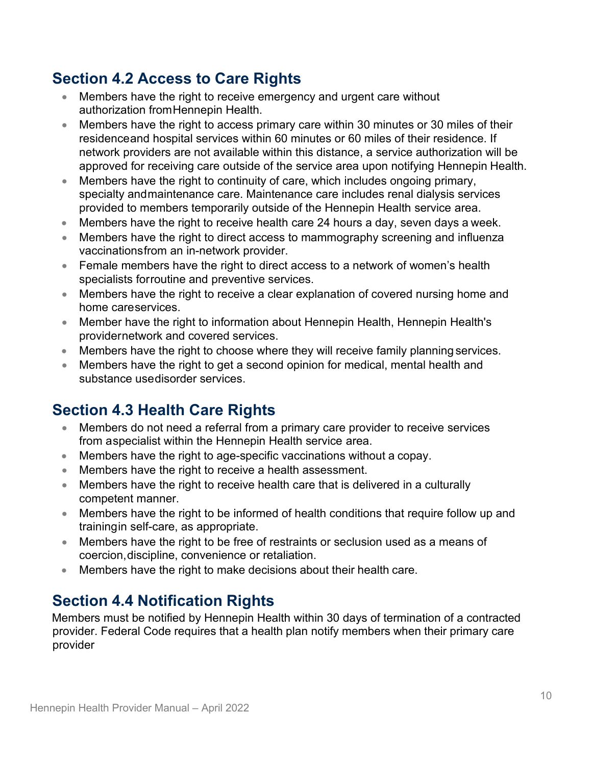# <span id="page-9-0"></span>**Section 4.2 Access to Care Rights**

- Members have the right to receive emergency and urgent care without authorization fromHennepin Health.
- Members have the right to access primary care within 30 minutes or 30 miles of their residenceand hospital services within 60 minutes or 60 miles of their residence. If network providers are not available within this distance, a service authorization will be approved for receiving care outside of the service area upon notifying Hennepin Health.
- Members have the right to continuity of care, which includes ongoing primary, specialty andmaintenance care. Maintenance care includes renal dialysis services provided to members temporarily outside of the Hennepin Health service area.
- Members have the right to receive health care 24 hours a day, seven days a week.
- Members have the right to direct access to mammography screening and influenza vaccinationsfrom an in-network provider.
- Female members have the right to direct access to a network of women's health specialists forroutine and preventive services.
- Members have the right to receive a clear explanation of covered nursing home and home careservices.
- Member have the right to information about Hennepin Health, Hennepin Health's providernetwork and covered services.
- Members have the right to choose where they will receive family planning services.
- Members have the right to get a second opinion for medical, mental health and substance usedisorder services.

# <span id="page-9-1"></span>**Section 4.3 Health Care Rights**

- Members do not need a referral from a primary care provider to receive services from aspecialist within the Hennepin Health service area.
- Members have the right to age-specific vaccinations without a copay.
- Members have the right to receive a health assessment.
- Members have the right to receive health care that is delivered in a culturally competent manner.
- Members have the right to be informed of health conditions that require follow up and trainingin self-care, as appropriate.
- Members have the right to be free of restraints or seclusion used as a means of coercion,discipline, convenience or retaliation.
- Members have the right to make decisions about their health care.

# <span id="page-9-2"></span>**Section 4.4 Notification Rights**

Members must be notified by Hennepin Health within 30 days of termination of a contracted provider. Federal Code requires that a health plan notify members when their primary care provider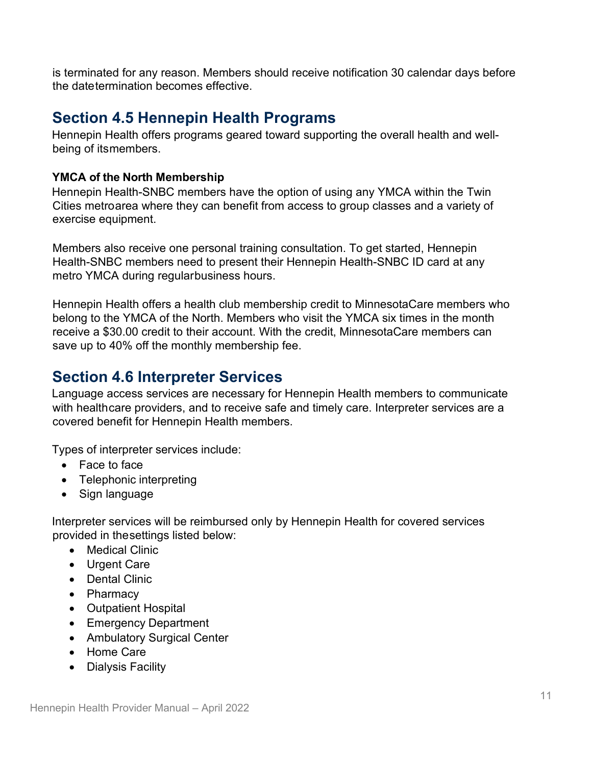is terminated for any reason. Members should receive notification 30 calendar days before the datetermination becomes effective.

## <span id="page-10-0"></span>**Section 4.5 Hennepin Health Programs**

Hennepin Health offers programs geared toward supporting the overall health and wellbeing of itsmembers.

#### **YMCA of the North Membership**

Hennepin Health-SNBC members have the option of using any YMCA within the Twin Cities metroarea where they can benefit from access to group classes and a variety of exercise equipment.

Members also receive one personal training consultation. To get started, Hennepin Health-SNBC members need to present their Hennepin Health-SNBC ID card at any metro YMCA during regularbusiness hours.

Hennepin Health offers a health club membership credit to MinnesotaCare members who belong to the YMCA of the North. Members who visit the YMCA six times in the month receive a \$30.00 credit to their account. With the credit, MinnesotaCare members can save up to 40% off the monthly membership fee.

## <span id="page-10-1"></span>**Section 4.6 Interpreter Services**

Language access services are necessary for Hennepin Health members to communicate with healthcare providers, and to receive safe and timely care. Interpreter services are a covered benefit for Hennepin Health members.

Types of interpreter services include:

- Face to face
- Telephonic interpreting
- Sign language

Interpreter services will be reimbursed only by Hennepin Health for covered services provided in thesettings listed below:

- Medical Clinic
- Urgent Care
- Dental Clinic
- Pharmacy
- Outpatient Hospital
- Emergency Department
- Ambulatory Surgical Center
- Home Care
- Dialysis Facility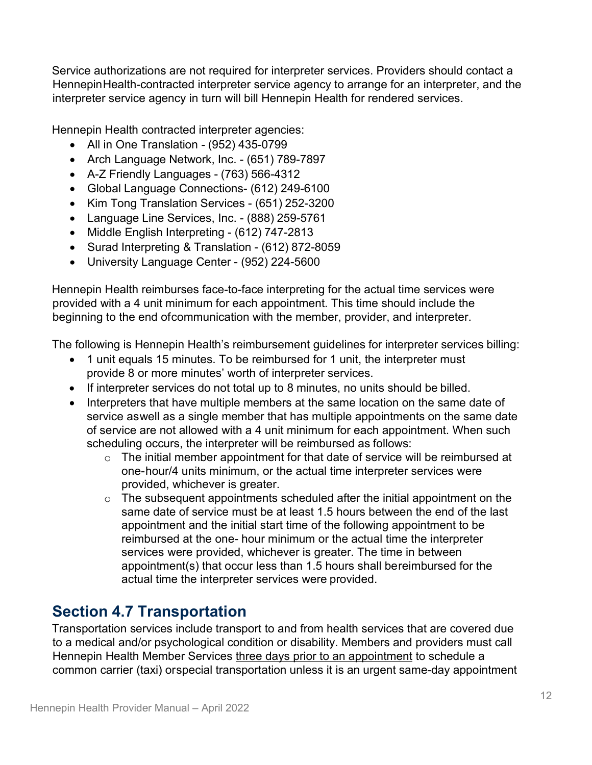Service authorizations are not required for interpreter services. Providers should contact a HennepinHealth-contracted interpreter service agency to arrange for an interpreter, and the interpreter service agency in turn will bill Hennepin Health for rendered services.

Hennepin Health contracted interpreter agencies:

- All in One Translation (952) 435-0799
- Arch Language Network, Inc. (651) 789-7897
- A-Z Friendly Languages (763) 566-4312
- Global Language Connections- (612) 249-6100
- Kim Tong Translation Services (651) 252-3200
- Language Line Services, Inc. (888) 259-5761
- Middle English Interpreting (612) 747-2813
- Surad Interpreting & Translation (612) 872-8059
- University Language Center (952) 224-5600

Hennepin Health reimburses face-to-face interpreting for the actual time services were provided with a 4 unit minimum for each appointment. This time should include the beginning to the end ofcommunication with the member, provider, and interpreter.

The following is Hennepin Health's reimbursement guidelines for interpreter services billing:

- 1 unit equals 15 minutes. To be reimbursed for 1 unit, the interpreter must provide 8 or more minutes' worth of interpreter services.
- If interpreter services do not total up to 8 minutes, no units should be billed.
- Interpreters that have multiple members at the same location on the same date of service aswell as a single member that has multiple appointments on the same date of service are not allowed with a 4 unit minimum for each appointment. When such scheduling occurs, the interpreter will be reimbursed as follows:
	- $\circ$  The initial member appointment for that date of service will be reimbursed at one- hour/4 units minimum, or the actual time interpreter services were provided, whichever is greater.
	- $\circ$  The subsequent appointments scheduled after the initial appointment on the same date of service must be at least 1.5 hours between the end of the last appointment and the initial start time of the following appointment to be reimbursed at the one- hour minimum or the actual time the interpreter services were provided, whichever is greater. The time in between appointment(s) that occur less than 1.5 hours shall bereimbursed for the actual time the interpreter services were provided.

# <span id="page-11-0"></span>**Section 4.7 Transportation**

Transportation services include transport to and from health services that are covered due to a medical and/or psychological condition or disability. Members and providers must call Hennepin Health Member Services three days prior to an appointment to schedule a common carrier (taxi) orspecial transportation unless it is an urgent same-day appointment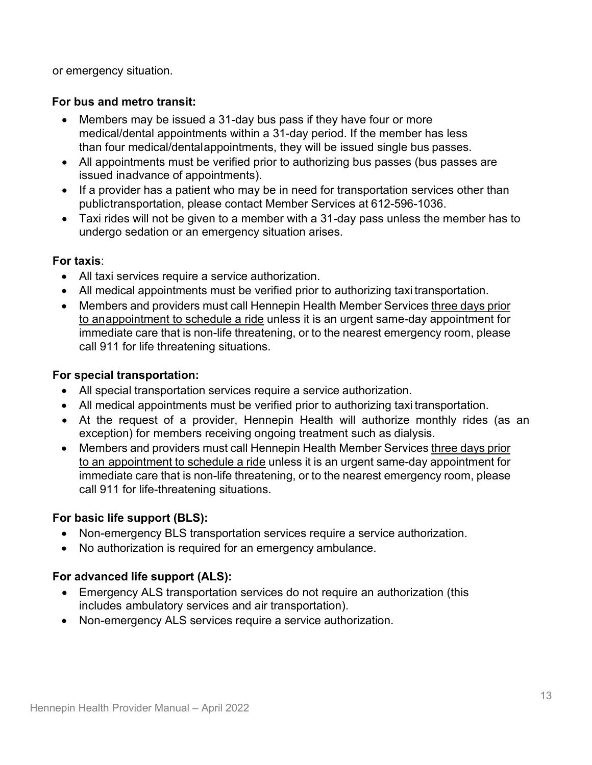or emergency situation.

#### **For bus and metro transit:**

- Members may be issued a 31-day bus pass if they have four or more medical/dental appointments within a 31-day period. If the member has less than four medical/dentalappointments, they will be issued single bus passes.
- All appointments must be verified prior to authorizing bus passes (bus passes are issued inadvance of appointments).
- If a provider has a patient who may be in need for transportation services other than publictransportation, please contact Member Services at 612-596-1036.
- Taxi rides will not be given to a member with a 31-day pass unless the member has to undergo sedation or an emergency situation arises.

#### **For taxis**:

- All taxi services require a service authorization.
- All medical appointments must be verified prior to authorizing taxi transportation.
- Members and providers must call Hennepin Health Member Services three days prior to anappointment to schedule a ride unless it is an urgent same-day appointment for immediate care that is non-life threatening, or to the nearest emergency room, please call 911 for life threatening situations.

#### **For special transportation:**

- All special transportation services require a service authorization.
- All medical appointments must be verified prior to authorizing taxi transportation.
- At the request of a provider, Hennepin Health will authorize monthly rides (as an exception) for members receiving ongoing treatment such as dialysis.
- Members and providers must call Hennepin Health Member Services three days prior to an appointment to schedule a ride unless it is an urgent same-day appointment for immediate care that is non-life threatening, or to the nearest emergency room, please call 911 for life-threatening situations.

#### **For basic life support (BLS):**

- Non-emergency BLS transportation services require a service authorization.
- No authorization is required for an emergency ambulance.

#### **For advanced life support (ALS):**

- Emergency ALS transportation services do not require an authorization (this includes ambulatory services and air transportation).
- Non-emergency ALS services require a service authorization.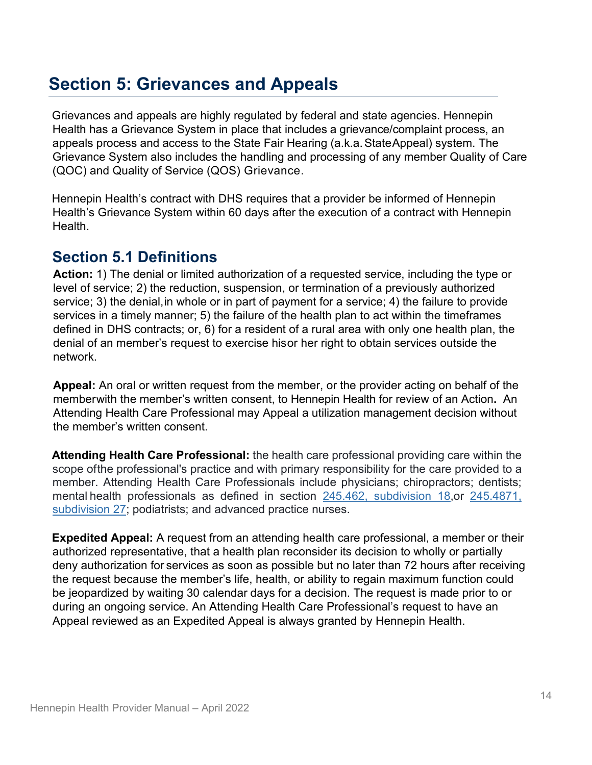# <span id="page-13-0"></span>**Section 5: Grievances and Appeals**

Grievances and appeals are highly regulated by federal and state agencies. Hennepin Health has a Grievance System in place that includes a grievance/complaint process, an appeals process and access to the State Fair Hearing (a.k.a.StateAppeal) system. The Grievance System also includes the handling and processing of any member Quality of Care (QOC) and Quality of Service (QOS) Grievance.

Hennepin Health's contract with DHS requires that a provider be informed of Hennepin Health's Grievance System within 60 days after the execution of a contract with Hennepin Health.

## <span id="page-13-1"></span>**Section 5.1 Definitions**

**Action:** 1) The denial or limited authorization of a requested service, including the type or level of service; 2) the reduction, suspension, or termination of a previously authorized service; 3) the denial,in whole or in part of payment for a service; 4) the failure to provide services in a timely manner; 5) the failure of the health plan to act within the timeframes defined in DHS contracts; or, 6) for a resident of a rural area with only one health plan, the denial of an member's request to exercise hisor her right to obtain services outside the network.

**Appeal:** An oral or written request from the member, or the provider acting on behalf of the memberwith the member's written consent, to Hennepin Health for review of an Action**.** An Attending Health Care Professional may Appeal a utilization management decision without the member's written consent.

**Attending Health Care Professional:** the health care professional providing care within the scope ofthe professional's practice and with primary responsibility for the care provided to a member. Attending Health Care Professionals include physicians; chiropractors; dentists; mental health professionals as defined in section [245.462, subdivision 18,](https://www.revisor.mn.gov/statutes/cite/245.462#stat.245.462.18)or [245.4871,](https://www.revisor.mn.gov/statutes/cite/245.4871#stat.245.4871.27)  [subdivision 27;](https://www.revisor.mn.gov/statutes/cite/245.4871#stat.245.4871.27) podiatrists; and advanced practice nurses.

**Expedited Appeal:** A request from an attending health care professional, a member or their authorized representative, that a health plan reconsider its decision to wholly or partially deny authorization for services as soon as possible but no later than 72 hours after receiving the request because the member's life, health, or ability to regain maximum function could be jeopardized by waiting 30 calendar days for a decision. The request is made prior to or during an ongoing service. An Attending Health Care Professional's request to have an Appeal reviewed as an Expedited Appeal is always granted by Hennepin Health.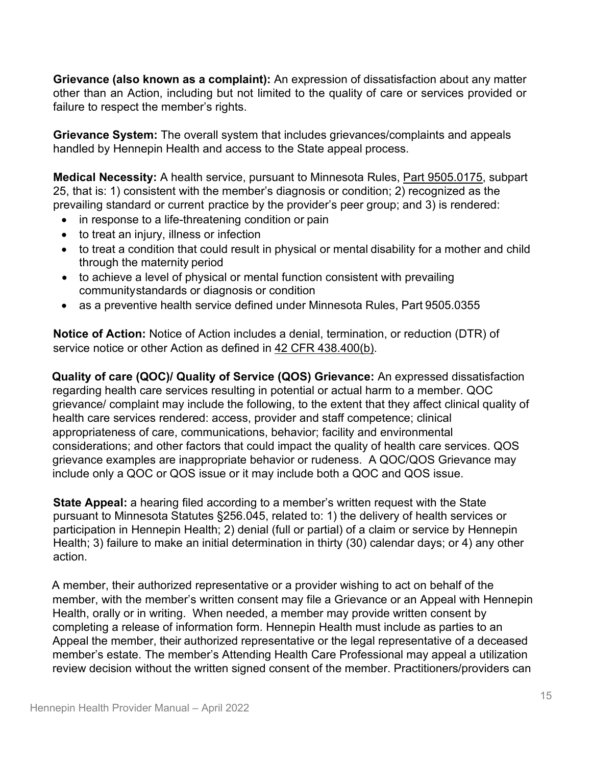**Grievance (also known as a complaint):** An expression of dissatisfaction about any matter other than an Action, including but not limited to the quality of care or services provided or failure to respect the member's rights.

**Grievance System:** The overall system that includes grievances/complaints and appeals handled by Hennepin Health and access to the State appeal process.

**Medical Necessity:** A health service, pursuant to Minnesota Rules, [Part 9505.0175,](https://www.revisor.mn.gov/rules/9505.0175/) subpart 25, that is: 1) consistent with the member's diagnosis or condition; 2) recognized as the prevailing standard or current practice by the provider's peer group; and 3) is rendered:

- in response to a life-threatening condition or pain
- to treat an injury, illness or infection
- to treat a condition that could result in physical or mental disability for a mother and child through the maternity period
- to achieve a level of physical or mental function consistent with prevailing communitystandards or diagnosis or condition
- as a preventive health service defined under Minnesota Rules, Part 9505.0355

**Notice of Action:** Notice of Action includes a denial, termination, or reduction (DTR) of service notice or other Action as defined in 42 [CFR 438.400\(b\).](https://www.gpo.gov/fdsys/granule/CFR-2011-title42-vol4/CFR-2011-title42-vol4-sec438-400)

**Quality of care (QOC)/ Quality of Service (QOS) Grievance:** An expressed dissatisfaction regarding health care services resulting in potential or actual harm to a member. QOC grievance/ complaint may include the following, to the extent that they affect clinical quality of health care services rendered: access, provider and staff competence; clinical appropriateness of care, communications, behavior; facility and environmental considerations; and other factors that could impact the quality of health care services. QOS grievance examples are inappropriate behavior or rudeness. A QOC/QOS Grievance may include only a QOC or QOS issue or it may include both a QOC and QOS issue.

**State Appeal:** a hearing filed according to a member's written request with the State pursuant to Minnesota Statutes §256.045, related to: 1) the delivery of health services or participation in Hennepin Health; 2) denial (full or partial) of a claim or service by Hennepin Health; 3) failure to make an initial determination in thirty (30) calendar days; or 4) any other action.

A member, their authorized representative or a provider wishing to act on behalf of the member, with the member's written consent may file a Grievance or an Appeal with Hennepin Health, orally or in writing. When needed, a member may provide written consent by completing a release of information form. Hennepin Health must include as parties to an Appeal the member, their authorized representative or the legal representative of a deceased member's estate. The member's Attending Health Care Professional may appeal a utilization review decision without the written signed consent of the member. Practitioners/providers can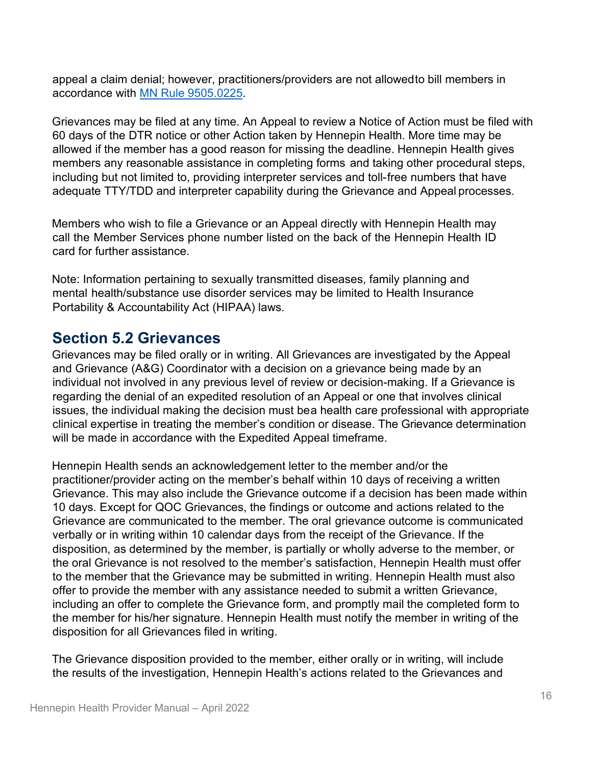appeal a claim denial; however, practitioners/providers are not allowedto bill members in accordance with MN Rule [9505.0225.](https://www.revisor.mn.gov/rules/9505.0225/)

Grievances may be filed at any time. An Appeal to review a Notice of Action must be filed with 60 days of the DTR notice or other Action taken by Hennepin Health. More time may be allowed if the member has a good reason for missing the deadline. Hennepin Health gives members any reasonable assistance in completing forms and taking other procedural steps, including but not limited to, providing interpreter services and toll- free numbers that have adequate TTY/TDD and interpreter capability during the Grievance and Appeal processes.

Members who wish to file a Grievance or an Appeal directly with Hennepin Health may call the Member Services phone number listed on the back of the Hennepin Health ID card for further assistance.

Note: Information pertaining to sexually transmitted diseases, family planning and mental health/substance use disorder services may be limited to Health Insurance Portability & Accountability Act (HIPAA) laws*.* 

## <span id="page-15-0"></span>**Section 5.2 Grievances**

Grievances may be filed orally or in writing. All Grievances are investigated by the Appeal and Grievance (A&G) Coordinator with a decision on a grievance being made by an individual not involved in any previous level of review or decision-making. If a Grievance is regarding the denial of an expedited resolution of an Appeal or one that involves clinical issues, the individual making the decision must bea health care professional with appropriate clinical expertise in treating the member's condition or disease. The Grievance determination will be made in accordance with the Expedited Appeal timeframe.

Hennepin Health sends an acknowledgement letter to the member and/or the practitioner/provider acting on the member's behalf within 10 days of receiving a written Grievance. This may also include the Grievance outcome if a decision has been made within 10 days. Except for QOC Grievances, the findings or outcome and actions related to the Grievance are communicated to the member. The oral grievance outcome is communicated verbally or in writing within 10 calendar days from the receipt of the Grievance. If the disposition, as determined by the member, is partially or wholly adverse to the member, or the oral Grievance is not resolved to the member's satisfaction, Hennepin Health must offer to the member that the Grievance may be submitted in writing. Hennepin Health must also offer to provide the member with any assistance needed to submit a written Grievance, including an offer to complete the Grievance form, and promptly mail the completed form to the member for his/her signature. Hennepin Health must notify the member in writing of the disposition for all Grievances filed in writing.

The Grievance disposition provided to the member, either orally or in writing, will include the results of the investigation, Hennepin Health's actions related to the Grievances and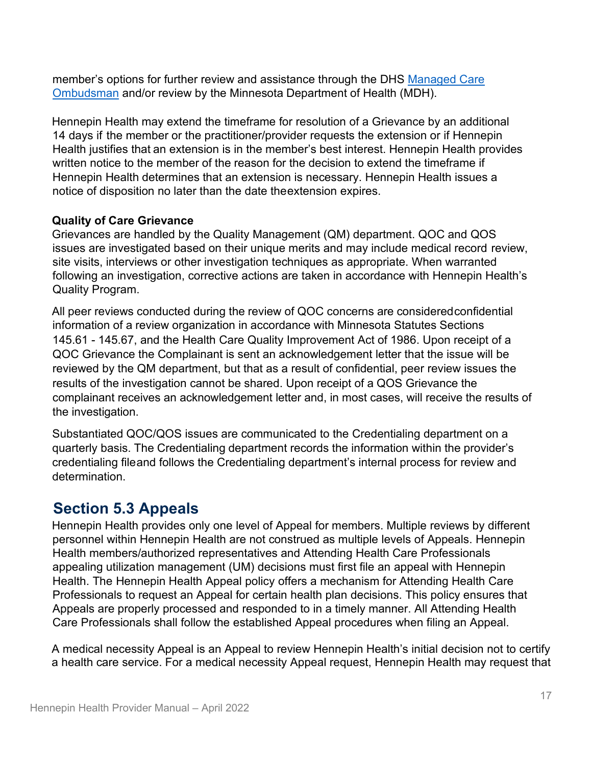member's options for further review and assistance through the DHS [Managed Care](https://mn.gov/dhs/people-we-serve/adults/health-care/health-care-programs/programs-and-services/ombudsman-for-managed-care.jsp) [Ombudsman](https://mn.gov/dhs/people-we-serve/adults/health-care/health-care-programs/programs-and-services/ombudsman-for-managed-care.jsp) and/or review by the Minnesota Department of Health (MDH).

Hennepin Health may extend the timeframe for resolution of a Grievance by an additional 14 days if the member or the practitioner/provider requests the extension or if Hennepin Health justifies that an extension is in the member's best interest. Hennepin Health provides written notice to the member of the reason for the decision to extend the timeframe if Hennepin Health determines that an extension is necessary. Hennepin Health issues a notice of disposition no later than the date theextension expires.

#### **Quality of Care Grievance**

Grievances are handled by the Quality Management (QM) department. QOC and QOS issues are investigated based on their unique merits and may include medical record review, site visits, interviews or other investigation techniques as appropriate. When warranted following an investigation, corrective actions are taken in accordance with Hennepin Health's Quality Program.

All peer reviews conducted during the review of QOC concerns are consideredconfidential information of a review organization in accordance with Minnesota Statutes Sections 145.61 - 145.67, and the Health Care Quality Improvement Act of 1986. Upon receipt of a QOC Grievance the Complainant is sent an acknowledgement letter that the issue will be reviewed by the QM department, but that as a result of confidential, peer review issues the results of the investigation cannot be shared. Upon receipt of a QOS Grievance the complainant receives an acknowledgement letter and, in most cases, will receive the results of the investigation.

Substantiated QOC/QOS issues are communicated to the Credentialing department on a quarterly basis. The Credentialing department records the information within the provider's credentialing fileand follows the Credentialing department's internal process for review and determination.

## <span id="page-16-0"></span>**Section 5.3 Appeals**

Hennepin Health provides only one level of Appeal for members. Multiple reviews by different personnel within Hennepin Health are not construed as multiple levels of Appeals. Hennepin Health members/authorized representatives and Attending Health Care Professionals appealing utilization management (UM) decisions must first file an appeal with Hennepin Health. The Hennepin Health Appeal policy offers a mechanism for Attending Health Care Professionals to request an Appeal for certain health plan decisions. This policy ensures that Appeals are properly processed and responded to in a timely manner. All Attending Health Care Professionals shall follow the established Appeal procedures when filing an Appeal.

A medical necessity Appeal is an Appeal to review Hennepin Health's initial decision not to certify a health care service. For a medical necessity Appeal request, Hennepin Health may request that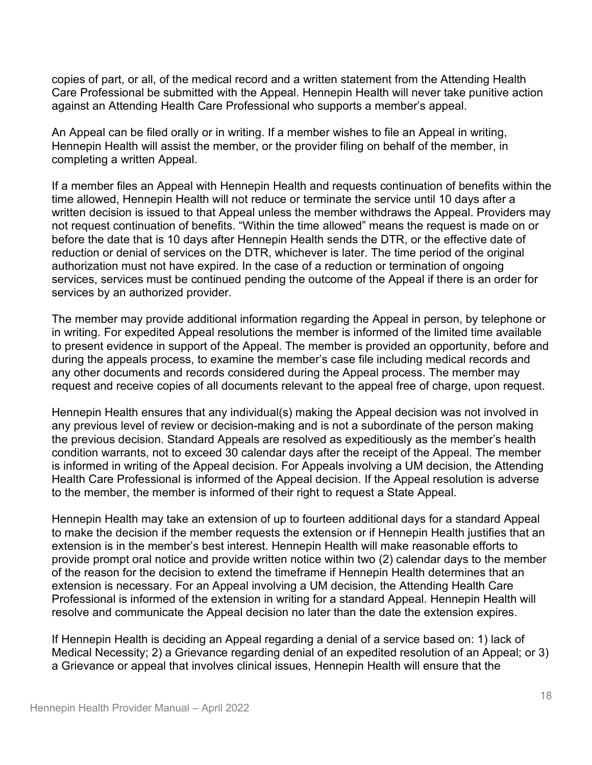copies of part, or all, of the medical record and a written statement from the Attending Health Care Professional be submitted with the Appeal. Hennepin Health will never take punitive action against an Attending Health Care Professional who supports a member's appeal.

An Appeal can be filed orally or in writing. If a member wishes to file an Appeal in writing, Hennepin Health will assist the member, or the provider filing on behalf of the member, in completing a written Appeal.

If a member files an Appeal with Hennepin Health and requests continuation of benefits within the time allowed, Hennepin Health will not reduce or terminate the service until 10 days after a written decision is issued to that Appeal unless the member withdraws the Appeal. Providers may not request continuation of benefits. "Within the time allowed" means the request is made on or before the date that is 10 days after Hennepin Health sends the DTR, or the effective date of reduction or denial of services on the DTR, whichever is later. The time period of the original authorization must not have expired. In the case of a reduction or termination of ongoing services, services must be continued pending the outcome of the Appeal if there is an order for services by an authorized provider.

The member may provide additional information regarding the Appeal in person, by telephone or in writing. For expedited Appeal resolutions the member is informed of the limited time available to present evidence in support of the Appeal. The member is provided an opportunity, before and during the appeals process, to examine the member's case file including medical records and any other documents and records considered during the Appeal process. The member may request and receive copies of all documents relevant to the appeal free of charge, upon request.

Hennepin Health ensures that any individual(s) making the Appeal decision was not involved in any previous level of review or decision-making and is not a subordinate of the person making the previous decision. Standard Appeals are resolved as expeditiously as the member's health condition warrants, not to exceed 30 calendar days after the receipt of the Appeal. The member is informed in writing of the Appeal decision. For Appeals involving a UM decision, the Attending Health Care Professional is informed of the Appeal decision. If the Appeal resolution is adverse to the member, the member is informed of their right to request a State Appeal.

Hennepin Health may take an extension of up to fourteen additional days for a standard Appeal to make the decision if the member requests the extension or if Hennepin Health justifies that an extension is in the member's best interest. Hennepin Health will make reasonable efforts to provide prompt oral notice and provide written notice within two (2) calendar days to the member of the reason for the decision to extend the timeframe if Hennepin Health determines that an extension is necessary. For an Appeal involving a UM decision, the Attending Health Care Professional is informed of the extension in writing for a standard Appeal. Hennepin Health will resolve and communicate the Appeal decision no later than the date the extension expires.

If Hennepin Health is deciding an Appeal regarding a denial of a service based on: 1) lack of Medical Necessity; 2) a Grievance regarding denial of an expedited resolution of an Appeal; or 3) a Grievance or appeal that involves clinical issues, Hennepin Health will ensure that the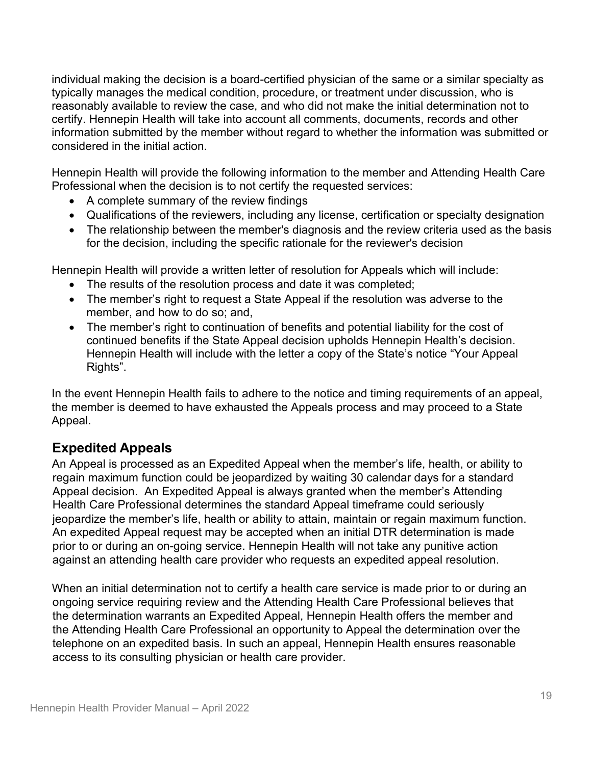individual making the decision is a board-certified physician of the same or a similar specialty as typically manages the medical condition, procedure, or treatment under discussion, who is reasonably available to review the case, and who did not make the initial determination not to certify. Hennepin Health will take into account all comments, documents, records and other information submitted by the member without regard to whether the information was submitted or considered in the initial action.

Hennepin Health will provide the following information to the member and Attending Health Care Professional when the decision is to not certify the requested services:

- A complete summary of the review findings
- Qualifications of the reviewers, including any license, certification or specialty designation
- The relationship between the member's diagnosis and the review criteria used as the basis for the decision, including the specific rationale for the reviewer's decision

Hennepin Health will provide a written letter of resolution for Appeals which will include:

- The results of the resolution process and date it was completed;
- The member's right to request a State Appeal if the resolution was adverse to the member, and how to do so; and,
- The member's right to continuation of benefits and potential liability for the cost of continued benefits if the State Appeal decision upholds Hennepin Health's decision. Hennepin Health will include with the letter a copy of the State's notice "Your Appeal Rights".

In the event Hennepin Health fails to adhere to the notice and timing requirements of an appeal, the member is deemed to have exhausted the Appeals process and may proceed to a State Appeal.

### **Expedited Appeals**

An Appeal is processed as an Expedited Appeal when the member's life, health, or ability to regain maximum function could be jeopardized by waiting 30 calendar days for a standard Appeal decision. An Expedited Appeal is always granted when the member's Attending Health Care Professional determines the standard Appeal timeframe could seriously jeopardize the member's life, health or ability to attain, maintain or regain maximum function. An expedited Appeal request may be accepted when an initial DTR determination is made prior to or during an on-going service. Hennepin Health will not take any punitive action against an attending health care provider who requests an expedited appeal resolution.

When an initial determination not to certify a health care service is made prior to or during an ongoing service requiring review and the Attending Health Care Professional believes that the determination warrants an Expedited Appeal, Hennepin Health offers the member and the Attending Health Care Professional an opportunity to Appeal the determination over the telephone on an expedited basis. In such an appeal, Hennepin Health ensures reasonable access to its consulting physician or health care provider.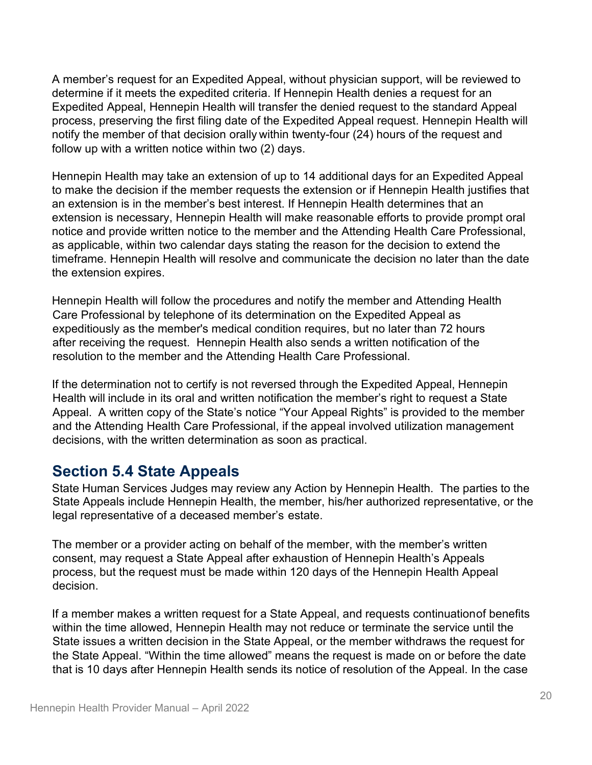A member's request for an Expedited Appeal, without physician support, will be reviewed to determine if it meets the expedited criteria. If Hennepin Health denies a request for an Expedited Appeal, Hennepin Health will transfer the denied request to the standard Appeal process, preserving the first filing date of the Expedited Appeal request. Hennepin Health will notify the member of that decision orally within twenty-four (24) hours of the request and follow up with a written notice within two (2) days.

Hennepin Health may take an extension of up to 14 additional days for an Expedited Appeal to make the decision if the member requests the extension or if Hennepin Health justifies that an extension is in the member's best interest. If Hennepin Health determines that an extension is necessary, Hennepin Health will make reasonable efforts to provide prompt oral notice and provide written notice to the member and the Attending Health Care Professional, as applicable, within two calendar days stating the reason for the decision to extend the timeframe. Hennepin Health will resolve and communicate the decision no later than the date the extension expires.

Hennepin Health will follow the procedures and notify the member and Attending Health Care Professional by telephone of its determination on the Expedited Appeal as expeditiously as the member's medical condition requires, but no later than 72 hours after receiving the request. Hennepin Health also sends a written notification of the resolution to the member and the Attending Health Care Professional.

If the determination not to certify is not reversed through the Expedited Appeal, Hennepin Health will include in its oral and written notification the member's right to request a State Appeal. A written copy of the State's notice "Your Appeal Rights" is provided to the member and the Attending Health Care Professional, if the appeal involved utilization management decisions, with the written determination as soon as practical.

### <span id="page-19-0"></span>**Section 5.4 State Appeals**

State Human Services Judges may review any Action by Hennepin Health. The parties to the State Appeals include Hennepin Health, the member, his/her authorized representative, or the legal representative of a deceased member's estate.

The member or a provider acting on behalf of the member, with the member's written consent, may request a State Appeal after exhaustion of Hennepin Health's Appeals process, but the request must be made within 120 days of the Hennepin Health Appeal decision.

If a member makes a written request for a State Appeal, and requests continuationof benefits within the time allowed, Hennepin Health may not reduce or terminate the service until the State issues a written decision in the State Appeal, or the member withdraws the request for the State Appeal. "Within the time allowed" means the request is made on or before the date that is 10 days after Hennepin Health sends its notice of resolution of the Appeal. In the case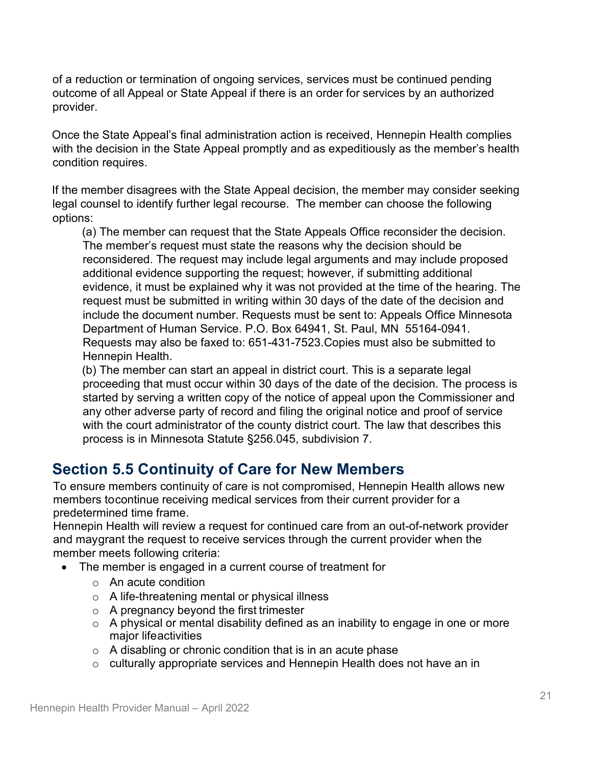of a reduction or termination of ongoing services, services must be continued pending outcome of all Appeal or State Appeal if there is an order for services by an authorized provider.

Once the State Appeal's final administration action is received, Hennepin Health complies with the decision in the State Appeal promptly and as expeditiously as the member's health condition requires.

If the member disagrees with the State Appeal decision, the member may consider seeking legal counsel to identify further legal recourse. The member can choose the following options:

(a) The member can request that the State Appeals Office reconsider the decision. The member's request must state the reasons why the decision should be reconsidered. The request may include legal arguments and may include proposed additional evidence supporting the request; however, if submitting additional evidence, it must be explained why it was not provided at the time of the hearing. The request must be submitted in writing within 30 days of the date of the decision and include the document number. Requests must be sent to: Appeals Office Minnesota Department of Human Service. P.O. Box 64941, St. Paul, MN 55164-0941. Requests may also be faxed to: 651-431-7523.Copies must also be submitted to Hennepin Health.

(b) The member can start an appeal in district court. This is a separate legal proceeding that must occur within 30 days of the date of the decision. The process is started by serving a written copy of the notice of appeal upon the Commissioner and any other adverse party of record and filing the original notice and proof of service with the court administrator of the county district court. The law that describes this process is in Minnesota Statute §256.045, subdivision 7.

## <span id="page-20-0"></span>**Section 5.5 Continuity of Care for New Members**

To ensure members continuity of care is not compromised, Hennepin Health allows new members tocontinue receiving medical services from their current provider for a predetermined time frame.

Hennepin Health will review a request for continued care from an out-of-network provider and maygrant the request to receive services through the current provider when the member meets following criteria:

- The member is engaged in a current course of treatment for
	- o An acute condition
	- o A life-threatening mental or physical illness
	- o A pregnancy beyond the first trimester
	- $\circ$  A physical or mental disability defined as an inability to engage in one or more major lifeactivities
	- $\circ$  A disabling or chronic condition that is in an acute phase
	- o culturally appropriate services and Hennepin Health does not have an in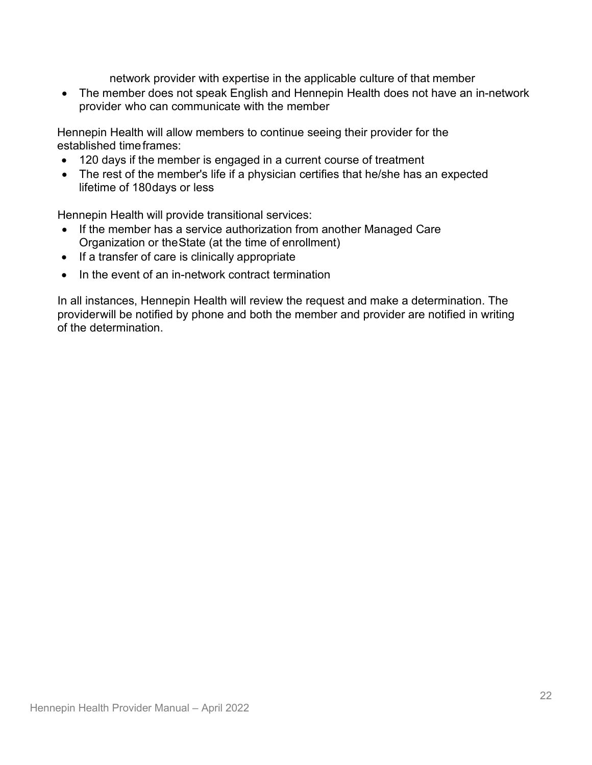network provider with expertise in the applicable culture of that member

• The member does not speak English and Hennepin Health does not have an in-network provider who can communicate with the member

Hennepin Health will allow members to continue seeing their provider for the established timeframes:

- 120 days if the member is engaged in a current course of treatment
- The rest of the member's life if a physician certifies that he/she has an expected lifetime of 180days or less

Hennepin Health will provide transitional services:

- If the member has a service authorization from another Managed Care Organization or theState (at the time of enrollment)
- If a transfer of care is clinically appropriate
- In the event of an in-network contract termination

In all instances, Hennepin Health will review the request and make a determination. The providerwill be notified by phone and both the member and provider are notified in writing of the determination.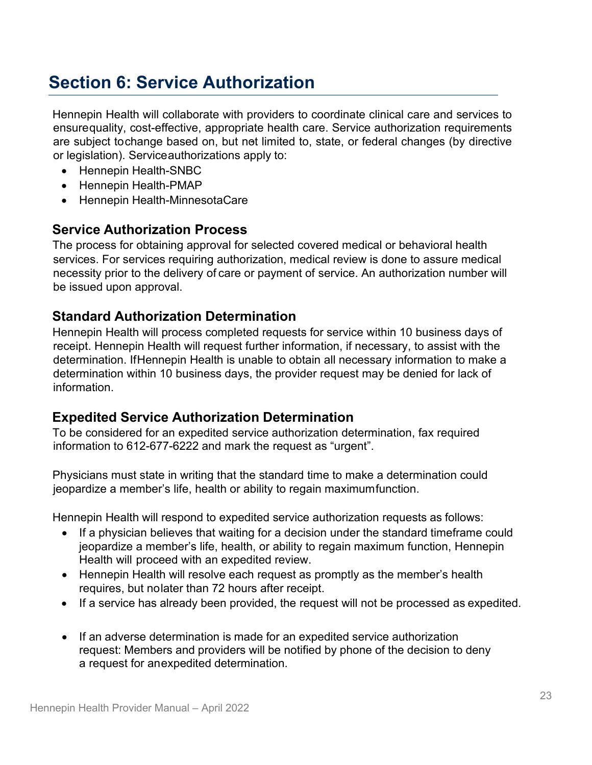# **Section 6: Service Authorization**

Hennepin Health will collaborate with providers to coordinate clinical care and services to ensurequality, cost-effective, appropriate health care. Service authorization requirements are subject tochange based on, but not limited to, state, or federal changes (by directive or legislation). Serviceauthorizations apply to:

- Hennepin Health-SNBC
- Hennepin Health-PMAP
- Hennepin Health-MinnesotaCare

### **Service Authorization Process**

The process for obtaining approval for selected covered medical or behavioral health services. For services requiring authorization, medical review is done to assure medical necessity prior to the delivery of care or payment of service. An authorization number will be issued upon approval.

#### **Standard Authorization Determination**

Hennepin Health will process completed requests for service within 10 business days of receipt. Hennepin Health will request further information, if necessary, to assist with the determination. IfHennepin Health is unable to obtain all necessary information to make a determination within 10 business days, the provider request may be denied for lack of information.

#### **Expedited Service Authorization Determination**

To be considered for an expedited service authorization determination, fax required information to 612-677-6222 and mark the request as "urgent".

Physicians must state in writing that the standard time to make a determination could jeopardize a member's life, health or ability to regain maximumfunction.

Hennepin Health will respond to expedited service authorization requests as follows:

- If a physician believes that waiting for a decision under the standard timeframe could jeopardize a member's life, health, or ability to regain maximum function, Hennepin Health will proceed with an expedited review.
- Hennepin Health will resolve each request as promptly as the member's health requires, but nolater than 72 hours after receipt.
- If a service has already been provided, the request will not be processed as expedited.
- If an adverse determination is made for an expedited service authorization request: Members and providers will be notified by phone of the decision to deny a request for anexpedited determination.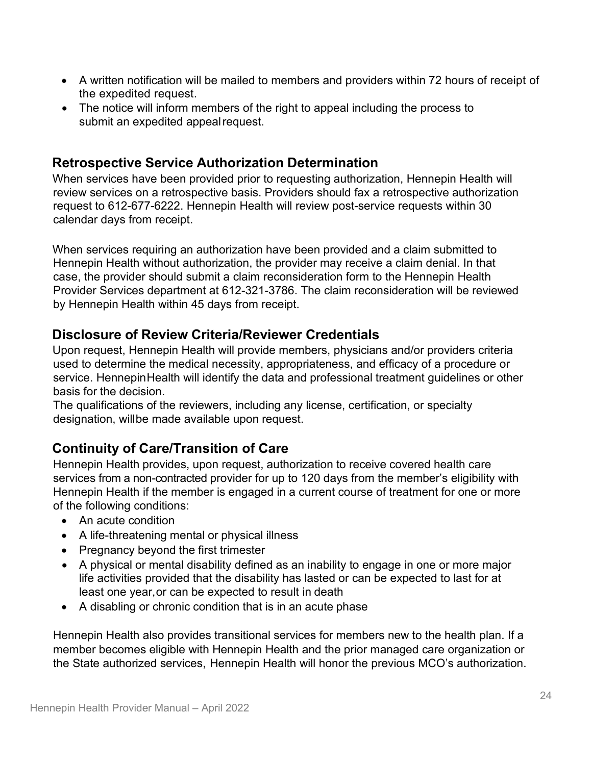- A written notification will be mailed to members and providers within 72 hours of receipt of the expedited request.
- The notice will inform members of the right to appeal including the process to submit an expedited appeal request.

### **Retrospective Service Authorization Determination**

When services have been provided prior to requesting authorization, Hennepin Health will review services on a retrospective basis. Providers should fax a retrospective authorization request to 612-677-6222. Hennepin Health will review post-service requests within 30 calendar days from receipt.

When services requiring an authorization have been provided and a claim submitted to Hennepin Health without authorization, the provider may receive a claim denial. In that case, the provider should submit a claim reconsideration form to the Hennepin Health Provider Services department at 612-321-3786. The claim reconsideration will be reviewed by Hennepin Health within 45 days from receipt.

### **Disclosure of Review Criteria/Reviewer Credentials**

Upon request, Hennepin Health will provide members, physicians and/or providers criteria used to determine the medical necessity, appropriateness, and efficacy of a procedure or service. HennepinHealth will identify the data and professional treatment guidelines or other basis for the decision.

The qualifications of the reviewers, including any license, certification, or specialty designation, willbe made available upon request.

### **Continuity of Care/Transition of Care**

Hennepin Health provides, upon request, authorization to receive covered health care services from a non-contracted provider for up to 120 days from the member's eligibility with Hennepin Health if the member is engaged in a current course of treatment for one or more of the following conditions:

- An acute condition
- A life-threatening mental or physical illness
- Pregnancy beyond the first trimester
- A physical or mental disability defined as an inability to engage in one or more major life activities provided that the disability has lasted or can be expected to last for at least one year,or can be expected to result in death
- A disabling or chronic condition that is in an acute phase

Hennepin Health also provides transitional services for members new to the health plan. If a member becomes eligible with Hennepin Health and the prior managed care organization or the State authorized services, Hennepin Health will honor the previous MCO's authorization.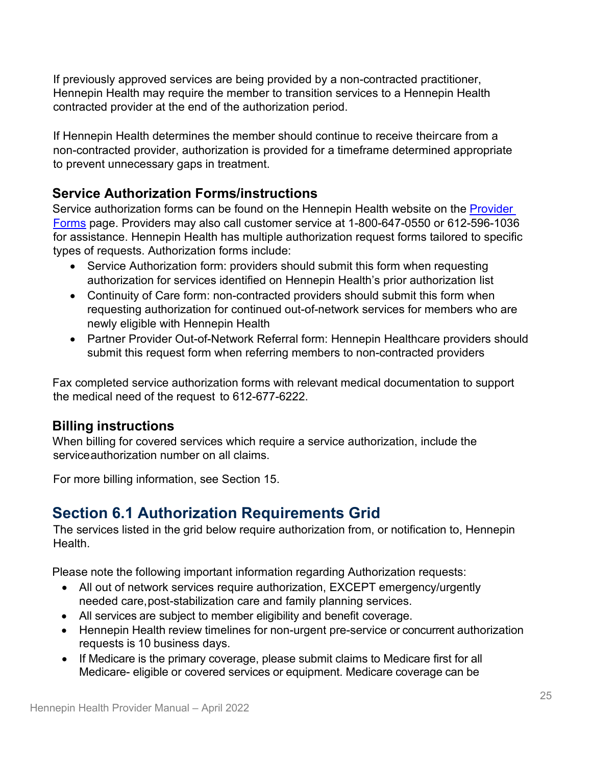If previously approved services are being provided by a non-contracted practitioner, Hennepin Health may require the member to transition services to a Hennepin Health contracted provider at the end of the authorization period.

If Hennepin Health determines the member should continue to receive theircare from a non-contracted provider, authorization is provided for a timeframe determined appropriate to prevent unnecessary gaps in treatment.

### **Service Authorization Forms/instructions**

Service authorization forms can be found on the Hennepin Health website on the Provider [Forms](https://hennepinhealth.org/providers/forms) page. Providers may also call customer service at 1-800-647-0550 or 612-596-1036 for assistance. Hennepin Health has multiple authorization request forms tailored to specific types of requests. Authorization forms include:

- Service Authorization form: providers should submit this form when requesting authorization for services identified on Hennepin Health's prior authorization list
- Continuity of Care form: non-contracted providers should submit this form when requesting authorization for continued out-of-network services for members who are newly eligible with Hennepin Health
- Partner Provider Out-of-Network Referral form: Hennepin Healthcare providers should submit this request form when referring members to non-contracted providers

Fax completed service authorization forms with relevant medical documentation to support the medical need of the request to 612-677-6222.

#### **Billing instructions**

When billing for covered services which require a service authorization, include the service authorization number on all claims.

For more billing information, see Section 15.

# **Section 6.1 Authorization Requirements Grid**

The services listed in the grid below require authorization from, or notification to, Hennepin Health.

Please note the following important information regarding Authorization requests:

- All out of network services require authorization, EXCEPT emergency/urgently needed care,post-stabilization care and family planning services.
- All services are subject to member eligibility and benefit coverage.
- Hennepin Health review timelines for non-urgent pre-service or concurrent authorization requests is 10 business days.
- If Medicare is the primary coverage, please submit claims to Medicare first for all Medicare- eligible or covered services or equipment. Medicare coverage can be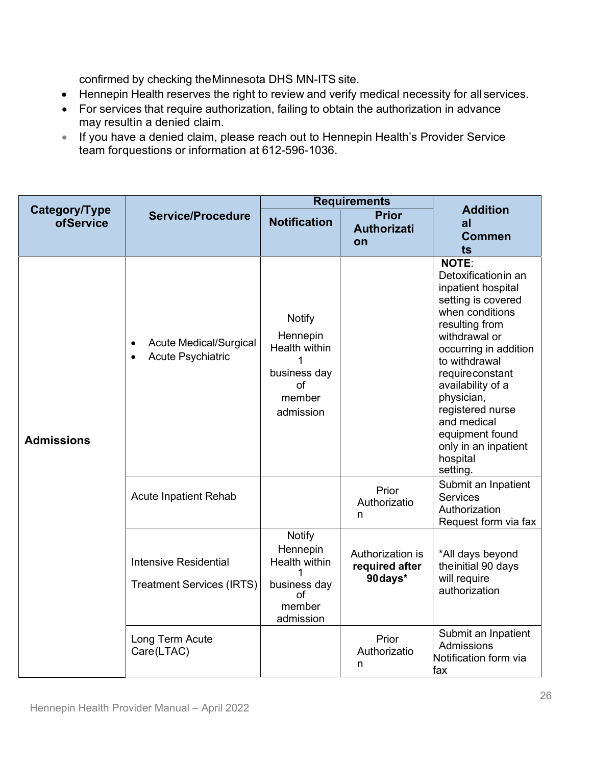confirmed by checking theMinnesota DHS MN-ITS site.

- Hennepin Health reserves the right to review and verify medical necessity for all services.
- For services that require authorization, failing to obtain the authorization in advance may resultin a denied claim.
- If you have a denied claim, please reach out to Hennepin Health's Provider Service team forquestions or information at 612-596-1036.

|                            |                                                                              | <b>Requirements</b>                                                                     |                                                |                                                                                                                                                                                                                                                                                                                                      |  |
|----------------------------|------------------------------------------------------------------------------|-----------------------------------------------------------------------------------------|------------------------------------------------|--------------------------------------------------------------------------------------------------------------------------------------------------------------------------------------------------------------------------------------------------------------------------------------------------------------------------------------|--|
| Category/Type<br>ofService | <b>Service/Procedure</b>                                                     | <b>Notification</b>                                                                     | <b>Prior</b><br><b>Authorizati</b><br>on       | <b>Addition</b><br>a<br><b>Commen</b><br>ts                                                                                                                                                                                                                                                                                          |  |
| <b>Admissions</b>          | Acute Medical/Surgical<br>$\bullet$<br><b>Acute Psychiatric</b><br>$\bullet$ | <b>Notify</b><br>Hennepin<br>Health within<br>business day<br>of<br>member<br>admission |                                                | NOTE:<br>Detoxificationin an<br>inpatient hospital<br>setting is covered<br>when conditions<br>resulting from<br>withdrawal or<br>occurring in addition<br>to withdrawal<br>requireconstant<br>availability of a<br>physician,<br>registered nurse<br>and medical<br>equipment found<br>only in an inpatient<br>hospital<br>setting. |  |
|                            | <b>Acute Inpatient Rehab</b>                                                 |                                                                                         | Prior<br>Authorizatio<br>n                     | Submit an Inpatient<br><b>Services</b><br>Authorization<br>Request form via fax                                                                                                                                                                                                                                                      |  |
|                            | <b>Intensive Residential</b><br><b>Treatment Services (IRTS)</b>             | <b>Notify</b><br>Hennepin<br>Health within<br>business day<br>of<br>member<br>admission | Authorization is<br>required after<br>90 days* | *All days beyond<br>the initial 90 days<br>will require<br>authorization                                                                                                                                                                                                                                                             |  |
|                            | Long Term Acute<br>Care(LTAC)                                                |                                                                                         | Prior<br>Authorizatio<br>n                     | Submit an Inpatient<br>Admissions<br>Notification form via<br>fax                                                                                                                                                                                                                                                                    |  |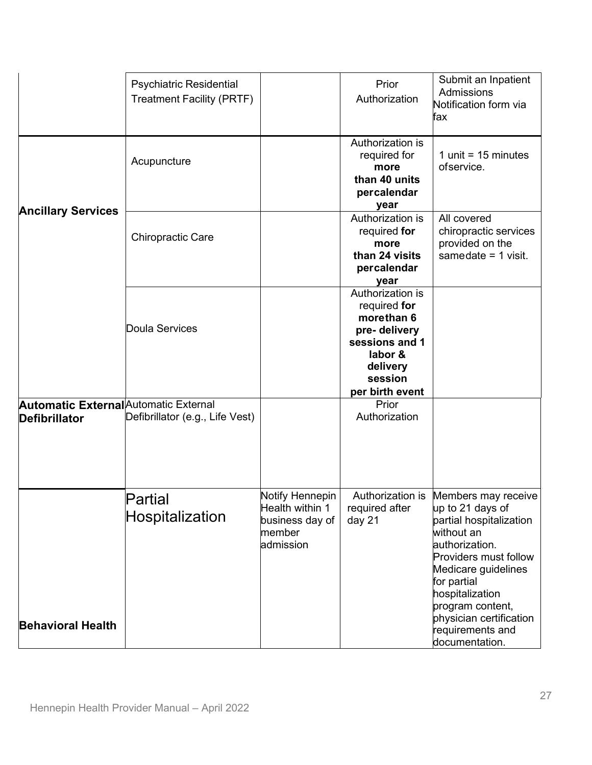|                                                               | <b>Psychiatric Residential</b><br><b>Treatment Facility (PRTF)</b> |                                                                               | Prior<br>Authorization                                                                                                                | Submit an Inpatient<br>Admissions<br>Notification form via<br>fax                                                                                                                                                                                                         |
|---------------------------------------------------------------|--------------------------------------------------------------------|-------------------------------------------------------------------------------|---------------------------------------------------------------------------------------------------------------------------------------|---------------------------------------------------------------------------------------------------------------------------------------------------------------------------------------------------------------------------------------------------------------------------|
|                                                               | Acupuncture                                                        |                                                                               | Authorization is<br>required for<br>more<br>than 40 units<br>percalendar<br>year                                                      | 1 unit = $15$ minutes<br>ofservice.                                                                                                                                                                                                                                       |
| <b>Ancillary Services</b>                                     | <b>Chiropractic Care</b>                                           |                                                                               | Authorization is<br>required for<br>more<br>than 24 visits<br>percalendar<br>year                                                     | All covered<br>chiropractic services<br>provided on the<br>samedate $=$ 1 visit.                                                                                                                                                                                          |
|                                                               | Doula Services                                                     |                                                                               | Authorization is<br>required for<br>morethan 6<br>pre-delivery<br>sessions and 1<br>labor &<br>delivery<br>session<br>per birth event |                                                                                                                                                                                                                                                                           |
| <b>Automatic External</b> Automatic External<br>Defibrillator | Defibrillator (e.g., Life Vest)                                    |                                                                               | Prior<br>Authorization                                                                                                                |                                                                                                                                                                                                                                                                           |
| <b>Behavioral Health</b>                                      | Partial<br>Hospitalization                                         | Notify Hennepin<br>Health within 1<br>business day of<br>member<br>ladmission | Authorization is<br>required after<br>day 21                                                                                          | Members may receive<br>up to 21 days of<br>partial hospitalization<br>without an<br>authorization.<br>Providers must follow<br>Medicare guidelines<br>for partial<br>hospitalization<br>program content,<br>physician certification<br>requirements and<br>documentation. |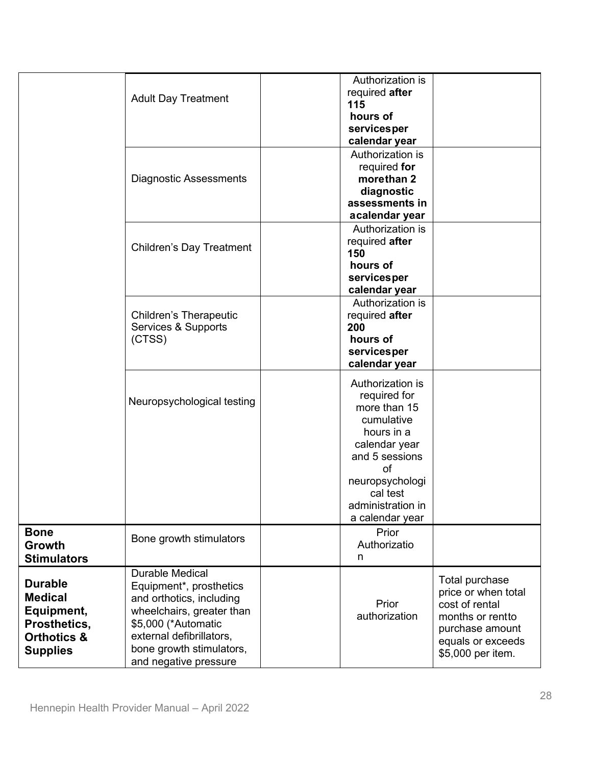|                                                                                                             | <b>Adult Day Treatment</b>                                                                                                                                                                                         | Authorization is<br>required after<br>115<br>hours of<br>servicesper<br>calendar year                                                                                                        |                                                                                                                                          |
|-------------------------------------------------------------------------------------------------------------|--------------------------------------------------------------------------------------------------------------------------------------------------------------------------------------------------------------------|----------------------------------------------------------------------------------------------------------------------------------------------------------------------------------------------|------------------------------------------------------------------------------------------------------------------------------------------|
|                                                                                                             | <b>Diagnostic Assessments</b>                                                                                                                                                                                      | Authorization is<br>required for<br>morethan 2<br>diagnostic<br>assessments in<br>acalendar year                                                                                             |                                                                                                                                          |
|                                                                                                             | <b>Children's Day Treatment</b>                                                                                                                                                                                    | Authorization is<br>required after<br>150<br>hours of<br>servicesper<br>calendar year                                                                                                        |                                                                                                                                          |
|                                                                                                             | <b>Children's Therapeutic</b><br>Services & Supports<br>(CTSS)                                                                                                                                                     | Authorization is<br>required after<br>200<br>hours of<br>services per<br>calendar year                                                                                                       |                                                                                                                                          |
|                                                                                                             | Neuropsychological testing                                                                                                                                                                                         | Authorization is<br>required for<br>more than 15<br>cumulative<br>hours in a<br>calendar year<br>and 5 sessions<br>of<br>neuropsychologi<br>cal test<br>administration in<br>a calendar year |                                                                                                                                          |
| <b>Bone</b><br>Growth<br><b>Stimulators</b>                                                                 | Bone growth stimulators                                                                                                                                                                                            | Prior<br>Authorizatio<br>n                                                                                                                                                                   |                                                                                                                                          |
| <b>Durable</b><br><b>Medical</b><br>Equipment,<br>Prosthetics,<br><b>Orthotics &amp;</b><br><b>Supplies</b> | <b>Durable Medical</b><br>Equipment*, prosthetics<br>and orthotics, including<br>wheelchairs, greater than<br>\$5,000 (*Automatic<br>external defibrillators,<br>bone growth stimulators,<br>and negative pressure | Prior<br>authorization                                                                                                                                                                       | Total purchase<br>price or when total<br>cost of rental<br>months or rentto<br>purchase amount<br>equals or exceeds<br>\$5,000 per item. |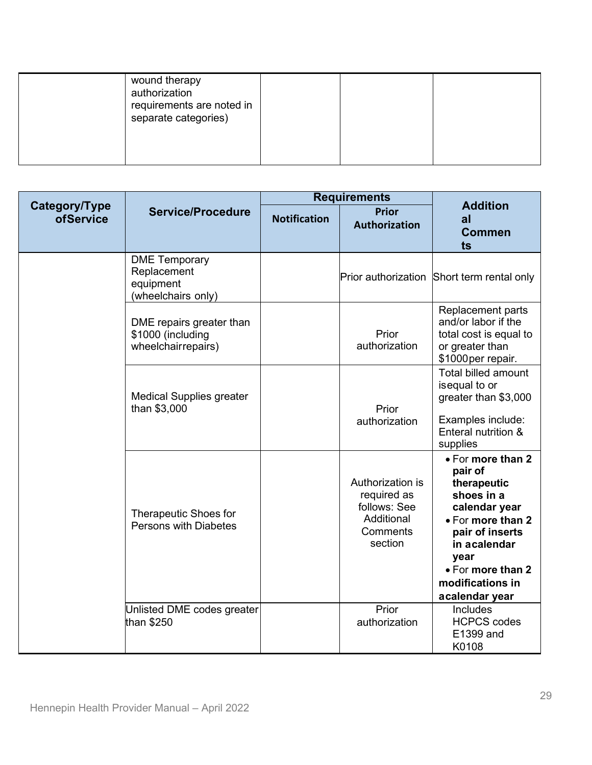| wound therapy<br>authorization<br>requirements are noted in<br>separate categories) |  |  |
|-------------------------------------------------------------------------------------|--|--|
|-------------------------------------------------------------------------------------|--|--|

|                                   |                                                                        | <b>Requirements</b> |                                                                                      | <b>Addition</b>                                                                                                                                                                                       |
|-----------------------------------|------------------------------------------------------------------------|---------------------|--------------------------------------------------------------------------------------|-------------------------------------------------------------------------------------------------------------------------------------------------------------------------------------------------------|
| Category/Type<br><b>ofService</b> | <b>Service/Procedure</b>                                               | <b>Notification</b> | <b>Prior</b><br><b>Authorization</b>                                                 | al<br><b>Commen</b><br>ts                                                                                                                                                                             |
|                                   | <b>DME</b> Temporary<br>Replacement<br>equipment<br>(wheelchairs only) |                     |                                                                                      | Prior authorization Short term rental only                                                                                                                                                            |
|                                   | DME repairs greater than<br>\$1000 (including<br>wheelchairrepairs)    |                     | Prior<br>authorization                                                               | Replacement parts<br>and/or labor if the<br>total cost is equal to<br>or greater than<br>\$1000per repair.                                                                                            |
|                                   | <b>Medical Supplies greater</b><br>than \$3,000                        |                     | Prior<br>authorization                                                               | Total billed amount<br>isequal to or<br>greater than \$3,000<br>Examples include:<br>Enteral nutrition &<br>supplies                                                                                  |
|                                   | <b>Therapeutic Shoes for</b><br><b>Persons with Diabetes</b>           |                     | Authorization is<br>required as<br>follows: See<br>Additional<br>Comments<br>section | • For more than 2<br>pair of<br>therapeutic<br>shoes in a<br>calendar year<br>• For more than 2<br>pair of inserts<br>in acalendar<br>year<br>• For more than 2<br>modifications in<br>acalendar year |
|                                   | Unlisted DME codes greater<br>than \$250                               |                     | Prior<br>authorization                                                               | Includes<br><b>HCPCS codes</b><br>E1399 and<br>K0108                                                                                                                                                  |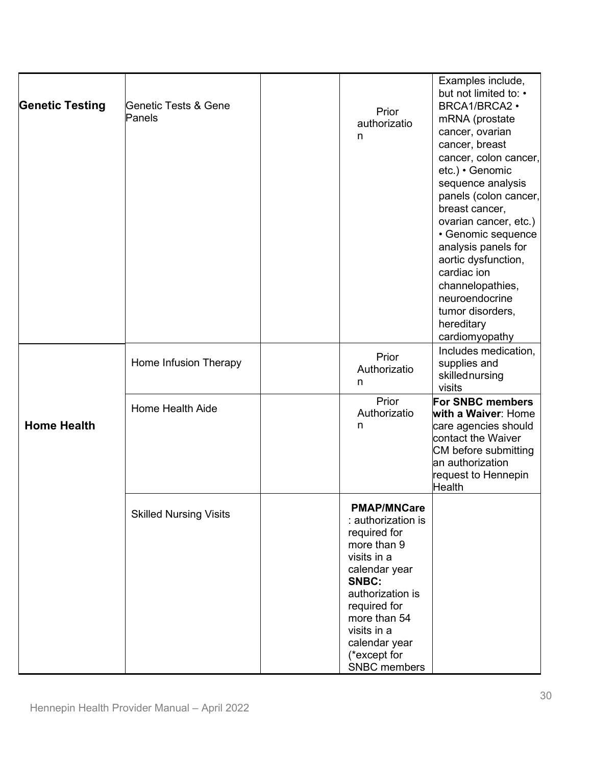| <b>Genetic Testing</b> | Genetic Tests & Gene<br>Panels | Prior<br>authorizatio<br>n                                                                                                                                                                                                                  | Examples include,<br>but not limited to: •<br>BRCA1/BRCA2 .<br>mRNA (prostate<br>cancer, ovarian<br>cancer, breast<br>cancer, colon cancer,<br>etc.) • Genomic<br>sequence analysis<br>panels (colon cancer,<br>breast cancer,<br>ovarian cancer, etc.)<br>• Genomic sequence<br>analysis panels for<br>aortic dysfunction,<br>cardiac ion<br>channelopathies,<br>neuroendocrine<br>tumor disorders,<br>hereditary<br>cardiomyopathy |
|------------------------|--------------------------------|---------------------------------------------------------------------------------------------------------------------------------------------------------------------------------------------------------------------------------------------|--------------------------------------------------------------------------------------------------------------------------------------------------------------------------------------------------------------------------------------------------------------------------------------------------------------------------------------------------------------------------------------------------------------------------------------|
|                        | Home Infusion Therapy          | Prior<br>Authorizatio<br>n                                                                                                                                                                                                                  | Includes medication,<br>supplies and<br>skillednursing<br>visits                                                                                                                                                                                                                                                                                                                                                                     |
| <b>Home Health</b>     | Home Health Aide               | Prior<br>Authorizatio<br>n                                                                                                                                                                                                                  | For SNBC members<br>with a Waiver: Home<br>care agencies should<br>contact the Waiver<br>CM before submitting<br>an authorization<br>request to Hennepin<br><b>Health</b>                                                                                                                                                                                                                                                            |
|                        | <b>Skilled Nursing Visits</b>  | <b>PMAP/MNCare</b><br>: authorization is<br>required for<br>more than 9<br>visits in a<br>calendar year<br>SNBC:<br>authorization is<br>required for<br>more than 54<br>visits in a<br>calendar year<br>(*except for<br><b>SNBC</b> members |                                                                                                                                                                                                                                                                                                                                                                                                                                      |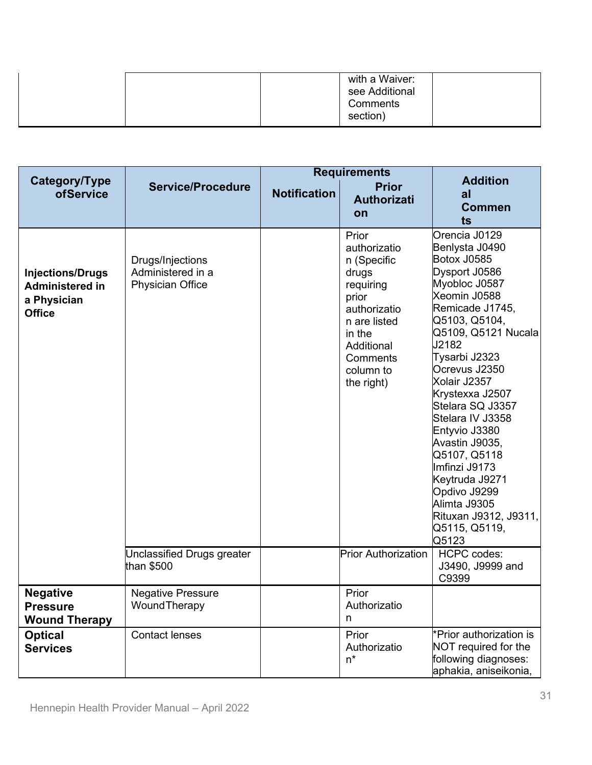|  | with a Waiver:<br>see Additional<br>Comments |  |
|--|----------------------------------------------|--|
|  | section)                                     |  |

|                                                                                   | <b>Service/Procedure</b>                                         | <b>Requirements</b> |                                                                                                                                                                    |                                                                                                                                                                                                                                                                                                                                                                                                                                                            |
|-----------------------------------------------------------------------------------|------------------------------------------------------------------|---------------------|--------------------------------------------------------------------------------------------------------------------------------------------------------------------|------------------------------------------------------------------------------------------------------------------------------------------------------------------------------------------------------------------------------------------------------------------------------------------------------------------------------------------------------------------------------------------------------------------------------------------------------------|
| Category/Type<br>ofService                                                        |                                                                  | <b>Notification</b> | <b>Prior</b><br><b>Authorizati</b><br>on                                                                                                                           | <b>Addition</b><br>al<br><b>Commen</b><br>ts                                                                                                                                                                                                                                                                                                                                                                                                               |
| <b>Injections/Drugs</b><br><b>Administered in</b><br>a Physician<br><b>Office</b> | Drugs/Injections<br>Administered in a<br><b>Physician Office</b> |                     | Prior<br>authorizatio<br>n (Specific<br>drugs<br>requiring<br>prior<br>authorizatio<br>n are listed<br>in the<br>Additional<br>Comments<br>column to<br>the right) | Orencia J0129<br>Benlysta J0490<br>Botox J0585<br>Dysport J0586<br>Myobloc J0587<br>Xeomin J0588<br>Remicade J1745,<br>Q5103, Q5104,<br>Q5109, Q5121 Nucala<br>J2182<br>Tysarbi J2323<br>Ocrevus J2350<br>Xolair J2357<br>Krystexxa J2507<br>Stelara SQ J3357<br>Stelara IV J3358<br>Entyvio J3380<br>Avastin J9035,<br>Q5107, Q5118<br>Imfinzi J9173<br>Keytruda J9271<br>Opdivo J9299<br>Alimta J9305<br>Rituxan J9312, J9311,<br>Q5115, Q5119,<br>Q5123 |
|                                                                                   | Unclassified Drugs greater<br>than \$500                         |                     | <b>Prior Authorization</b>                                                                                                                                         | <b>HCPC</b> codes:<br>J3490, J9999 and<br>C9399                                                                                                                                                                                                                                                                                                                                                                                                            |
| <b>Negative</b><br><b>Pressure</b><br><b>Wound Therapy</b>                        | <b>Negative Pressure</b><br>WoundTherapy                         |                     | Prior<br>Authorizatio<br>n                                                                                                                                         |                                                                                                                                                                                                                                                                                                                                                                                                                                                            |
| <b>Optical</b><br><b>Services</b>                                                 | <b>Contact lenses</b>                                            |                     | Prior<br>Authorizatio<br>$n^*$                                                                                                                                     | Prior authorization is<br>NOT required for the<br>following diagnoses:<br>aphakia, aniseikonia,                                                                                                                                                                                                                                                                                                                                                            |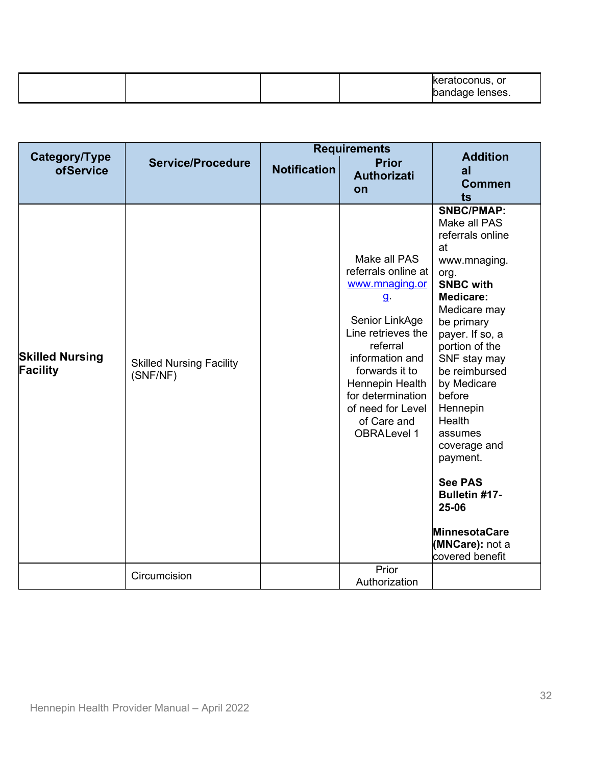|  |  | eratoconus, or.<br>Nenses.<br>œ<br>. . |
|--|--|----------------------------------------|

|                                    | <b>Requirements</b>                         |                     |                                                                                                                                                                                                                                                                  |                                                                                                                                                                                                                                                                                                                                                                                                                                        |
|------------------------------------|---------------------------------------------|---------------------|------------------------------------------------------------------------------------------------------------------------------------------------------------------------------------------------------------------------------------------------------------------|----------------------------------------------------------------------------------------------------------------------------------------------------------------------------------------------------------------------------------------------------------------------------------------------------------------------------------------------------------------------------------------------------------------------------------------|
| Category/Type<br><b>ofService</b>  | <b>Service/Procedure</b>                    | <b>Notification</b> | <b>Prior</b><br><b>Authorizati</b><br>on                                                                                                                                                                                                                         | <b>Addition</b><br>a<br><b>Commen</b><br>ts                                                                                                                                                                                                                                                                                                                                                                                            |
| <b>Skilled Nursing</b><br>Facility | <b>Skilled Nursing Facility</b><br>(SNF/NF) |                     | Make all PAS<br>referrals online at<br>www.mnaging.or<br>$\mathbf{g}$<br>Senior LinkAge<br>Line retrieves the<br>referral<br>information and<br>forwards it to<br>Hennepin Health<br>for determination<br>of need for Level<br>of Care and<br><b>OBRALevel 1</b> | <b>SNBC/PMAP:</b><br>Make all PAS<br>referrals online<br>at<br>www.mnaging.<br>org.<br><b>SNBC with</b><br><b>Medicare:</b><br>Medicare may<br>be primary<br>payer. If so, a<br>portion of the<br>SNF stay may<br>be reimbursed<br>by Medicare<br>before<br>Hennepin<br>Health<br>assumes<br>coverage and<br>payment.<br><b>See PAS</b><br><b>Bulletin #17-</b><br>25-06<br><b>MinnesotaCare</b><br>(MNCare): not a<br>covered benefit |
|                                    | Circumcision                                |                     | Prior<br>Authorization                                                                                                                                                                                                                                           |                                                                                                                                                                                                                                                                                                                                                                                                                                        |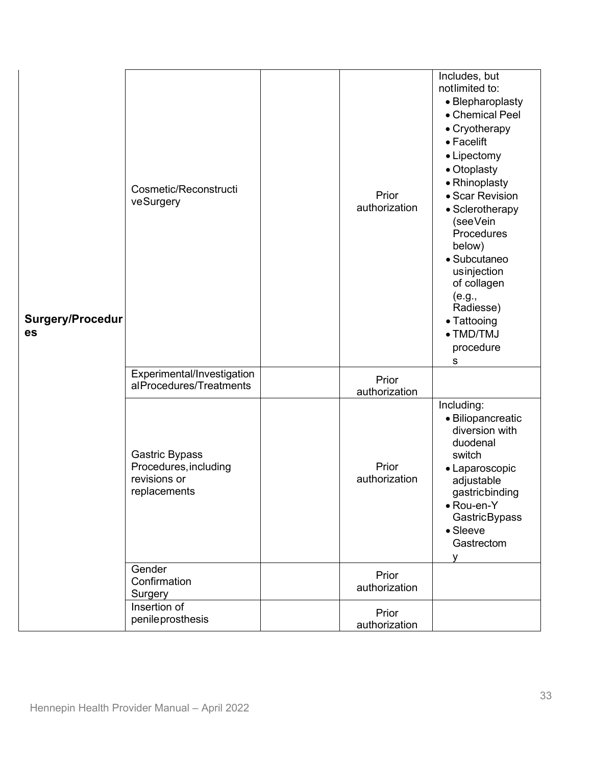| <b>Surgery/Procedur</b><br>es | Cosmetic/Reconstructi<br>veSurgery                                             |  | Prior<br>authorization                                            | Includes, but<br>notlimited to:<br>• Blepharoplasty<br>• Chemical Peel<br>• Cryotherapy<br>• Facelift<br>• Lipectomy<br>• Otoplasty<br>• Rhinoplasty<br>• Scar Revision<br>• Sclerotherapy<br>(seeVein<br>Procedures<br>below)<br>• Subcutaneo<br>usinjection<br>of collagen |
|-------------------------------|--------------------------------------------------------------------------------|--|-------------------------------------------------------------------|------------------------------------------------------------------------------------------------------------------------------------------------------------------------------------------------------------------------------------------------------------------------------|
|                               |                                                                                |  | (e.g.,<br>Radiesse)<br>• Tattooing<br>• TMD/TMJ<br>procedure<br>s |                                                                                                                                                                                                                                                                              |
|                               | Experimental/Investigation<br>alProcedures/Treatments                          |  | Prior<br>authorization                                            |                                                                                                                                                                                                                                                                              |
|                               | <b>Gastric Bypass</b><br>Procedures, including<br>revisions or<br>replacements |  | Prior<br>authorization                                            | Including:<br>· Biliopancreatic<br>diversion with<br>duodenal<br>switch<br>• Laparoscopic<br>adjustable<br>gastricbinding<br>• Rou-en-Y<br>GastricBypass<br>• Sleeve<br>Gastrectom<br>v                                                                                      |
|                               | Gender<br>Confirmation<br>Surgery                                              |  | Prior<br>authorization                                            |                                                                                                                                                                                                                                                                              |
|                               | Insertion of<br>penileprosthesis                                               |  | Prior<br>authorization                                            |                                                                                                                                                                                                                                                                              |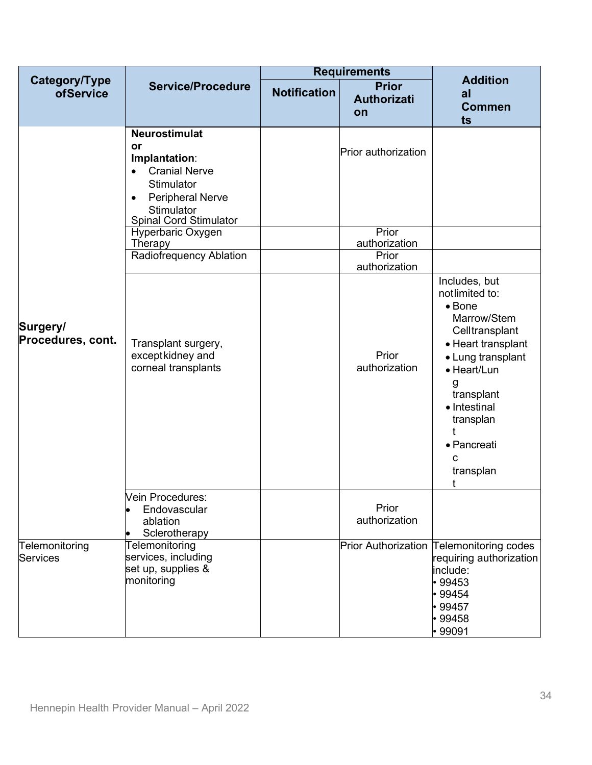|                                   |                                                                                                                                                                                       | <b>Requirements</b> |                                                  |                                                                                                                                                                                                                                    |
|-----------------------------------|---------------------------------------------------------------------------------------------------------------------------------------------------------------------------------------|---------------------|--------------------------------------------------|------------------------------------------------------------------------------------------------------------------------------------------------------------------------------------------------------------------------------------|
| Category/Type<br><b>ofService</b> | <b>Service/Procedure</b>                                                                                                                                                              | <b>Notification</b> | <b>Prior</b><br><b>Authorizati</b><br>on         | <b>Addition</b><br>al<br><b>Commen</b><br>ts                                                                                                                                                                                       |
| Surgery/<br>Procedures, cont.     | <b>Neurostimulat</b><br>or<br>Implantation:<br><b>Cranial Nerve</b><br>$\bullet$<br>Stimulator<br><b>Peripheral Nerve</b><br>$\bullet$<br>Stimulator<br><b>Spinal Cord Stimulator</b> |                     | Prior authorization                              |                                                                                                                                                                                                                                    |
|                                   | Hyperbaric Oxygen<br>Therapy<br>Radiofrequency Ablation                                                                                                                               |                     | Prior<br>authorization<br>Prior<br>authorization |                                                                                                                                                                                                                                    |
|                                   | Transplant surgery,<br>exceptkidney and<br>corneal transplants                                                                                                                        |                     | Prior<br>authorization                           | Includes, but<br>notlimited to:<br>$\bullet$ Bone<br>Marrow/Stem<br>Celltransplant<br>• Heart transplant<br>• Lung transplant<br>• Heart/Lun<br>g<br>transplant<br>• Intestinal<br>transplan<br>• Pancreati<br>c<br>transplan<br>t |
|                                   | Vein Procedures:<br>Endovascular<br>ablation<br>Sclerotherapy                                                                                                                         |                     | Prior<br>authorization                           |                                                                                                                                                                                                                                    |
| Telemonitoring<br>Services        | Telemonitoring<br>services, including<br>set up, supplies &<br>monitoring                                                                                                             |                     |                                                  | Prior Authorization Telemonitoring codes<br>requiring authorization<br>include:<br>$\cdot$ 99453<br>$\cdot$ 99454<br>•99457<br>$\cdot$ 99458<br>•99091                                                                             |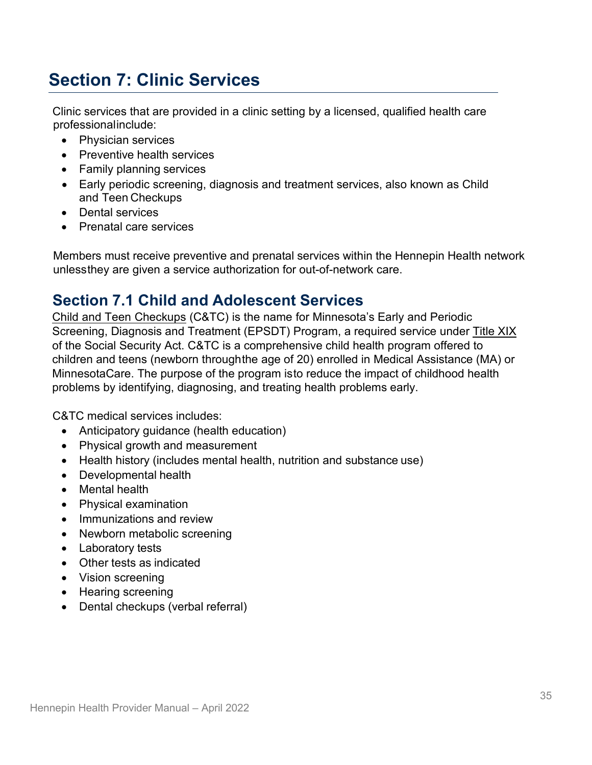# <span id="page-34-0"></span>**Section 7: Clinic Services**

Clinic services that are provided in a clinic setting by a licensed, qualified health care professionalinclude:

- Physician services
- Preventive health services
- Family planning services
- Early periodic screening, diagnosis and treatment services, also known as Child and Teen Checkups
- Dental services
- Prenatal care services

Members must receive preventive and prenatal services within the Hennepin Health network unlessthey are given a service authorization for out-of-network care.

# <span id="page-34-1"></span>**Section 7.1 Child and Adolescent Services**

Child and Teen [Checkups](http://www.health.state.mn.us/divs/cfh/program/ctc/) (C&TC) is the name for Minnesota's Early and Periodic Screening, Diagnosis and Treatment (EPSDT) Program, a required service under [Title XIX](https://www.ssa.gov/OP_Home/ssact/title19/1900.htm) of the Social Security Act. C&TC is a comprehensive child health program offered to children and teens (newborn throughthe age of 20) enrolled in Medical Assistance (MA) or MinnesotaCare. The purpose of the program isto reduce the impact of childhood health problems by identifying, diagnosing, and treating health problems early.

C&TC medical services includes:

- Anticipatory quidance (health education)
- Physical growth and measurement
- Health history (includes mental health, nutrition and substance use)
- Developmental health
- Mental health
- Physical examination
- Immunizations and review
- Newborn metabolic screening
- Laboratory tests
- Other tests as indicated
- Vision screening
- Hearing screening
- Dental checkups (verbal referral)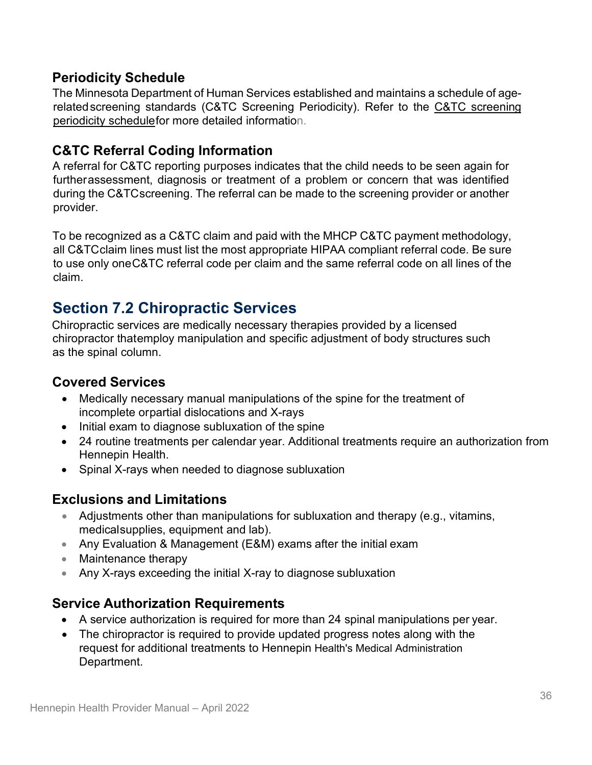## **Periodicity Schedule**

The Minnesota Department of Human Services established and maintains a schedule of agerelatedscreening standards (C&TC Screening Periodicity). Refer to the [C&TC screening](http://www.health.state.mn.us/divs/cfh/program/ctc/)  [periodicity schedulef](http://www.health.state.mn.us/divs/cfh/program/ctc/)or more detailed information.

## **C&TC Referral Coding Information**

A referral for C&TC reporting purposes indicates that the child needs to be seen again for furtherassessment, diagnosis or treatment of a problem or concern that was identified during the C&TCscreening. The referral can be made to the screening provider or another provider.

To be recognized as a C&TC claim and paid with the MHCP C&TC payment methodology, all C&TCclaim lines must list the most appropriate HIPAA compliant referral code. Be sure to use only oneC&TC referral code per claim and the same referral code on all lines of the claim.

# <span id="page-35-0"></span>**Section 7.2 Chiropractic Services**

Chiropractic services are medically necessary therapies provided by a licensed chiropractor thatemploy manipulation and specific adjustment of body structures such as the spinal column.

### **Covered Services**

- Medically necessary manual manipulations of the spine for the treatment of incomplete orpartial dislocations and X-rays
- Initial exam to diagnose subluxation of the spine
- 24 routine treatments per calendar year. Additional treatments require an authorization from Hennepin Health.
- Spinal X-rays when needed to diagnose subluxation

### **Exclusions and Limitations**

- Adjustments other than manipulations for subluxation and therapy (e.g., vitamins, medicalsupplies, equipment and lab).
- Any Evaluation & Management (E&M) exams after the initial exam
- Maintenance therapy
- Any X-rays exceeding the initial X-ray to diagnose subluxation

### **Service Authorization Requirements**

- A service authorization is required for more than 24 spinal manipulations per year.
- The chiropractor is required to provide updated progress notes along with the request for additional treatments to Hennepin Health's Medical Administration Department.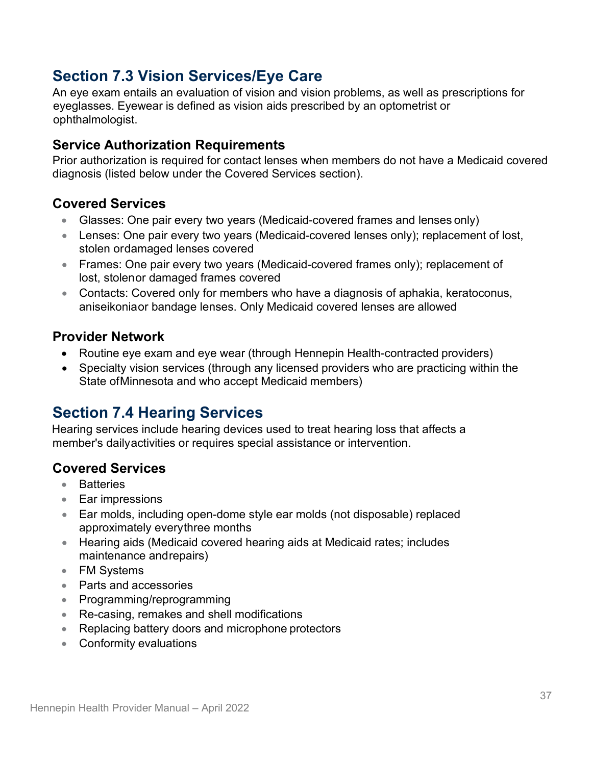# **Section 7.3 Vision Services/Eye Care**

An eye exam entails an evaluation of vision and vision problems, as well as prescriptions for eyeglasses. Eyewear is defined as vision aids prescribed by an optometrist or ophthalmologist.

### **Service Authorization Requirements**

Prior authorization is required for contact lenses when members do not have a Medicaid covered diagnosis (listed below under the Covered Services section).

### **Covered Services**

- Glasses: One pair every two years (Medicaid-covered frames and lenses only)
- Lenses: One pair every two years (Medicaid-covered lenses only); replacement of lost, stolen ordamaged lenses covered
- Frames: One pair every two years (Medicaid-covered frames only); replacement of lost, stolenor damaged frames covered
- Contacts: Covered only for members who have a diagnosis of aphakia, keratoconus, aniseikoniaor bandage lenses. Only Medicaid covered lenses are allowed

### **Provider Network**

- Routine eye exam and eye wear (through Hennepin Health-contracted providers)
- Specialty vision services (through any licensed providers who are practicing within the State ofMinnesota and who accept Medicaid members)

## **Section 7.4 Hearing Services**

Hearing services include hearing devices used to treat hearing loss that affects a member's dailyactivities or requires special assistance or intervention.

### **Covered Services**

- Batteries
- Ear impressions
- Ear molds, including open-dome style ear molds (not disposable) replaced approximately everythree months
- Hearing aids (Medicaid covered hearing aids at Medicaid rates; includes maintenance andrepairs)
- FM Systems
- Parts and accessories
- Programming/reprogramming
- Re-casing, remakes and shell modifications
- Replacing battery doors and microphone protectors
- Conformity evaluations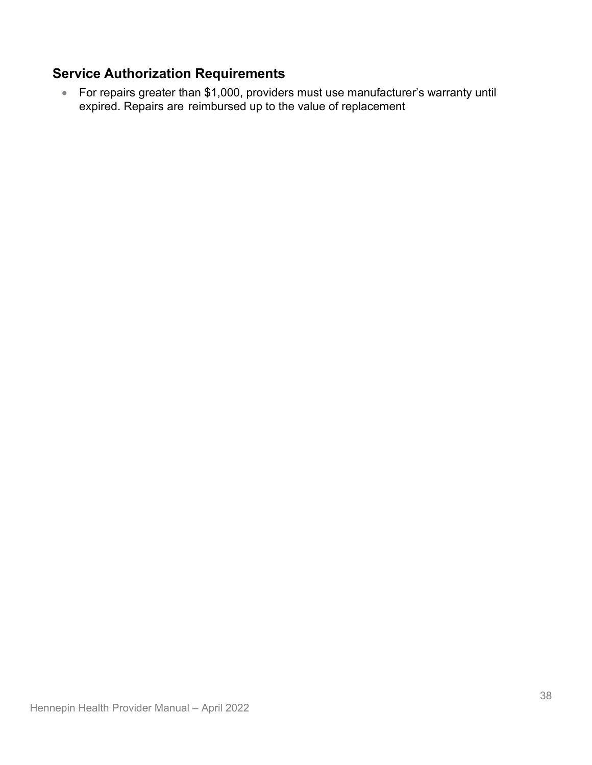## **Service Authorization Requirements**

• For repairs greater than \$1,000, providers must use manufacturer's warranty until expired. Repairs are reimbursed up to the value of replacement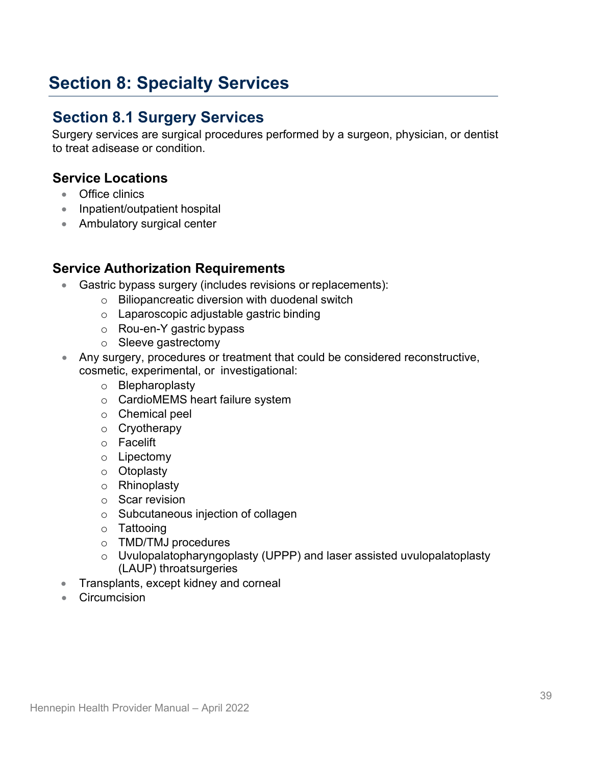# **Section 8: Specialty Services**

## **Section 8.1 Surgery Services**

Surgery services are surgical procedures performed by a surgeon, physician, or dentist to treat adisease or condition.

#### **Service Locations**

- Office clinics
- Inpatient/outpatient hospital
- Ambulatory surgical center

#### **Service Authorization Requirements**

- Gastric bypass surgery (includes revisions or replacements):
	- o Biliopancreatic diversion with duodenal switch
		- o Laparoscopic adjustable gastric binding
		- o Rou-en-Y gastric bypass
		- o Sleeve gastrectomy
- Any surgery, procedures or treatment that could be considered reconstructive, cosmetic, experimental, or investigational:
	- o Blepharoplasty
	- o CardioMEMS heart failure system
	- o Chemical peel
	- o Cryotherapy
	- o Facelift
	- o Lipectomy
	- o Otoplasty
	- o Rhinoplasty
	- o Scar revision
	- o Subcutaneous injection of collagen
	- o Tattooing
	- o TMD/TMJ procedures
	- o Uvulopalatopharyngoplasty (UPPP) and laser assisted uvulopalatoplasty (LAUP) throatsurgeries
- Transplants, except kidney and corneal
- Circumcision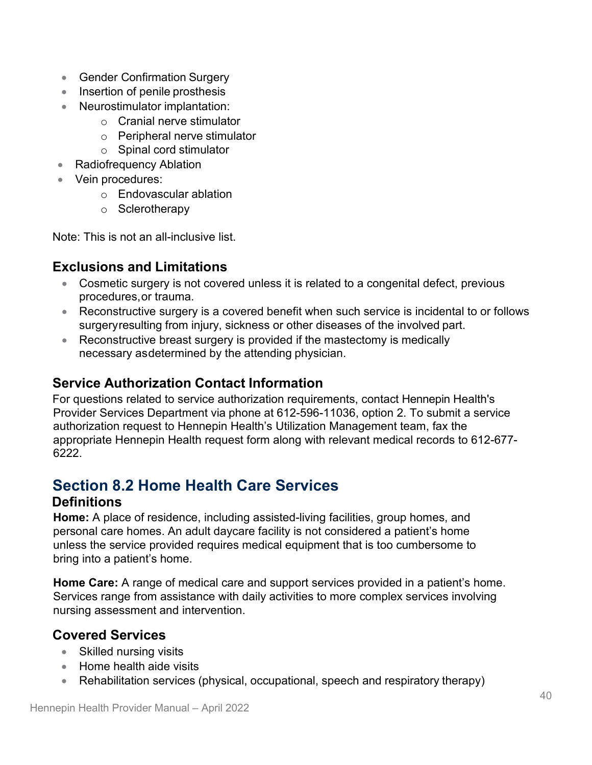- Gender Confirmation Surgery
- Insertion of penile prosthesis
- Neurostimulator implantation:
	- o Cranial nerve stimulator
	- o Peripheral nerve stimulator
	- o Spinal cord stimulator
- Radiofrequency Ablation
- Vein procedures:
	- o Endovascular ablation
	- o Sclerotherapy

Note: This is not an all-inclusive list.

### **Exclusions and Limitations**

- Cosmetic surgery is not covered unless it is related to a congenital defect, previous procedures,or trauma.
- Reconstructive surgery is a covered benefit when such service is incidental to or follows surgeryresulting from injury, sickness or other diseases of the involved part.
- Reconstructive breast surgery is provided if the mastectomy is medically necessary asdetermined by the attending physician.

### **Service Authorization Contact Information**

For questions related to service authorization requirements, contact Hennepin Health's Provider Services Department via phone at 612-596-11036, option 2. To submit a service authorization request to Hennepin Health's Utilization Management team, fax the appropriate Hennepin Health request form along with relevant medical records to 612-677- 6222.

# **Section 8.2 Home Health Care Services**

### **Definitions**

**Home:** A place of residence, including assisted-living facilities, group homes, and personal care homes. An adult daycare facility is not considered a patient's home unless the service provided requires medical equipment that is too cumbersome to bring into a patient's home.

**Home Care:** A range of medical care and support services provided in a patient's home. Services range from assistance with daily activities to more complex services involving nursing assessment and intervention.

### **Covered Services**

- Skilled nursing visits
- Home health aide visits
- Rehabilitation services (physical, occupational, speech and respiratory therapy)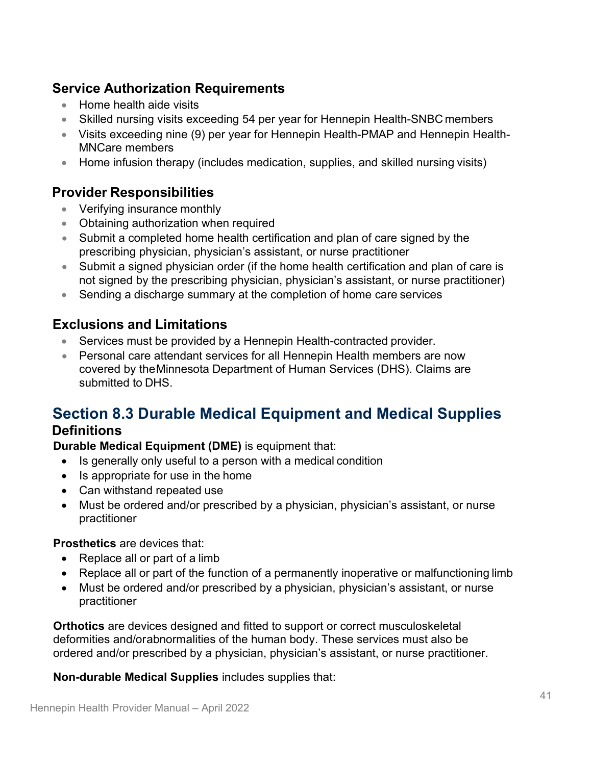### **Service Authorization Requirements**

- Home health aide visits
- Skilled nursing visits exceeding 54 per year for Hennepin Health-SNBC members
- Visits exceeding nine (9) per year for Hennepin Health-PMAP and Hennepin Health-MNCare members
- Home infusion therapy (includes medication, supplies, and skilled nursing visits)

### **Provider Responsibilities**

- Verifying insurance monthly
- Obtaining authorization when required
- Submit a completed home health certification and plan of care signed by the prescribing physician, physician's assistant, or nurse practitioner
- Submit a signed physician order (if the home health certification and plan of care is not signed by the prescribing physician, physician's assistant, or nurse practitioner)
- Sending a discharge summary at the completion of home care services

### **Exclusions and Limitations**

- Services must be provided by a Hennepin Health-contracted provider.
- Personal care attendant services for all Hennepin Health members are now covered by theMinnesota Department of Human Services (DHS). Claims are submitted to DHS.

# **Section 8.3 Durable Medical Equipment and Medical Supplies**

#### **Definitions**

**Durable Medical Equipment (DME)** is equipment that:

- Is generally only useful to a person with a medical condition
- Is appropriate for use in the home
- Can withstand repeated use
- Must be ordered and/or prescribed by a physician, physician's assistant, or nurse practitioner

#### **Prosthetics** are devices that:

- Replace all or part of a limb
- Replace all or part of the function of a permanently inoperative or malfunctioning limb
- Must be ordered and/or prescribed by a physician, physician's assistant, or nurse practitioner

**Orthotics** are devices designed and fitted to support or correct musculoskeletal deformities and/orabnormalities of the human body. These services must also be ordered and/or prescribed by a physician, physician's assistant, or nurse practitioner.

**Non-durable Medical Supplies** includes supplies that: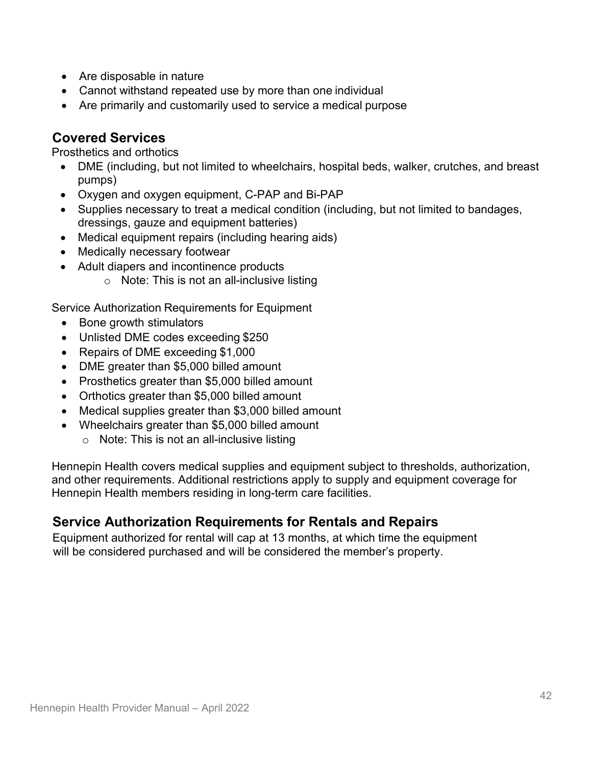- Are disposable in nature
- Cannot withstand repeated use by more than one individual
- Are primarily and customarily used to service a medical purpose

### **Covered Services**

Prosthetics and orthotics

- DME (including, but not limited to wheelchairs, hospital beds, walker, crutches, and breast pumps)
- Oxygen and oxygen equipment, C-PAP and Bi-PAP
- Supplies necessary to treat a medical condition (including, but not limited to bandages, dressings, gauze and equipment batteries)
- Medical equipment repairs (including hearing aids)
- Medically necessary footwear
- Adult diapers and incontinence products
	- $\circ$  Note: This is not an all-inclusive listing

Service Authorization Requirements for Equipment

- Bone growth stimulators
- Unlisted DME codes exceeding \$250
- Repairs of DME exceeding \$1,000
- DME greater than \$5,000 billed amount
- Prosthetics greater than \$5,000 billed amount
- Orthotics greater than \$5,000 billed amount
- Medical supplies greater than \$3,000 billed amount
- Wheelchairs greater than \$5,000 billed amount
	- $\circ$  Note: This is not an all-inclusive listing

Hennepin Health covers medical supplies and equipment subject to thresholds, authorization, and other requirements. Additional restrictions apply to supply and equipment coverage for Hennepin Health members residing in long-term care facilities.

### **Service Authorization Requirements for Rentals and Repairs**

Equipment authorized for rental will cap at 13 months, at which time the equipment will be considered purchased and will be considered the member's property.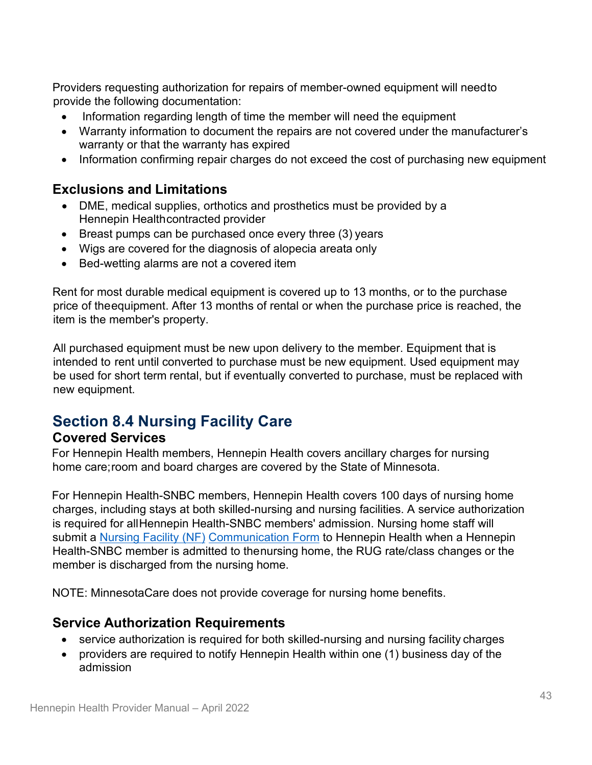Providers requesting authorization for repairs of member-owned equipment will needto provide the following documentation:

- Information regarding length of time the member will need the equipment
- Warranty information to document the repairs are not covered under the manufacturer's warranty or that the warranty has expired
- Information confirming repair charges do not exceed the cost of purchasing new equipment

### **Exclusions and Limitations**

- DME, medical supplies, orthotics and prosthetics must be provided by a Hennepin Healthcontracted provider
- Breast pumps can be purchased once every three (3) years
- Wigs are covered for the diagnosis of alopecia areata only
- Bed-wetting alarms are not a covered item

Rent for most durable medical equipment is covered up to 13 months, or to the purchase price of theequipment. After 13 months of rental or when the purchase price is reached, the item is the member's property.

All purchased equipment must be new upon delivery to the member. Equipment that is intended to rent until converted to purchase must be new equipment. Used equipment may be used for short term rental, but if eventually converted to purchase, must be replaced with new equipment.

## **Section 8.4 Nursing Facility Care**

#### **Covered Services**

For Hennepin Health members, Hennepin Health covers ancillary charges for nursing home care;room and board charges are covered by the State of Minnesota.

For Hennepin Health-SNBC members, Hennepin Health covers 100 days of nursing home charges, including stays at both skilled-nursing and nursing facilities. A service authorization is required for allHennepin Health-SNBC members' admission. Nursing home staff will submit a [Nursing Facility \(NF\)](https://edocs.dhs.state.mn.us/lfserver/Public/DHS-4461-ENG) [Communication Form](https://edocs.dhs.state.mn.us/lfserver/Public/DHS-4461-ENG) to Hennepin Health when a Hennepin Health-SNBC member is admitted to thenursing home, the RUG rate/class changes or the member is discharged from the nursing home.

NOTE: MinnesotaCare does not provide coverage for nursing home benefits.

### **Service Authorization Requirements**

- service authorization is required for both skilled-nursing and nursing facility charges
- providers are required to notify Hennepin Health within one (1) business day of the admission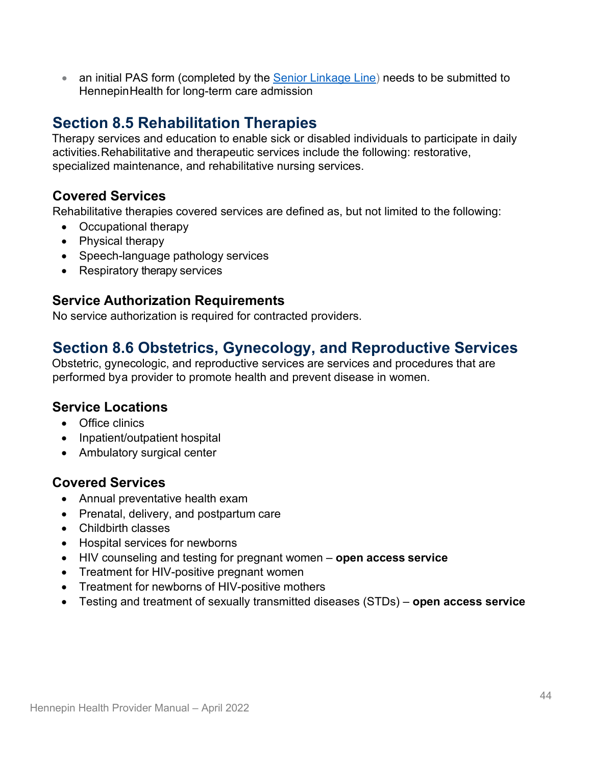• an initial PAS form (completed by the **[Senior Linkage Line\)](http://seniorlinkageline.com/)** needs to be submitted to HennepinHealth for long-term care admission

# **Section 8.5 Rehabilitation Therapies**

Therapy services and education to enable sick or disabled individuals to participate in daily activities.Rehabilitative and therapeutic services include the following: restorative, specialized maintenance, and rehabilitative nursing services.

### **Covered Services**

Rehabilitative therapies covered services are defined as, but not limited to the following:

- Occupational therapy
- Physical therapy
- Speech-language pathology services
- Respiratory therapy services

### **Service Authorization Requirements**

No service authorization is required for contracted providers.

## **Section 8.6 Obstetrics, Gynecology, and Reproductive Services**

Obstetric, gynecologic, and reproductive services are services and procedures that are performed bya provider to promote health and prevent disease in women.

### **Service Locations**

- Office clinics
- Inpatient/outpatient hospital
- Ambulatory surgical center

### **Covered Services**

- Annual preventative health exam
- Prenatal, delivery, and postpartum care
- Childbirth classes
- Hospital services for newborns
- HIV counseling and testing for pregnant women **open access service**
- Treatment for HIV-positive pregnant women
- Treatment for newborns of HIV-positive mothers
- Testing and treatment of sexually transmitted diseases (STDs) **open access service**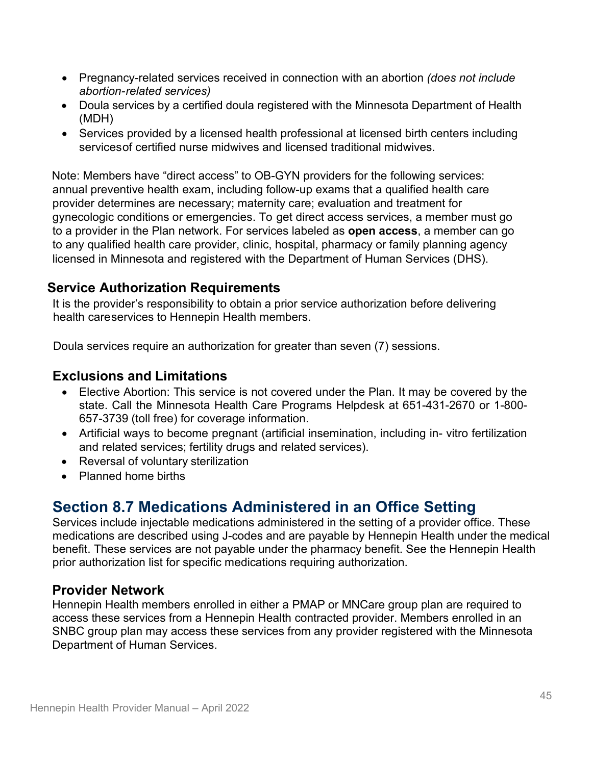- Pregnancy-related services received in connection with an abortion *(does not include abortion-related services)*
- Doula services by a certified doula registered with the Minnesota Department of Health (MDH)
- Services provided by a licensed health professional at licensed birth centers including servicesof certified nurse midwives and licensed traditional midwives.

Note: Members have "direct access" to OB-GYN providers for the following services: annual preventive health exam, including follow-up exams that a qualified health care provider determines are necessary; maternity care; evaluation and treatment for gynecologic conditions or emergencies. To get direct access services, a member must go to a provider in the Plan network. For services labeled as **open access**, a member can go to any qualified health care provider, clinic, hospital, pharmacy or family planning agency licensed in Minnesota and registered with the Department of Human Services (DHS).

### **Service Authorization Requirements**

It is the provider's responsibility to obtain a prior service authorization before delivering health careservices to Hennepin Health members.

Doula services require an authorization for greater than seven (7) sessions.

### **Exclusions and Limitations**

- Elective Abortion: This service is not covered under the Plan. It may be covered by the state. Call the Minnesota Health Care Programs Helpdesk at 651-431-2670 or 1-800- 657-3739 (toll free) for coverage information.
- Artificial ways to become pregnant (artificial insemination, including in- vitro fertilization and related services; fertility drugs and related services).
- Reversal of voluntary sterilization
- Planned home births

# **Section 8.7 Medications Administered in an Office Setting**

Services include injectable medications administered in the setting of a provider office. These medications are described using J-codes and are payable by Hennepin Health under the medical benefit. These services are not payable under the pharmacy benefit. See the Hennepin Health prior authorization list for specific medications requiring authorization.

### **Provider Network**

Hennepin Health members enrolled in either a PMAP or MNCare group plan are required to access these services from a Hennepin Health contracted provider. Members enrolled in an SNBC group plan may access these services from any provider registered with the Minnesota Department of Human Services.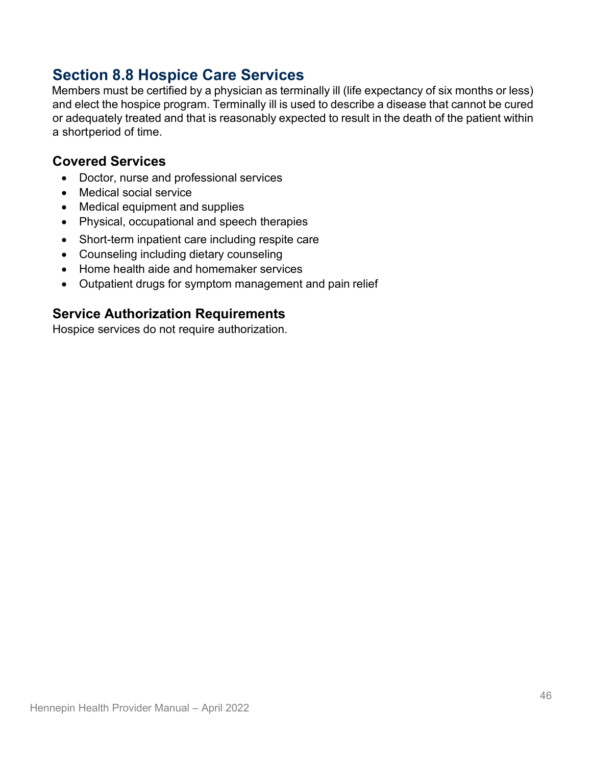# **Section 8.8 Hospice Care Services**

Members must be certified by a physician as terminally ill (life expectancy of six months or less) and elect the hospice program. Terminally ill is used to describe [a disease t](http://en.wikipedia.org/wiki/Disease)hat cannot be cured or adequately treated and that is reasonably expected to result in the [death o](http://en.wikipedia.org/wiki/Death)f the patient within a shortperiod of time.

### **Covered Services**

- Doctor, nurse and professional services
- Medical social service
- Medical equipment and supplies
- Physical, occupational and speech therapies
- Short-term inpatient care including respite care
- Counseling including dietary counseling
- Home health aide and homemaker services
- Outpatient drugs for symptom management and pain relief

### **Service Authorization Requirements**

Hospice services do not require authorization.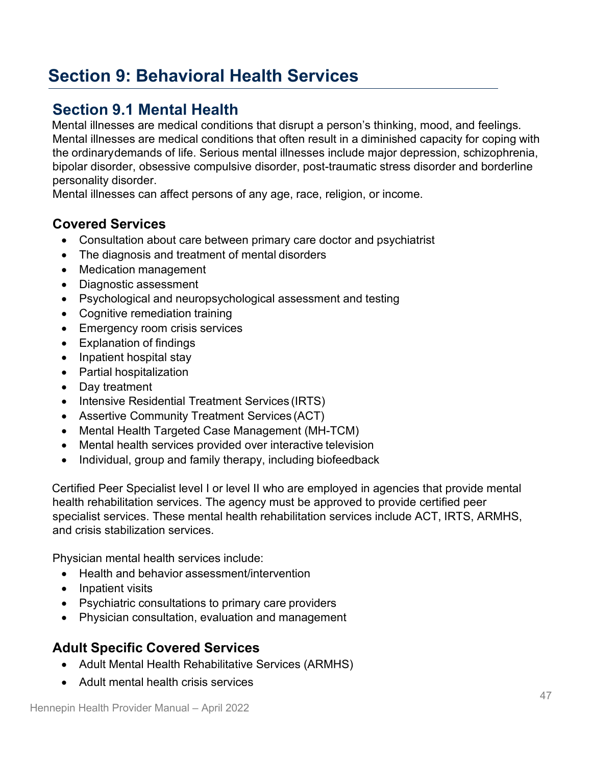# **Section 9: Behavioral Health Services**

# **Section 9.1 Mental Health**

Mental illnesses are medical conditions that disrupt a person's thinking, mood, and feelings. Mental illnesses are medical conditions that often result in a diminished capacity for coping with the ordinarydemands of life. Serious mental illnesses include major depression, schizophrenia, bipolar disorder, obsessive compulsive disorder, post-traumatic stress disorder and borderline personality disorder.

Mental illnesses can affect persons of any age, race, religion, or income.

### **Covered Services**

- Consultation about care between primary care doctor and psychiatrist
- The diagnosis and treatment of mental disorders
- Medication management
- Diagnostic assessment
- Psychological and neuropsychological assessment and testing
- Cognitive remediation training
- Emergency room crisis services
- Explanation of findings
- Inpatient hospital stay
- Partial hospitalization
- Day treatment
- Intensive Residential Treatment Services (IRTS)
- Assertive Community Treatment Services (ACT)
- Mental Health Targeted Case Management (MH-TCM)
- Mental health services provided over interactive television
- Individual, group and family therapy, including biofeedback

Certified Peer Specialist level I or level II who are employed in agencies that provide mental health rehabilitation services. The agency must be approved to provide certified peer specialist services. These mental health rehabilitation services include ACT, IRTS, ARMHS, and crisis stabilization services.

Physician mental health services include:

- Health and behavior assessment/intervention
- Inpatient visits
- Psychiatric consultations to primary care providers
- Physician consultation, evaluation and management

### **Adult Specific Covered Services**

- Adult Mental Health Rehabilitative Services (ARMHS)
- Adult mental health crisis services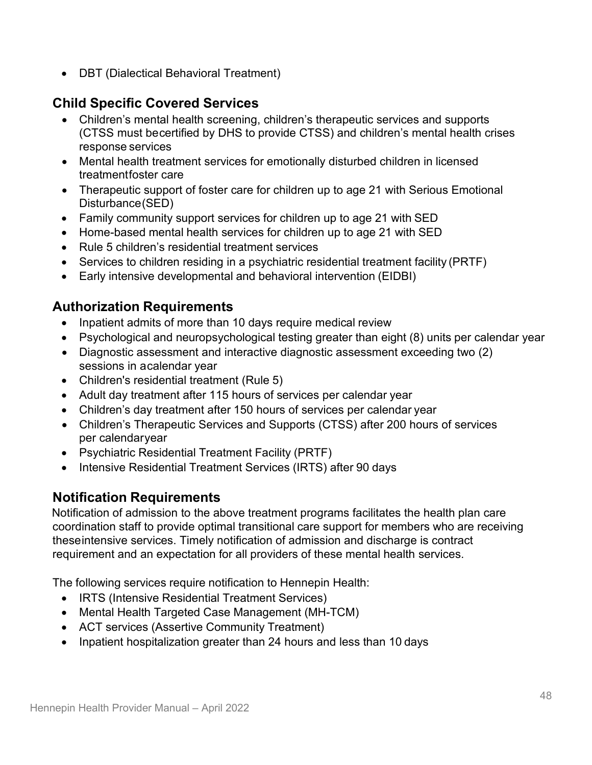• DBT (Dialectical Behavioral Treatment)

## **Child Specific Covered Services**

- Children's mental health screening, children's therapeutic services and supports (CTSS must becertified by DHS to provide CTSS) and children's mental health crises response services
- Mental health treatment services for emotionally disturbed children in licensed treatmentfoster care
- Therapeutic support of foster care for children up to age 21 with Serious Emotional Disturbance(SED)
- Family community support services for children up to age 21 with SED
- Home-based mental health services for children up to age 21 with SED
- Rule 5 children's residential treatment services
- Services to children residing in a psychiatric residential treatment facility (PRTF)
- Early intensive developmental and behavioral intervention (EIDBI)

### **Authorization Requirements**

- Inpatient admits of more than 10 days require medical review
- Psychological and neuropsychological testing greater than eight (8) units per calendar year
- Diagnostic assessment and interactive diagnostic assessment exceeding two (2) sessions in acalendar year
- Children's residential treatment (Rule 5)
- Adult day treatment after 115 hours of services per calendar year
- Children's day treatment after 150 hours of services per calendar year
- Children's Therapeutic Services and Supports (CTSS) after 200 hours of services per calendaryear
- Psychiatric Residential Treatment Facility (PRTF)
- Intensive Residential Treatment Services (IRTS) after 90 days

### **Notification Requirements**

Notification of admission to the above treatment programs facilitates the health plan care coordination staff to provide optimal transitional care support for members who are receiving theseintensive services. Timely notification of admission and discharge is contract requirement and an expectation for all providers of these mental health services.

The following services require notification to Hennepin Health:

- IRTS (Intensive Residential Treatment Services)
- Mental Health Targeted Case Management (MH-TCM)
- ACT services (Assertive Community Treatment)
- Inpatient hospitalization greater than 24 hours and less than 10 days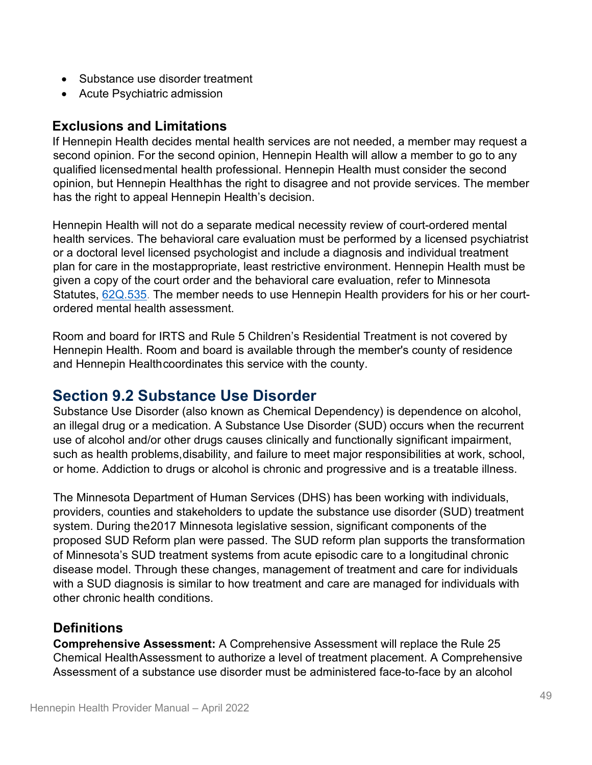- Substance use disorder treatment
- Acute Psychiatric admission

#### **Exclusions and Limitations**

If Hennepin Health decides mental health services are not needed, a member may request a second opinion. For the second opinion, Hennepin Health will allow a member to go to any qualified licensedmental health professional. Hennepin Health must consider the second opinion, but Hennepin Healthhas the right to disagree and not provide services. The member has the right to appeal Hennepin Health's decision.

Hennepin Health will not do a separate medical necessity review of court-ordered mental health services. The behavioral care evaluation must be performed by a licensed psychiatrist or a doctoral level licensed psychologist and include a diagnosis and individual treatment plan for care in the mostappropriate, least restrictive environment. Hennepin Health must be given a copy of the court order and the behavioral care evaluation, refer to Minnesota Statutes, [62Q.535.](https://www.revisor.mn.gov/statutes/cite/62Q.535) The member needs to use Hennepin Health providers for his or her courtordered mental health assessment.

Room and board for IRTS and Rule 5 Children's Residential Treatment is not covered by Hennepin Health. Room and board is available through the member's county of residence and Hennepin Healthcoordinates this service with the county.

## <span id="page-48-0"></span>**Section 9.2 Substance Use Disorder**

Substance Use Disorder (also known as Chemical Dependency) is dependence on alcohol, an illegal drug or a medication. A Substance Use Disorder (SUD) occurs when the recurrent use of alcohol and/or other drugs causes clinically and functionally significant impairment, such as health problems,disability, and failure to meet major responsibilities at work, school, or home. Addiction to drugs or alcohol is chronic and progressive and is a treatable illness.

The Minnesota Department of Human Services (DHS) has been working with individuals, providers, counties and stakeholders to update the substance use disorder (SUD) treatment system. During the2017 Minnesota legislative session, significant components of the proposed SUD Reform plan were passed. The SUD reform plan supports the transformation of Minnesota's SUD treatment systems from acute episodic care to a longitudinal chronic disease model. Through these changes, management of treatment and care for individuals with a SUD diagnosis is similar to how treatment and care are managed for individuals with other chronic health conditions.

### **Definitions**

**Comprehensive Assessment:** A Comprehensive Assessment will replace the Rule 25 Chemical Health Assessment to authorize a level of treatment placement. A Comprehensive Assessment of a substance use disorder must be administered face-to-face by an alcohol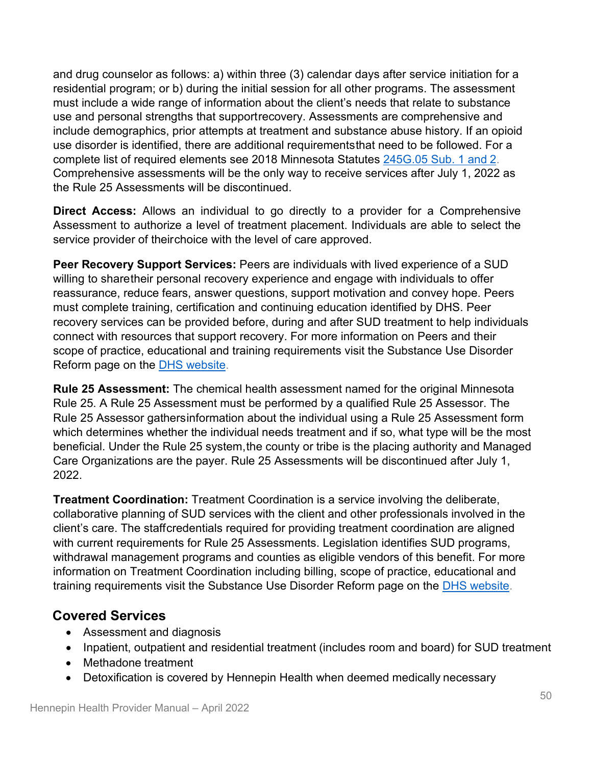and drug counselor as follows: a) within three (3) calendar days after service initiation for a residential program; or b) during the initial session for all other programs. The assessment must include a wide range of information about the client's needs that relate to substance use and personal strengths that supportrecovery. Assessments are comprehensive and include demographics, prior attempts at treatment and substance abuse history. If an opioid use disorder is identified, there are additional requirementsthat need to be followed. For a complete list of required elements see 2018 Minnesota Statutes [245G.05](https://www.revisor.mn.gov/statutes/cite/245G.05) Sub. 1 and 2. Comprehensive assessments will be the only way to receive services after July 1, 2022 as the Rule 25 Assessments will be discontinued.

**Direct Access:** Allows an individual to go directly to a provider for a Comprehensive Assessment to authorize a level of treatment placement. Individuals are able to select the service provider of theirchoice with the level of care approved.

**Peer Recovery Support Services:** Peers are individuals with lived experience of a SUD willing to sharetheir personal recovery experience and engage with individuals to offer reassurance, reduce fears, answer questions, support motivation and convey hope. Peers must complete training, certification and continuing education identified by DHS. Peer recovery services can be provided before, during and after SUD treatment to help individuals connect with resources that support recovery. For more information on Peers and their scope of practice, educational and training requirements visit the Substance Use Disorder Reform page on the DHS [website.](https://mn.gov/dhs/partners-and-providers/news-initiatives-reports-workgroups/alcohol-drug-other-addictions/sudreform/)

**Rule 25 Assessment:** The chemical health assessment named for the original Minnesota Rule 25. A Rule 25 Assessment must be performed by a qualified Rule 25 Assessor. The Rule 25 Assessor gathersinformation about the individual using a Rule 25 Assessment form which determines whether the individual needs treatment and if so, what type will be the most beneficial. Under the Rule 25 system, the county or tribe is the placing authority and Managed Care Organizations are the payer. Rule 25 Assessments will be discontinued after July 1, 2022.

**Treatment Coordination:** Treatment Coordination is a service involving the deliberate, collaborative planning of SUD services with the client and other professionals involved in the client's care. The staffcredentials required for providing treatment coordination are aligned with current requirements for Rule 25 Assessments. Legislation identifies SUD programs, withdrawal management programs and counties as eligible vendors of this benefit. For more information on Treatment Coordination including billing, scope of practice, educational and training requirements visit the Substance Use Disorder Reform page on the DHS [website.](https://mn.gov/dhs/partners-and-providers/news-initiatives-reports-workgroups/alcohol-drug-other-addictions/sudreform/)

## **Covered Services**

- Assessment and diagnosis
- Inpatient, outpatient and residential treatment (includes room and board) for SUD treatment
- Methadone treatment
- Detoxification is covered by Hennepin Health when deemed medically necessary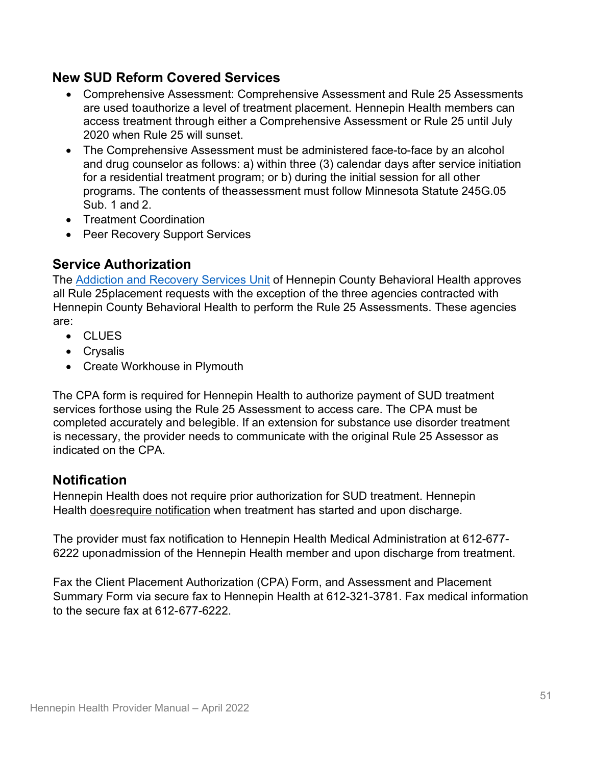### **New SUD Reform Covered Services**

- Comprehensive Assessment: Comprehensive Assessment and Rule 25 Assessments are used toauthorize a level of treatment placement. Hennepin Health members can access treatment through either a Comprehensive Assessment or Rule 25 until July 2020 when Rule 25 will sunset.
- The Comprehensive Assessment must be administered face-to-face by an alcohol and drug counselor as follows: a) within three (3) calendar days after service initiation for a residential treatment program; or b) during the initial session for all other programs. The contents of theassessment must follow Minnesota Statute 245G.05 Sub. 1 and 2.
- Treatment Coordination
- Peer Recovery Support Services

### **Service Authorization**

The [Addiction and Recovery Services Unit](https://www.hennepin.us/residents/human-services/treatment-substance-use-disorders) of Hennepin County Behavioral Health approves all Rule 25placement requests with the exception of the three agencies contracted with Hennepin County Behavioral Health to perform the Rule 25 Assessments. These agencies are:

- CLUES
- Crysalis
- Create Workhouse in Plymouth

The CPA form is required for Hennepin Health to authorize payment of SUD treatment services forthose using the Rule 25 Assessment to access care. The CPA must be completed accurately and belegible. If an extension for substance use disorder treatment is necessary, the provider needs to communicate with the original Rule 25 Assessor as indicated on the CPA.

### **Notification**

Hennepin Health does not require prior authorization for SUD treatment. Hennepin Health doesrequire notification when treatment has started and upon discharge.

The provider must fax notification to Hennepin Health Medical Administration at 612-677- 6222 uponadmission of the Hennepin Health member and upon discharge from treatment.

Fax the Client Placement Authorization (CPA) Form, and Assessment and Placement Summary Form via secure fax to Hennepin Health at 612-321-3781. Fax medical information to the secure fax at  $612-677-6222$ .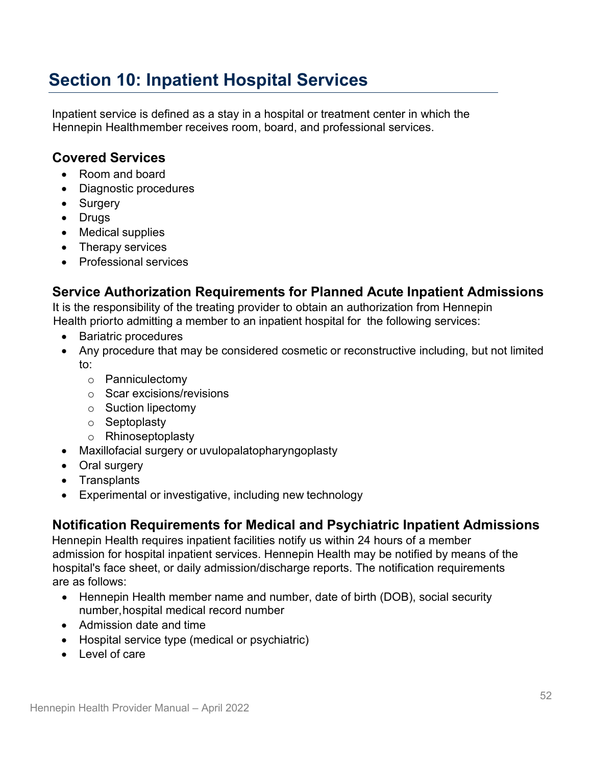# **Section 10: Inpatient Hospital Services**

Inpatient service is defined as a stay in a hospital or treatment center in which the Hennepin Healthmember receives room, board, and professional services.

### **Covered Services**

- Room and board
- Diagnostic procedures
- Surgery
- Drugs
- Medical supplies
- Therapy services
- Professional services

## **Service Authorization Requirements for Planned Acute Inpatient Admissions**

It is the responsibility of the treating provider to obtain an authorization from Hennepin Health priorto admitting a member to an inpatient hospital for the following services:

- Bariatric procedures
- Any procedure that may be considered cosmetic or reconstructive including, but not limited to:
	- o Panniculectomy
	- o Scar excisions/revisions
	- o Suction lipectomy
	- o Septoplasty
	- o Rhinoseptoplasty
- Maxillofacial surgery or uvulopalatopharyngoplasty
- Oral surgery
- Transplants
- Experimental or investigative, including new technology

### **Notification Requirements for Medical and Psychiatric Inpatient Admissions**

Hennepin Health requires inpatient facilities notify us within 24 hours of a member admission for hospital inpatient services. Hennepin Health may be notified by means of the hospital's face sheet, or daily admission/discharge reports. The notification requirements are as follows:

- Hennepin Health member name and number, date of birth (DOB), social security number,hospital medical record number
- Admission date and time
- Hospital service type (medical or psychiatric)
- Level of care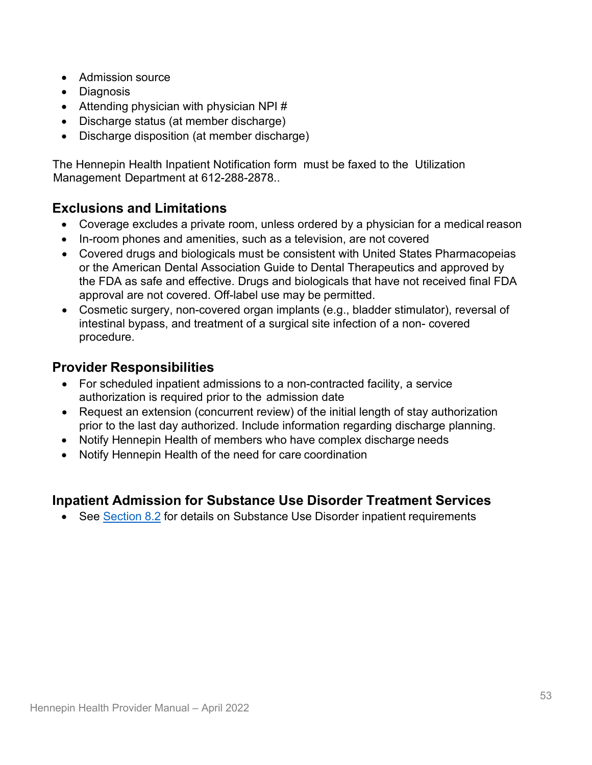- Admission source
- Diagnosis
- Attending physician with physician NPI  $#$
- Discharge status (at member discharge)
- Discharge disposition (at member discharge)

The Hennepin Health Inpatient Notification form must be faxed to the Utilization Management Department at 612-288-2878..

### **Exclusions and Limitations**

- Coverage excludes a private room, unless ordered by a physician for a medical reason
- In-room phones and amenities, such as a television, are not covered
- Covered drugs and biologicals must be consistent with United States Pharmacopeias or the American Dental Association Guide to Dental Therapeutics and approved by the FDA as safe and effective. Drugs and biologicals that have not received final FDA approval are not covered. Off-label use may be permitted.
- Cosmetic surgery, non-covered organ implants (e.g., bladder stimulator), reversal of intestinal bypass, and treatment of a surgical site infection of a non- covered procedure.

### **Provider Responsibilities**

- For scheduled inpatient admissions to a non-contracted facility, a service authorization is required prior to the admission date
- Request an extension (concurrent review) of the initial length of stay authorization prior to the last day authorized. Include information regarding discharge planning.
- Notify Hennepin Health of members who have complex discharge needs
- Notify Hennepin Health of the need for care coordination

### **Inpatient Admission for Substance Use Disorder Treatment Services**

• See [Section](#page-48-0) 8.2 for details on Substance Use Disorder inpatient requirements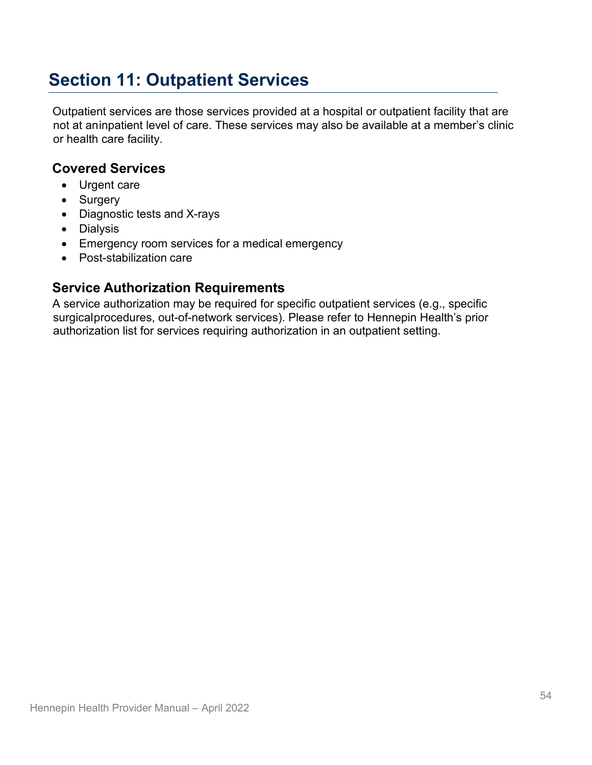# **Section 11: Outpatient Services**

Outpatient services are those services provided at a hospital or outpatient facility that are not at aninpatient level of care. These services may also be available at a member's clinic or health care facility.

### **Covered Services**

- Urgent care
- Surgery
- Diagnostic tests and X-rays
- Dialysis
- Emergency room services for a medical emergency
- Post-stabilization care

### **Service Authorization Requirements**

A service authorization may be required for specific outpatient services (e.g., specific surgicalprocedures, out-of-network services). Please refer to Hennepin Health's prior authorization list for services requiring authorization in an outpatient setting.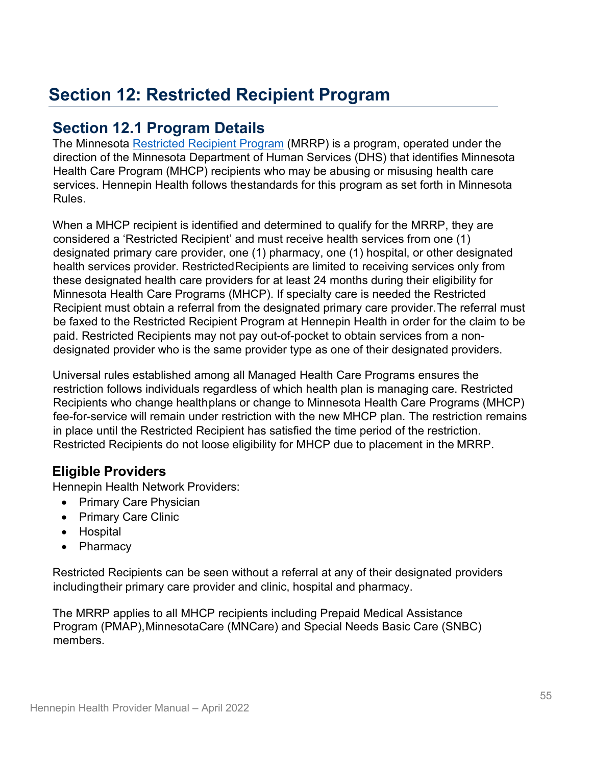# **Section 12: Restricted Recipient Program**

## **Section 12.1 Program Details**

The Minnesota [Restricted Recipient Program](https://mn.gov/dhs/general-public/office-of-inspector-general/minnesota-restricted-recipient-program/) (MRRP) is a program, operated under the direction of the Minnesota Department of Human Services (DHS) that identifies Minnesota Health Care Program (MHCP) recipients who may be abusing or misusing health care services. Hennepin Health follows thestandards for this program as set forth in Minnesota Rules.

When a MHCP recipient is identified and determined to qualify for the MRRP, they are considered a 'Restricted Recipient' and must receive health services from one (1) designated primary care provider, one (1) pharmacy, one (1) hospital, or other designated health services provider. RestrictedRecipients are limited to receiving services only from these designated health care providers for at least 24 months during their eligibility for Minnesota Health Care Programs (MHCP). If specialty care is needed the Restricted Recipient must obtain a referral from the designated primary care provider.The referral must be faxed to the Restricted Recipient Program at Hennepin Health in order for the claim to be paid. Restricted Recipients may not pay out-of-pocket to obtain services from a nondesignated provider who is the same provider type as one of their designated providers.

Universal rules established among all Managed Health Care Programs ensures the restriction follows individuals regardless of which health plan is managing care. Restricted Recipients who change healthplans or change to Minnesota Health Care Programs (MHCP) fee-for-service will remain under restriction with the new MHCP plan. The restriction remains in place until the Restricted Recipient has satisfied the time period of the restriction. Restricted Recipients do not loose eligibility for MHCP due to placement in the MRRP.

## **Eligible Providers**

Hennepin Health Network Providers:

- Primary Care Physician
- Primary Care Clinic
- Hospital
- Pharmacy

Restricted Recipients can be seen without a referral at any of their designated providers includingtheir primary care provider and clinic, hospital and pharmacy.

The MRRP applies to all MHCP recipients including Prepaid Medical Assistance Program (PMAP),MinnesotaCare (MNCare) and Special Needs Basic Care (SNBC) members.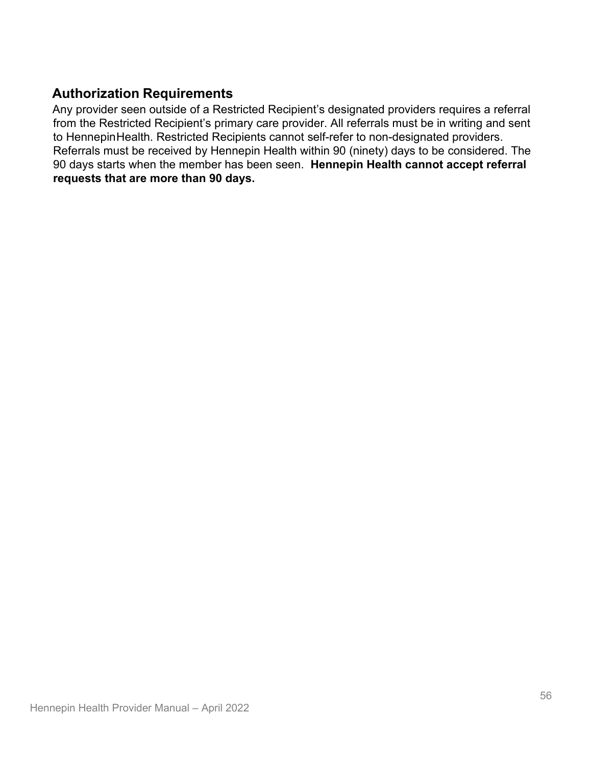## **Authorization Requirements**

Any provider seen outside of a Restricted Recipient's designated providers requires a referral from the Restricted Recipient's primary care provider. All referrals must be in writing and sent to HennepinHealth. Restricted Recipients cannot self-refer to non-designated providers. Referrals must be received by Hennepin Health within 90 (ninety) days to be considered. The 90 days starts when the member has been seen. **Hennepin Health cannot accept referral requests that are more than 90 days.**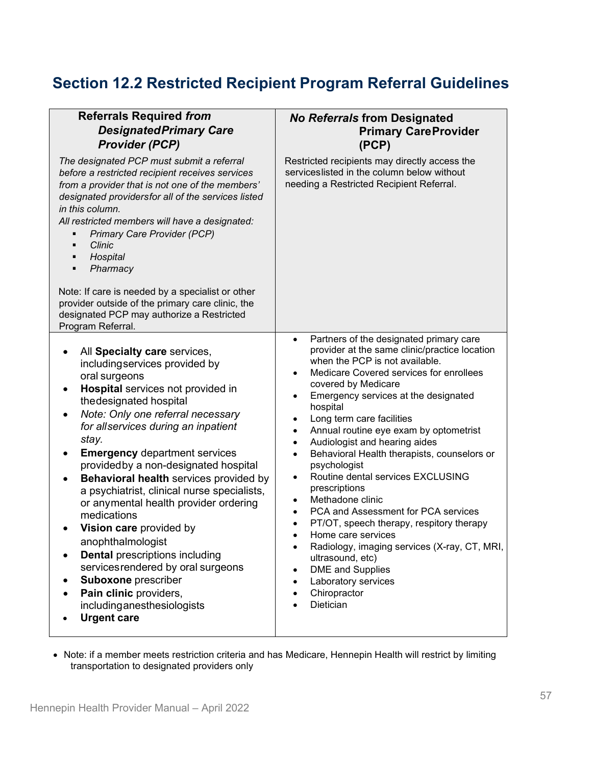# **Section 12.2 Restricted Recipient Program Referral Guidelines**

| <b>Referrals Required from</b><br><b>Designated Primary Care</b><br><b>Provider (PCP)</b>                                                                                                                                                                                                                                                                                                                                                                                                                                                                                                                                                                                                                           | <b>No Referrals from Designated</b><br><b>Primary CareProvider</b><br>(PCP)                                                                                                                                                                                                                                                                                                                                                                                                                                                                                                                                                                                                                                                                                                                                                                                                                                               |
|---------------------------------------------------------------------------------------------------------------------------------------------------------------------------------------------------------------------------------------------------------------------------------------------------------------------------------------------------------------------------------------------------------------------------------------------------------------------------------------------------------------------------------------------------------------------------------------------------------------------------------------------------------------------------------------------------------------------|---------------------------------------------------------------------------------------------------------------------------------------------------------------------------------------------------------------------------------------------------------------------------------------------------------------------------------------------------------------------------------------------------------------------------------------------------------------------------------------------------------------------------------------------------------------------------------------------------------------------------------------------------------------------------------------------------------------------------------------------------------------------------------------------------------------------------------------------------------------------------------------------------------------------------|
| The designated PCP must submit a referral<br>before a restricted recipient receives services<br>from a provider that is not one of the members'<br>designated providersfor all of the services listed<br>in this column.<br>All restricted members will have a designated:<br>Primary Care Provider (PCP)<br>٠<br>Clinic<br>$\blacksquare$<br>Hospital<br>٠<br>Pharmacy<br>٠                                                                                                                                                                                                                                                                                                                                        | Restricted recipients may directly access the<br>serviceslisted in the column below without<br>needing a Restricted Recipient Referral.                                                                                                                                                                                                                                                                                                                                                                                                                                                                                                                                                                                                                                                                                                                                                                                   |
| Note: If care is needed by a specialist or other<br>provider outside of the primary care clinic, the<br>designated PCP may authorize a Restricted<br>Program Referral.                                                                                                                                                                                                                                                                                                                                                                                                                                                                                                                                              |                                                                                                                                                                                                                                                                                                                                                                                                                                                                                                                                                                                                                                                                                                                                                                                                                                                                                                                           |
| All Specialty care services,<br>includingservices provided by<br>oral surgeons<br>Hospital services not provided in<br>the designated hospital<br>Note: Only one referral necessary<br>٠<br>for allservices during an inpatient<br>stay.<br><b>Emergency department services</b><br>providedby a non-designated hospital<br>Behavioral health services provided by<br>a psychiatrist, clinical nurse specialists,<br>or anymental health provider ordering<br>medications<br>Vision care provided by<br>anophthalmologist<br><b>Dental prescriptions including</b><br>servicesrendered by oral surgeons<br><b>Suboxone</b> prescriber<br>Pain clinic providers,<br>includinganesthesiologists<br><b>Urgent care</b> | Partners of the designated primary care<br>$\bullet$<br>provider at the same clinic/practice location<br>when the PCP is not available.<br>Medicare Covered services for enrollees<br>covered by Medicare<br>Emergency services at the designated<br>$\bullet$<br>hospital<br>Long term care facilities<br>$\bullet$<br>Annual routine eye exam by optometrist<br>$\bullet$<br>Audiologist and hearing aides<br>$\bullet$<br>Behavioral Health therapists, counselors or<br>$\bullet$<br>psychologist<br>Routine dental services EXCLUSING<br>$\bullet$<br>prescriptions<br>Methadone clinic<br>$\bullet$<br>PCA and Assessment for PCA services<br>$\bullet$<br>PT/OT, speech therapy, respitory therapy<br>$\bullet$<br>Home care services<br>$\bullet$<br>Radiology, imaging services (X-ray, CT, MRI,<br>ultrasound, etc)<br><b>DME</b> and Supplies<br>$\bullet$<br>Laboratory services<br>Chiropractor<br>Dietician |

• Note: if a member meets restriction criteria and has Medicare, Hennepin Health will restrict by limiting transportation to designated providers only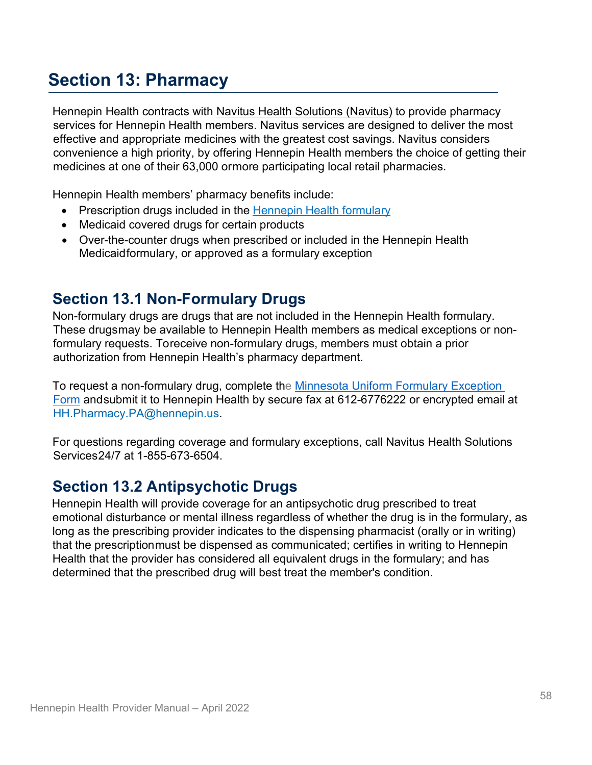# **Section 13: Pharmacy**

Hennepin Health contracts with [Navitus Health Solutions \(Navitus\)](https://www.navitus.com/) to provide pharmacy services for Hennepin Health members. Navitus services are designed to deliver the most effective and appropriate medicines with the greatest cost savings. Navitus considers convenience a high priority, by offering Hennepin Health members the choice of getting their medicines at one of their 63,000 ormore participating local retail pharmacies.

Hennepin Health members' pharmacy benefits include:

- Prescription drugs included in the [Hennepin](https://hennepinhealth.org/providers/forms) Health formulary
- Medicaid covered drugs for certain products
- Over-the-counter drugs when prescribed or included in the Hennepin Health Medicaidformulary, or approved as a formulary exception

## **Section 13.1 Non-Formulary Drugs**

Non-formulary drugs are drugs that are not included in the Hennepin Health formulary. These drugsmay be available to Hennepin Health members as medical exceptions or nonformulary requests. Toreceive non-formulary drugs, members must obtain a prior authorization from Hennepin Health's pharmacy department.

To request a non-formulary drug, complete the [Minnesota Uniform Formulary Exception](https://hennepinhealth.org/-/media/hh/providers/forms/prescription-drug-prior-authorization.pdf)  [Form](https://hennepinhealth.org/-/media/hh/providers/forms/prescription-drug-prior-authorization.pdf) andsubmit it to Hennepin Health by secure fax at 612-6776222 or encrypted email at [HH.Pharmacy.PA@hennepin.us.](mailto:HH.Pharmacy.PA@hennepin.us)

For questions regarding coverage and formulary exceptions, call Navitus Health Solutions Services 24/7 at 1-855-673-6504.

## **Section 13.2 Antipsychotic Drugs**

Hennepin Health will provide coverage for an antipsychotic drug prescribed to treat emotional disturbance or mental illness regardless of whether the drug is in the formulary, as long as the prescribing provider indicates to the dispensing pharmacist (orally or in writing) that the prescriptionmust be dispensed as communicated; certifies in writing to Hennepin Health that the provider has considered all equivalent drugs in the formulary; and has determined that the prescribed drug will best treat the member's condition.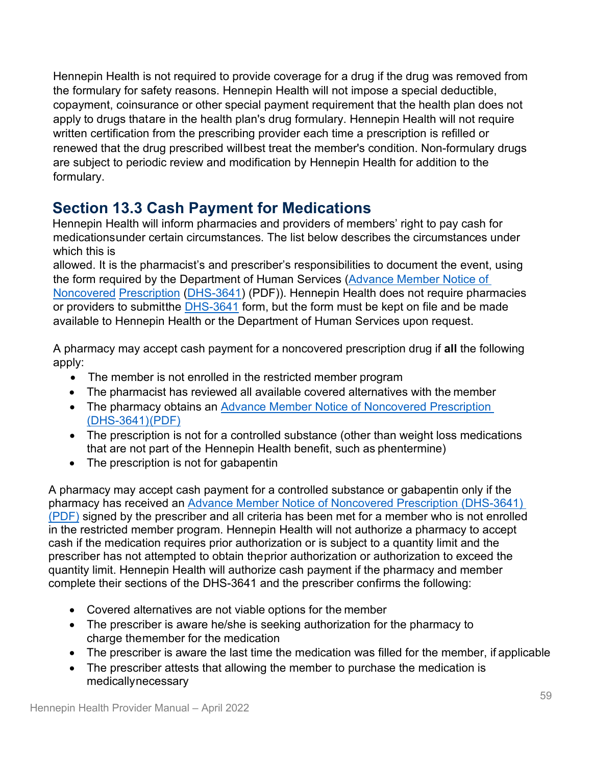Hennepin Health is not required to provide coverage for a drug if the drug was removed from the formulary for safety reasons. Hennepin Health will not impose a special deductible, copayment, coinsurance or other special payment requirement that the health plan does not apply to drugs thatare in the health plan's drug formulary. Hennepin Health will not require written certification from the prescribing provider each time a prescription is refilled or renewed that the drug prescribed willbest treat the member's condition. Non-formulary drugs are subject to periodic review and modification by Hennepin Health for addition to the formulary.

# **Section 13.3 Cash Payment for Medications**

Hennepin Health will inform pharmacies and providers of members' right to pay cash for medicationsunder certain circumstances. The list below describes the circumstances under which this is

allowed. It is the pharmacist's and prescriber's responsibilities to document the event, using the form required by the Department of Human Services [\(Advance Member Notice of](https://edocs.dhs.state.mn.us/lfserver/Public/DHS-3641-ENG)  [Noncovered](https://edocs.dhs.state.mn.us/lfserver/Public/DHS-3641-ENG) [Prescription](https://edocs.dhs.state.mn.us/lfserver/Public/DHS-3641-ENG) [\(DHS-3641\)](https://edocs.dhs.state.mn.us/lfserver/Public/DHS-3641-ENG) (PDF)). Hennepin Health does not require pharmacies or providers to submitthe [DHS-3641](https://edocs.dhs.state.mn.us/lfserver/Public/DHS-3641-ENG) form, but the form must be kept on file and be made available to Hennepin Health or the Department of Human Services upon request.

A pharmacy may accept cash payment for a noncovered prescription drug if **all** the following apply:

- The member is not enrolled in the restricted member program
- The pharmacist has reviewed all available covered alternatives with the member
- The pharmacy obtains an [Advance Member Notice of Noncovered Prescription](https://edocs.dhs.state.mn.us/lfserver/Public/DHS-3641-ENG)  [\(DHS-3641\)\(PDF\)](https://edocs.dhs.state.mn.us/lfserver/Public/DHS-3641-ENG)
- The prescription is not for a controlled substance (other than weight loss medications that are not part of the Hennepin Health benefit, such as phentermine)
- The prescription is not for gabapentin

A pharmacy may accept cash payment for a controlled substance or gabapentin only if the pharmacy has received an [Advance Member Notice of Noncovered Prescription \(DHS-3641\)](https://edocs.dhs.state.mn.us/lfserver/Public/DHS-3641-ENG)  [\(PDF\)](https://edocs.dhs.state.mn.us/lfserver/Public/DHS-3641-ENG) signed by the prescriber and all criteria has been met for a member who is not enrolled in the restricted member program. Hennepin Health will not authorize a pharmacy to accept cash if the medication requires prior authorization or is subject to a quantity limit and the prescriber has not attempted to obtain theprior authorization or authorization to exceed the quantity limit. Hennepin Health will authorize cash payment if the pharmacy and member complete their sections of the DHS-3641 and the prescriber confirms the following:

- Covered alternatives are not viable options for the member
- The prescriber is aware he/she is seeking authorization for the pharmacy to charge themember for the medication
- The prescriber is aware the last time the medication was filled for the member, if applicable
- The prescriber attests that allowing the member to purchase the medication is medicallynecessary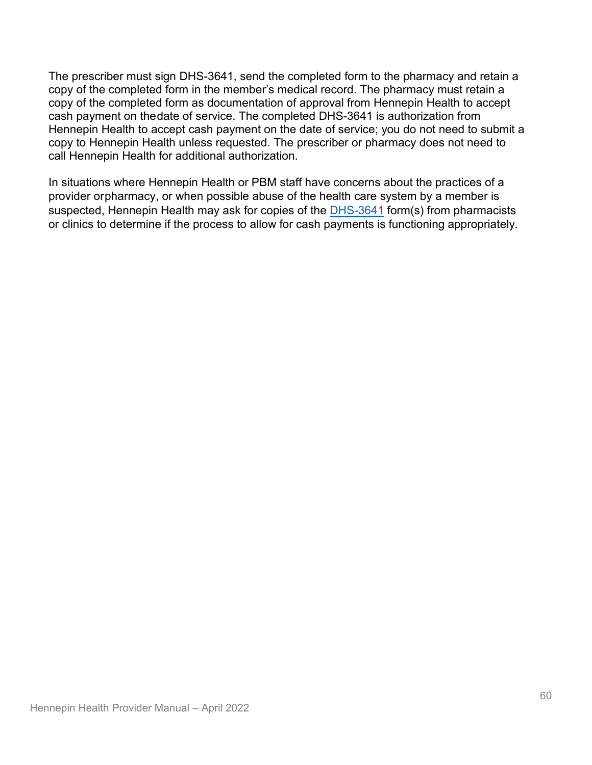The prescriber must sign DHS-3641, send the completed form to the pharmacy and retain a copy of the completed form in the member's medical record. The pharmacy must retain a copy of the completed form as documentation of approval from Hennepin Health to accept cash payment on thedate of service. The completed DHS-3641 is authorization from Hennepin Health to accept cash payment on the date of service; you do not need to submit a copy to Hennepin Health unless requested. The prescriber or pharmacy does not need to call Hennepin Health for additional authorization.

In situations where Hennepin Health or PBM staff have concerns about the practices of a provider orpharmacy, or when possible abuse of the health care system by a member is suspected, Hennepin Health may ask for copies of the **DHS-3641** form(s) from pharmacists or clinics to determine if the process to allow for cash payments is functioning appropriately.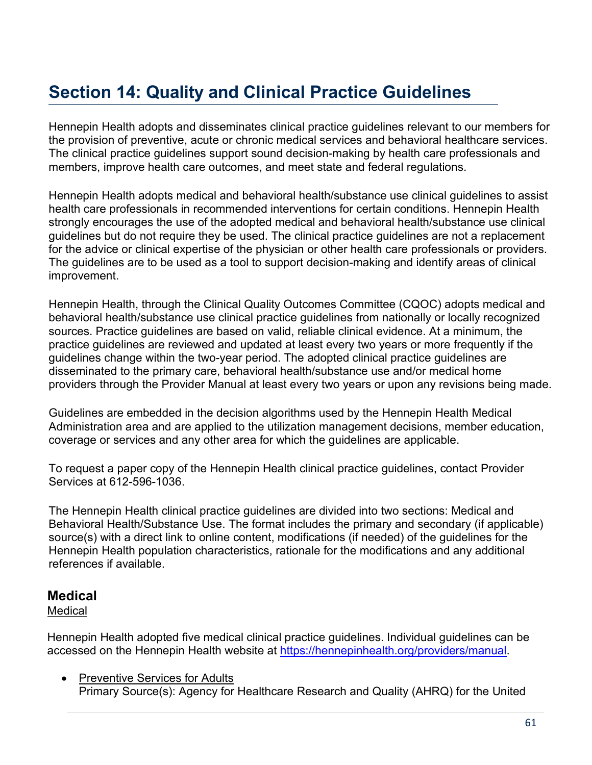# **Section 14: Quality and Clinical Practice Guidelines**

Hennepin Health adopts and disseminates clinical practice guidelines relevant to our members for the provision of preventive, acute or chronic medical services and behavioral healthcare services. The clinical practice guidelines support sound decision-making by health care professionals and members, improve health care outcomes, and meet state and federal regulations.

Hennepin Health adopts medical and behavioral health/substance use clinical guidelines to assist health care professionals in recommended interventions for certain conditions. Hennepin Health strongly encourages the use of the adopted medical and behavioral health/substance use clinical guidelines but do not require they be used. The clinical practice guidelines are not a replacement for the advice or clinical expertise of the physician or other health care professionals or providers. The guidelines are to be used as a tool to support decision-making and identify areas of clinical improvement.

Hennepin Health, through the Clinical Quality Outcomes Committee (CQOC) adopts medical and behavioral health/substance use clinical practice guidelines from nationally or locally recognized sources. Practice guidelines are based on valid, reliable clinical evidence. At a minimum, the practice guidelines are reviewed and updated at least every two years or more frequently if the guidelines change within the two-year period. The adopted clinical practice guidelines are disseminated to the primary care, behavioral health/substance use and/or medical home providers through the Provider Manual at least every two years or upon any revisions being made.

Guidelines are embedded in the decision algorithms used by the Hennepin Health Medical Administration area and are applied to the utilization management decisions, member education, coverage or services and any other area for which the guidelines are applicable.

To request a paper copy of the Hennepin Health clinical practice guidelines, contact Provider Services at 612-596-1036.

The Hennepin Health clinical practice guidelines are divided into two sections: Medical and Behavioral Health/Substance Use. The format includes the primary and secondary (if applicable) source(s) with a direct link to online content, modifications (if needed) of the guidelines for the Hennepin Health population characteristics, rationale for the modifications and any additional references if available.

### **Medical**

#### **Medical**

Hennepin Health adopted five medical clinical practice guidelines. Individual guidelines can be accessed on the Hennepin Health website at [https://hennepinhealth.org/providers/manual.](https://hennepinhealth.org/providers/manual)

• Preventive Services for Adults Primary Source(s): Agency for Healthcare Research and Quality (AHRQ) for the United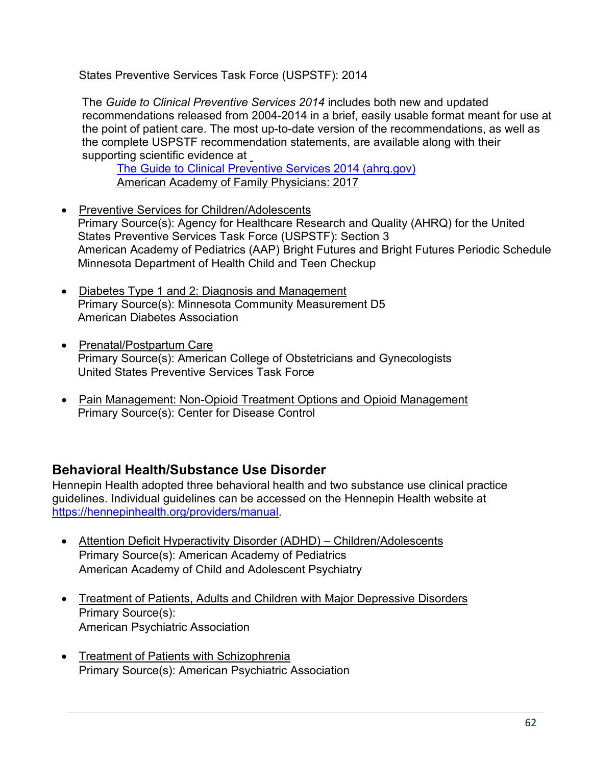States Preventive Services Task Force (USPSTF): 2014

The *Guide to Clinical Preventive Services 2014* includes both new and updated recommendations released from 2004-2014 in a brief, easily usable format meant for use at the point of patient care. The most up-to-date version of the recommendations, as well as the complete USPSTF recommendation statements, are available along with their supporting scientific evidence at

[The Guide to Clinical Preventive Services 2014 \(ahrq.gov\)](https://www.ahrq.gov/sites/default/files/wysiwyg/professionals/clinicians-providers/guidelines-recommendations/guide/cpsguide.pdf) American Academy of Family Physicians: 2017

- Preventive Services for Children/Adolescents Primary Source(s): Agency for Healthcare Research and Quality (AHRQ) for the United States Preventive Services Task Force (USPSTF): Section 3 American Academy of Pediatrics (AAP) Bright Futures and Bright Futures Periodic Schedule Minnesota Department of Health Child and Teen Checkup
- Diabetes Type 1 and 2: Diagnosis and Management Primary Source(s): Minnesota Community Measurement D5 American Diabetes Association
- Prenatal/Postpartum Care Primary Source(s): American College of Obstetricians and Gynecologists United States Preventive Services Task Force
- Pain Management: Non-Opioid Treatment Options and Opioid Management Primary Source(s): Center for Disease Control

## **Behavioral Health/Substance Use Disorder**

Hennepin Health adopted three behavioral health and two substance use clinical practice guidelines. Individual guidelines can be accessed on the Hennepin Health website at [https://hennepinhealth.org/providers/manual.](https://hennepinhealth.org/providers/manual)

- Attention Deficit Hyperactivity Disorder (ADHD) Children/Adolescents Primary Source(s): American Academy of Pediatrics American Academy of Child and Adolescent Psychiatry
- Treatment of Patients, Adults and Children with Major Depressive Disorders Primary Source(s): American Psychiatric Association
- Treatment of Patients with Schizophrenia Primary Source(s): American Psychiatric Association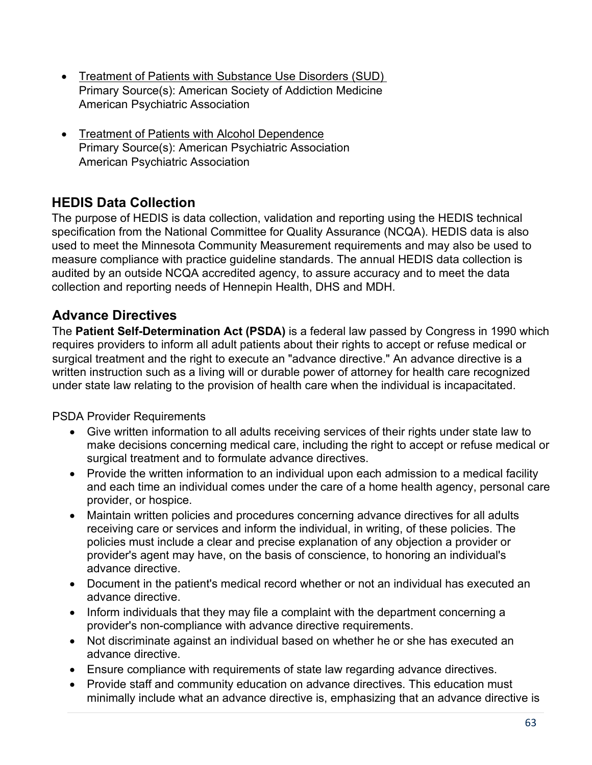- Treatment of Patients with Substance Use Disorders (SUD) Primary Source(s): American Society of Addiction Medicine American Psychiatric Association
- Treatment of Patients with Alcohol Dependence Primary Source(s): American Psychiatric Association American Psychiatric Association

## **HEDIS Data Collection**

The purpose of HEDIS is data collection, validation and reporting using the HEDIS technical specification from the National Committee for Quality Assurance (NCQA). HEDIS data is also used to meet the Minnesota Community Measurement requirements and may also be used to measure compliance with practice guideline standards. The annual HEDIS data collection is audited by an outside NCQA accredited agency, to assure accuracy and to meet the data collection and reporting needs of Hennepin Health, DHS and MDH.

## **Advance Directives**

The **[Patient Self-Determination Act \(PSDA\)](https://www.congress.gov/bill/101st-congress/house-bill/4449)** is a federal law passed by Congress in 1990 which requires providers to inform all adult patients about their rights to accept or refuse medical or surgical treatment and the right to execute an "advance directive." An advance directive is a written instruction such as a living will or durable power of attorney for health care recognized under state law relating to the provision of health care when the individual is incapacitated.

PSDA Provider Requirements

- Give written information to all adults receiving services of their rights under state law to make decisions concerning medical care, including the right to accept or refuse medical or surgical treatment and to formulate advance directives.
- Provide the written information to an individual upon each admission to a medical facility and each time an individual comes under the care of a home health agency, personal care provider, or hospice.
- Maintain written policies and procedures concerning advance directives for all adults receiving care or services and inform the individual, in writing, of these policies. The policies must include a clear and precise explanation of any objection a provider or provider's agent may have, on the basis of conscience, to honoring an individual's advance directive.
- Document in the patient's medical record whether or not an individual has executed an advance directive.
- Inform individuals that they may file a complaint with the department concerning a provider's non-compliance with advance directive requirements.
- Not discriminate against an individual based on whether he or she has executed an advance directive.
- Ensure compliance with requirements of state law regarding advance directives.
- Provide staff and community education on advance directives. This education must minimally include what an advance directive is, emphasizing that an advance directive is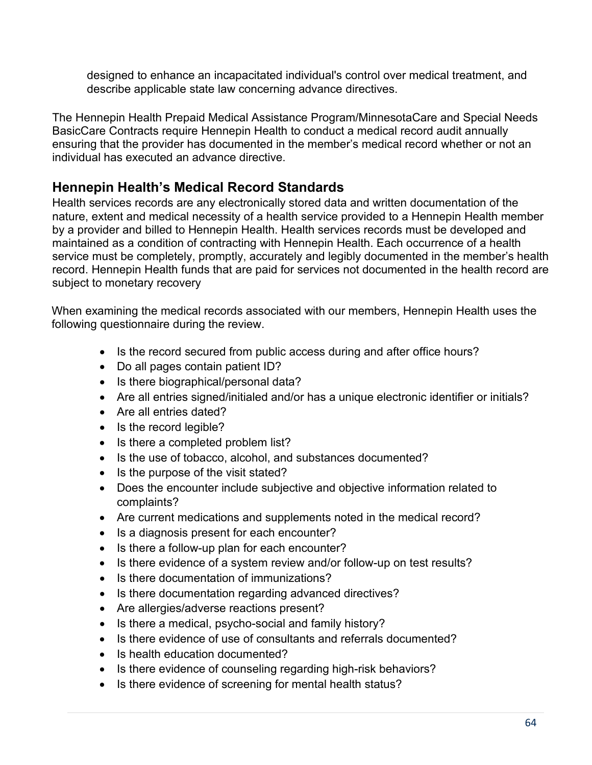designed to enhance an incapacitated individual's control over medical treatment, and describe applicable state law concerning advance directives.

The Hennepin Health Prepaid Medical Assistance Program/MinnesotaCare and Special Needs BasicCare Contracts require Hennepin Health to conduct a medical record audit annually ensuring that the provider has documented in the member's medical record whether or not an individual has executed an advance directive.

### **Hennepin Health's Medical Record Standards**

Health services records are any electronically stored data and written documentation of the nature, extent and medical necessity of a health service provided to a Hennepin Health member by a provider and billed to Hennepin Health. Health services records must be developed and maintained as a condition of contracting with Hennepin Health. Each occurrence of a health service must be completely, promptly, accurately and legibly documented in the member's health record. Hennepin Health funds that are paid for services not documented in the health record are subject to monetary recovery

When examining the medical records associated with our members, Hennepin Health uses the following questionnaire during the review.

- Is the record secured from public access during and after office hours?
- Do all pages contain patient ID?
- Is there biographical/personal data?
- Are all entries signed/initialed and/or has a unique electronic identifier or initials?
- Are all entries dated?
- Is the record legible?
- Is there a completed problem list?
- Is the use of tobacco, alcohol, and substances documented?
- Is the purpose of the visit stated?
- Does the encounter include subjective and objective information related to complaints?
- Are current medications and supplements noted in the medical record?
- Is a diagnosis present for each encounter?
- Is there a follow-up plan for each encounter?
- Is there evidence of a system review and/or follow-up on test results?
- Is there documentation of immunizations?
- Is there documentation regarding advanced directives?
- Are allergies/adverse reactions present?
- Is there a medical, psycho-social and family history?
- Is there evidence of use of consultants and referrals documented?
- Is health education documented?
- Is there evidence of counseling regarding high-risk behaviors?
- Is there evidence of screening for mental health status?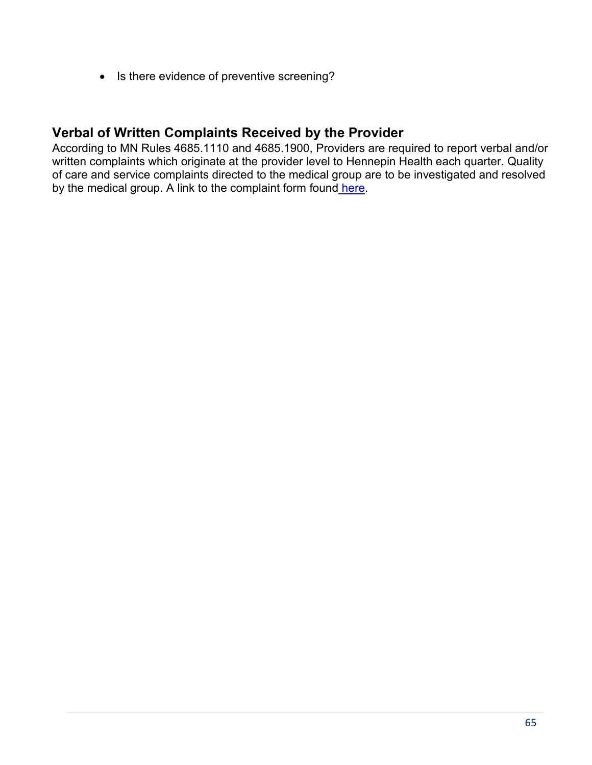• Is there evidence of preventive screening?

### **Verbal of Written Complaints Received by the Provider**

According to MN Rules 4685.1110 and 4685.1900, Providers are required to report verbal and/or written complaints which originate at the provider level to Hennepin Health each quarter. Quality of care and service complaints directed to the medical group are to be investigated and resolved by the medical group. A link to the complaint form found [here.](https://hennepinhealth.org/-/media/hh/providers/forms/provider-quarterly-complaint-reporting.docx)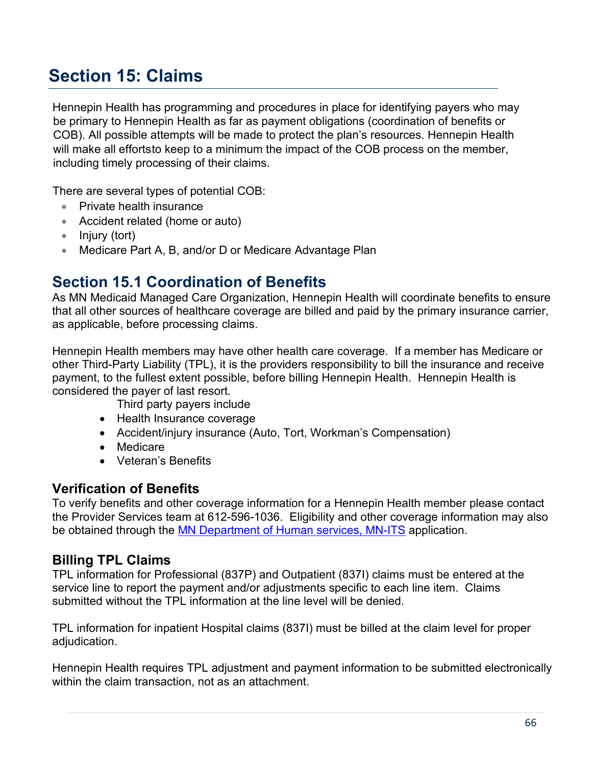# **Section 15: Claims**

Hennepin Health has programming and procedures in place for identifying payers who may be primary to Hennepin Health as far as payment obligations (coordination of benefits or COB). All possible attempts will be made to protect the plan's resources. Hennepin Health will make all effortsto keep to a minimum the impact of the COB process on the member, including timely processing of their claims.

There are several types of potential COB:

- Private health insurance
- Accident related (home or auto)
- Injury (tort)
- Medicare Part A, B, and/or D or Medicare Advantage Plan

## **Section 15.1 Coordination of Benefits**

As MN Medicaid Managed Care Organization, Hennepin Health will coordinate benefits to ensure that all other sources of healthcare coverage are billed and paid by the primary insurance carrier, as applicable, before processing claims.

Hennepin Health members may have other health care coverage. If a member has Medicare or other Third-Party Liability (TPL), it is the providers responsibility to bill the insurance and receive payment, to the fullest extent possible, before billing Hennepin Health. Hennepin Health is considered the payer of last resort.

Third party payers include

- Health Insurance coverage
- Accident/injury insurance (Auto, Tort, Workman's Compensation)
- Medicare
- Veteran's Benefits

### **Verification of Benefits**

To verify benefits and other coverage information for a Hennepin Health member please contact the Provider Services team at 612-596-1036. Eligibility and other coverage information may also be obtained through the [MN Department of Human services, MN-ITS](https://mn-its.dhs.state.mn.us/gatewayweb/login) application.

### **Billing TPL Claims**

TPL information for Professional (837P) and Outpatient (837I) claims must be entered at the service line to report the payment and/or adjustments specific to each line item. Claims submitted without the TPL information at the line level will be denied.

TPL information for inpatient Hospital claims (837I) must be billed at the claim level for proper adjudication.

Hennepin Health requires TPL adjustment and payment information to be submitted electronically within the claim transaction, not as an attachment.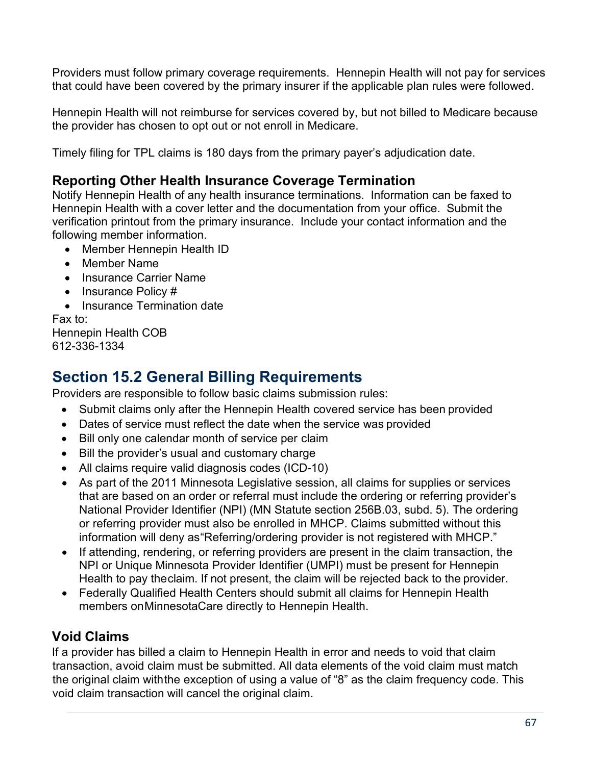Providers must follow primary coverage requirements. Hennepin Health will not pay for services that could have been covered by the primary insurer if the applicable plan rules were followed.

Hennepin Health will not reimburse for services covered by, but not billed to Medicare because the provider has chosen to opt out or not enroll in Medicare.

Timely filing for TPL claims is 180 days from the primary payer's adjudication date.

### **Reporting Other Health Insurance Coverage Termination**

Notify Hennepin Health of any health insurance terminations. Information can be faxed to Hennepin Health with a cover letter and the documentation from your office. Submit the verification printout from the primary insurance. Include your contact information and the following member information.

- Member Hennepin Health ID
- Member Name
- Insurance Carrier Name
- Insurance Policy #
- Insurance Termination date

Fax to: Hennepin Health COB 612-336-1334

## **Section 15.2 General Billing Requirements**

Providers are responsible to follow basic claims submission rules:

- Submit claims only after the Hennepin Health covered service has been provided
- Dates of service must reflect the date when the service was provided
- Bill only one calendar month of service per claim
- Bill the provider's usual and customary charge
- All claims require valid diagnosis codes (ICD-10)
- As part of the 2011 Minnesota Legislative session, all claims for supplies or services that are based on an order or referral must include the ordering or referring provider's National Provider Identifier (NPI) (MN Statute section 256B.03, subd. 5). The ordering or referring provider must also be enrolled in MHCP. Claims submitted without this information will deny as"Referring/ordering provider is not registered with MHCP."
- If attending, rendering, or referring providers are present in the claim transaction, the NPI or Unique Minnesota Provider Identifier (UMPI) must be present for Hennepin Health to pay theclaim. If not present, the claim will be rejected back to the provider.
- Federally Qualified Health Centers should submit all claims for Hennepin Health members onMinnesotaCare directly to Hennepin Health.

## **Void Claims**

If a provider has billed a claim to Hennepin Health in error and needs to void that claim transaction, avoid claim must be submitted. All data elements of the void claim must match the original claim withthe exception of using a value of "8" as the claim frequency code. This void claim transaction will cancel the original claim.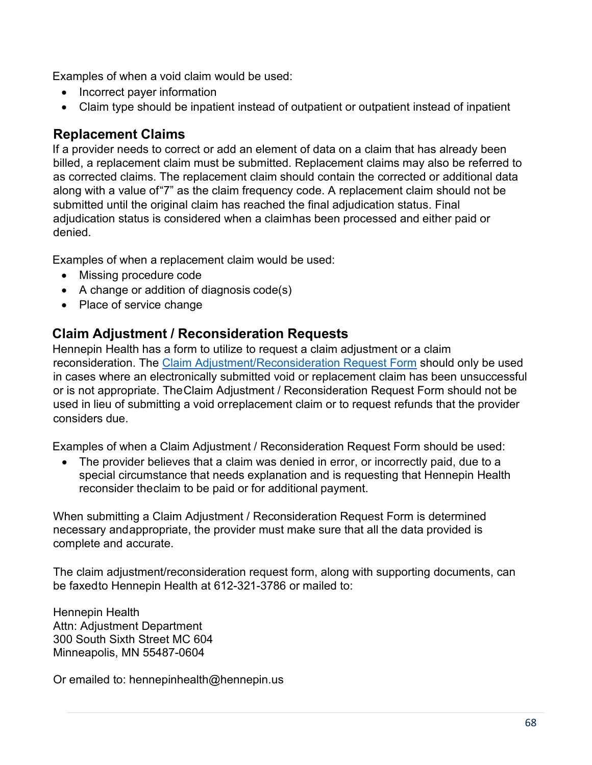Examples of when a void claim would be used:

- Incorrect payer information
- Claim type should be inpatient instead of outpatient or outpatient instead of inpatient

### **Replacement Claims**

If a provider needs to correct or add an element of data on a claim that has already been billed, a replacement claim must be submitted. Replacement claims may also be referred to as corrected claims. The replacement claim should contain the corrected or additional data along with a value of"7" as the claim frequency code. A replacement claim should not be submitted until the original claim has reached the final adjudication status. Final adjudication status is considered when a claimhas been processed and either paid or denied.

Examples of when a replacement claim would be used:

- Missing procedure code
- A change or addition of diagnosis code(s)
- Place of service change

### **Claim Adjustment / Reconsideration Requests**

Hennepin Health has a form to utilize to request a claim adjustment or a claim reconsideration. The [Claim Adjustment/Reconsideration Request Form](https://hennepinhealth.org/-/media/hh/providers/forms/Claim-Adjustment-Reconsideration-Request-Form-1118.pdf) should only be used in cases where an electronically submitted void or replacement claim has been unsuccessful or is not appropriate. TheClaim Adjustment / Reconsideration Request Form should not be used in lieu of submitting a void orreplacement claim or to request refunds that the provider considers due.

Examples of when a Claim Adjustment / Reconsideration Request Form should be used:

The provider believes that a claim was denied in error, or incorrectly paid, due to a special circumstance that needs explanation and is requesting that Hennepin Health reconsider theclaim to be paid or for additional payment.

When submitting a Claim Adjustment / Reconsideration Request Form is determined necessary andappropriate, the provider must make sure that all the data provided is complete and accurate.

The claim adjustment/reconsideration request form, along with supporting documents, can be faxedto Hennepin Health at 612-321-3786 or mailed to:

Hennepin Health Attn: Adjustment Department 300 South Sixth Street MC 604 Minneapolis, MN 55487-0604

Or emailed to: hennepinhealth@hennepin.us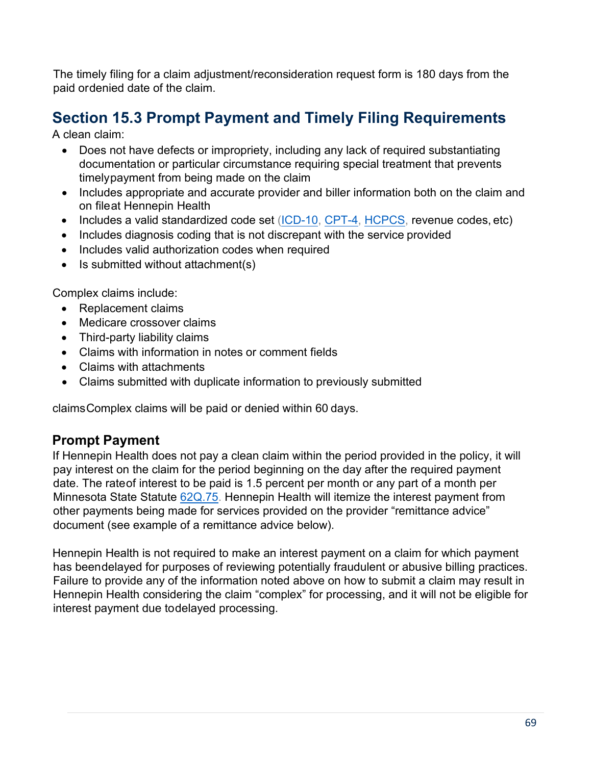The timely filing for a claim adjustment/reconsideration request form is 180 days from the paid ordenied date of the claim.

# **Section 15.3 Prompt Payment and Timely Filing Requirements**

A clean claim:

- Does not have defects or impropriety, including any lack of required substantiating documentation or particular circumstance requiring special treatment that prevents timelypayment from being made on the claim
- Includes appropriate and accurate provider and biller information both on the claim and on fileat Hennepin Health
- Includes a valid standardized code set [\(ICD-10,](https://www.cms.gov/Medicare/Coding/ICD10/index.html) [CPT-4,](https://www.ama-assn.org/practice-management/cpt-current-procedural-terminology) [HCPCS,](https://www.cms.gov/Medicare/Coding/MedHCPCSGenInfo/index.html) revenue codes, etc)
- Includes diagnosis coding that is not discrepant with the service provided
- Includes valid authorization codes when required
- Is submitted without attachment(s)

Complex claims include:

- Replacement claims
- Medicare crossover claims
- Third-party liability claims
- Claims with information in notes or comment fields
- Claims with attachments
- Claims submitted with duplicate information to previously submitted

claimsComplex claims will be paid or denied within 60 days.

### **Prompt Payment**

If Hennepin Health does not pay a clean claim within the period provided in the policy, it will pay interest on the claim for the period beginning on the day after the required payment date. The rateof interest to be paid is 1.5 percent per month or any part of a month per Minnesota State Statute [62Q.75.](https://www.revisor.mn.gov/statutes/cite/62Q.75) Hennepin Health will itemize the interest payment from other payments being made for services provided on the provider "remittance advice" document (see example of a remittance advice below).

Hennepin Health is not required to make an interest payment on a claim for which payment has been delayed for purposes of reviewing potentially fraudulent or abusive billing practices. Failure to provide any of the information noted above on how to submit a claim may result in Hennepin Health considering the claim "complex" for processing, and it will not be eligible for interest payment due todelayed processing.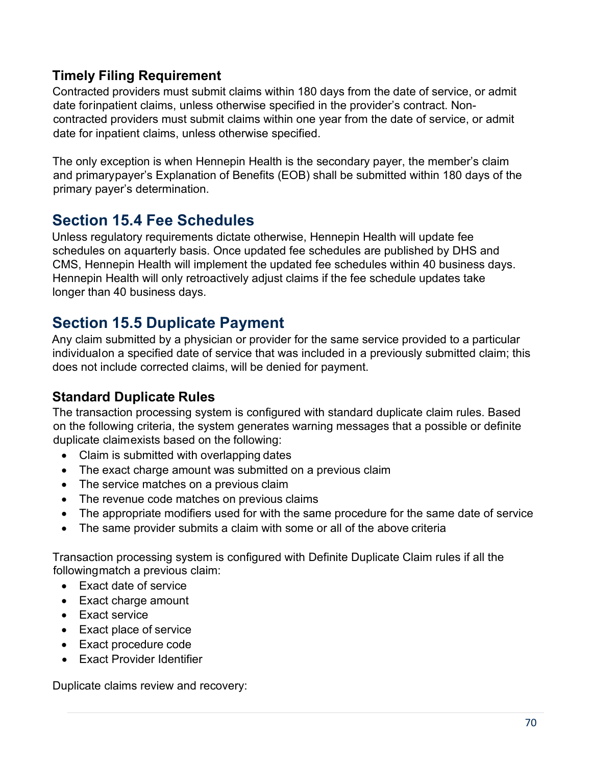## **Timely Filing Requirement**

Contracted providers must submit claims within 180 days from the date of service, or admit date forinpatient claims, unless otherwise specified in the provider's contract. Noncontracted providers must submit claims within one year from the date of service, or admit date for inpatient claims, unless otherwise specified.

The only exception is when Hennepin Health is the secondary payer, the member's claim and primarypayer's Explanation of Benefits (EOB) shall be submitted within 180 days of the primary payer's determination.

# **Section 15.4 Fee Schedules**

Unless regulatory requirements dictate otherwise, Hennepin Health will update fee schedules on aquarterly basis. Once updated fee schedules are published by DHS and CMS, Hennepin Health will implement the updated fee schedules within 40 business days. Hennepin Health will only retroactively adjust claims if the fee schedule updates take longer than 40 business days.

# **Section 15.5 Duplicate Payment**

Any claim submitted by a physician or provider for the same service provided to a particular individualon a specified date of service that was included in a previously submitted claim; this does not include corrected claims, will be denied for payment.

## **Standard Duplicate Rules**

The transaction processing system is configured with standard duplicate claim rules. Based on the following criteria, the system generates warning messages that a possible or definite duplicate claimexists based on the following:

- Claim is submitted with overlapping dates
- The exact charge amount was submitted on a previous claim
- The service matches on a previous claim
- The revenue code matches on previous claims
- The appropriate modifiers used for with the same procedure for the same date of service
- The same provider submits a claim with some or all of the above criteria

Transaction processing system is configured with Definite Duplicate Claim rules if all the followingmatch a previous claim:

- Exact date of service
- Exact charge amount
- Exact service
- Exact place of service
- Exact procedure code
- Exact Provider Identifier

Duplicate claims review and recovery: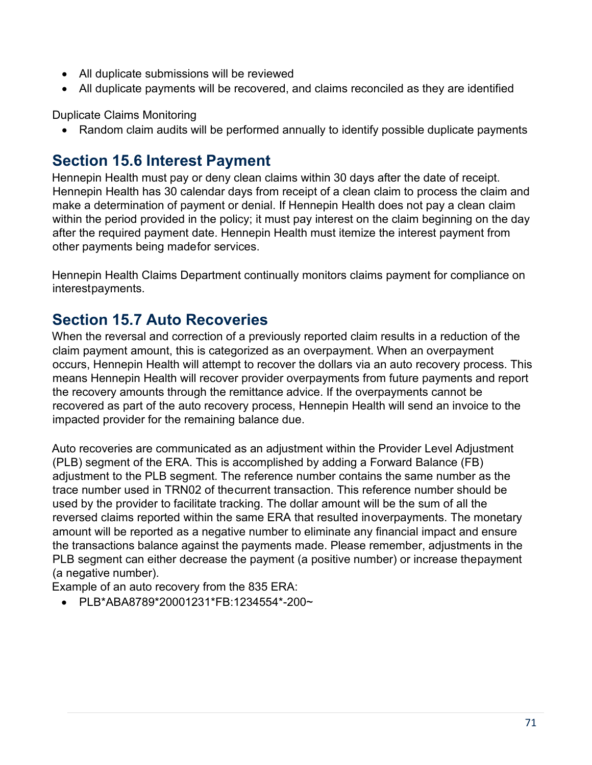- All duplicate submissions will be reviewed
- All duplicate payments will be recovered, and claims reconciled as they are identified

Duplicate Claims Monitoring

• Random claim audits will be performed annually to identify possible duplicate payments

## **Section 15.6 Interest Payment**

Hennepin Health must pay or deny clean claims within 30 days after the date of receipt. Hennepin Health has 30 calendar days from receipt of a clean claim to process the claim and make a determination of payment or denial. If Hennepin Health does not pay a clean claim within the period provided in the policy; it must pay interest on the claim beginning on the day after the required payment date. Hennepin Health must itemize the interest payment from other payments being madefor services.

Hennepin Health Claims Department continually monitors claims payment for compliance on interestpayments.

## **Section 15.7 Auto Recoveries**

When the reversal and correction of a previously reported claim results in a reduction of the claim payment amount, this is categorized as an overpayment. When an overpayment occurs, Hennepin Health will attempt to recover the dollars via an auto recovery process. This means Hennepin Health will recover provider overpayments from future payments and report the recovery amounts through the remittance advice. If the overpayments cannot be recovered as part of the auto recovery process, Hennepin Health will send an invoice to the impacted provider for the remaining balance due.

Auto recoveries are communicated as an adjustment within the Provider Level Adjustment (PLB) segment of the ERA. This is accomplished by adding a Forward Balance (FB) adjustment to the PLB segment. The reference number contains the same number as the trace number used in TRN02 of thecurrent transaction. This reference number should be used by the provider to facilitate tracking. The dollar amount will be the sum of all the reversed claims reported within the same ERA that resulted inoverpayments. The monetary amount will be reported as a negative number to eliminate any financial impact and ensure the transactions balance against the payments made. Please remember, adjustments in the PLB segment can either decrease the payment (a positive number) or increase thepayment (a negative number).

Example of an auto recovery from the 835 ERA:

• PLB\*ABA8789\*20001231\*FB:1234554\*-200~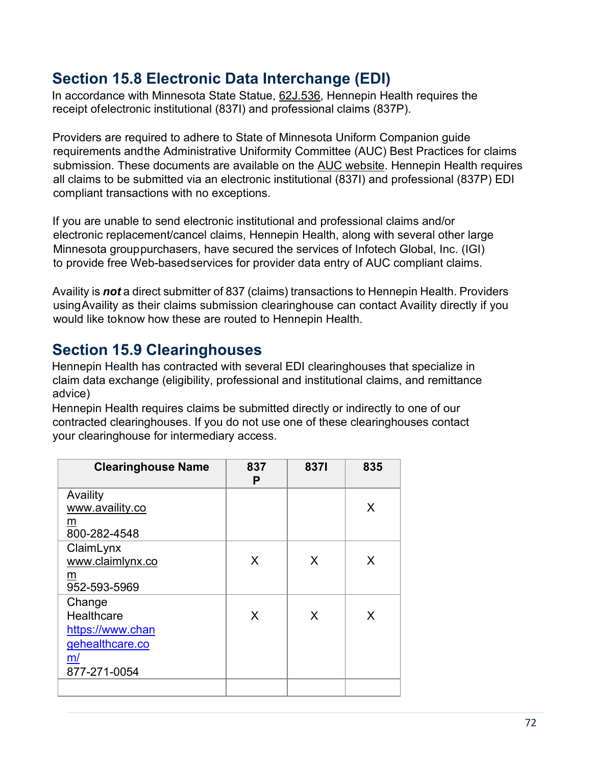## **Section 15.8 Electronic Data Interchange (EDI)**

In accordance with Minnesota State Statue, [62J.536,](https://www.revisor.mn.gov/statutes/cite/62J.536) Hennepin Health requires the receipt ofelectronic institutional (837I) and professional claims (837P).

Providers are required to adhere to State of Minnesota Uniform Companion guide requirements andthe Administrative Uniformity Committee (AUC) Best Practices for claims submission. These documents are available on the [AUC website. H](http://www.health.state.mn.us/auc/index.html)ennepin Health requires all claims to be submitted via an electronic institutional (837I) and professional (837P) EDI compliant transactions with no exceptions.

If you are unable to send electronic institutional and professional claims and/or electronic replacement/cancel claims, Hennepin Health, along with several other large Minnesota grouppurchasers, have secured the services of Infotech Global, Inc. (IGI) to provide free Web-based services for provider data entry of AUC compliant claims.

Availity is *not* a direct submitter of 837 (claims) transactions to Hennepin Health. Providers usingAvaility as their claims submission clearinghouse can contact Availity directly if you would like toknow how these are routed to Hennepin Health.

# **Section 15.9 Clearinghouses**

Hennepin Health has contracted with several EDI clearinghouses that specialize in claim data exchange (eligibility, professional and institutional claims, and remittance advice)

Hennepin Health requires claims be submitted directly or indirectly to one of our contracted clearinghouses. If you do not use one of these clearinghouses contact your clearinghouse for intermediary access.

| <b>Clearinghouse Name</b> | 837<br>Р | 8371 | 835 |
|---------------------------|----------|------|-----|
| Availity                  |          |      |     |
| www.availity.co           |          |      | X   |
| m                         |          |      |     |
| 800-282-4548              |          |      |     |
| ClaimLynx                 |          |      |     |
| www.claimlynx.co          | X        | X    | X   |
| m                         |          |      |     |
| 952-593-5969              |          |      |     |
| Change                    |          |      |     |
| Healthcare                | X        | X    | X   |
| https://www.chan          |          |      |     |
| gehealthcare.co           |          |      |     |
| m/                        |          |      |     |
| 877-271-0054              |          |      |     |
|                           |          |      |     |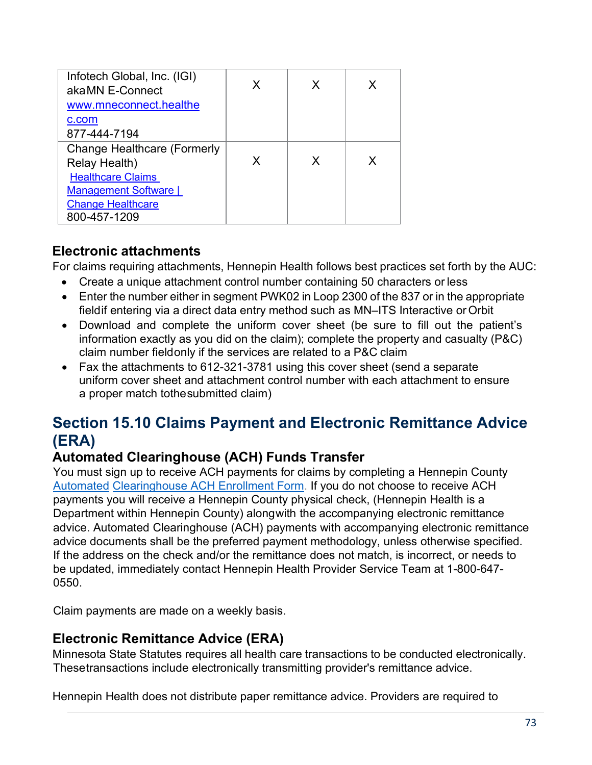| Infotech Global, Inc. (IGI)        |   |   |   |
|------------------------------------|---|---|---|
| akaMN E-Connect                    |   | X | X |
| www.mneconnect.healthe             |   |   |   |
| c.com                              |   |   |   |
| 877-444-7194                       |   |   |   |
| <b>Change Healthcare (Formerly</b> |   |   |   |
| Relay Health)                      | x | X | X |
| <b>Healthcare Claims</b>           |   |   |   |
| Management Software                |   |   |   |
| <b>Change Healthcare</b>           |   |   |   |
| 800-457-1209                       |   |   |   |

### **Electronic attachments**

For claims requiring attachments, Hennepin Health follows best practices set forth by the AUC:

- Create a unique attachment control number containing 50 characters or less
- Enter the number either in segment PWK02 in Loop 2300 of the 837 or in the appropriate fieldif entering via a direct data entry method such as MN–ITS Interactive or Orbit
- Download and complete the uniform cover sheet (be sure to fill out the patient's information exactly as you did on the claim); complete the property and casualty (P&C) claim number fieldonly if the services are related to a P&C claim
- Fax the attachments to 612-321-3781 using this cover sheet (send a separate uniform cover sheet and attachment control number with each attachment to ensure a proper match tothesubmitted claim)

# **Section 15.10 Claims Payment and Electronic Remittance Advice (ERA)**

### **Automated Clearinghouse (ACH) Funds Transfer**

You must sign up to receive ACH payments for claims by completing a Hennepin County [Automated](https://hennepinhealth.org/-/media/hh/providers/forms/ACH-Form-818.pdf) [Clearinghouse ACH Enrollment Form.](https://hennepinhealth.org/-/media/hh/providers/forms/ACH-Form-818.pdf) If you do not choose to receive ACH payments you will receive a Hennepin County physical check, (Hennepin Health is a Department within Hennepin County) alongwith the accompanying electronic remittance advice. Automated Clearinghouse (ACH) payments with accompanying electronic remittance advice documents shall be the preferred payment methodology, unless otherwise specified. If the address on the check and/or the remittance does not match, is incorrect, or needs to be updated, immediately contact Hennepin Health Provider Service Team at 1-800-647- 0550.

Claim payments are made on a weekly basis.

### **Electronic Remittance Advice (ERA)**

Minnesota State Statutes requires all health care transactions to be conducted electronically. Thesetransactions include electronically transmitting provider's remittance advice.

Hennepin Health does not distribute paper remittance advice. Providers are required to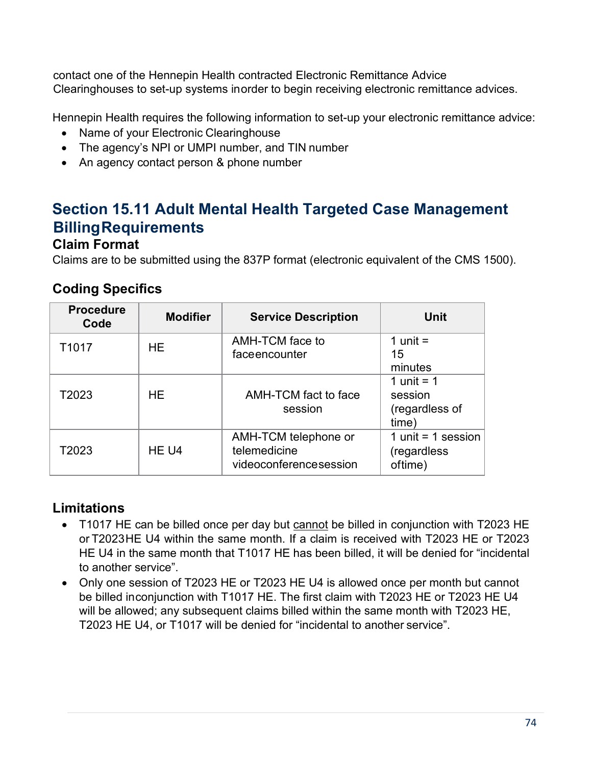contact one of the Hennepin Health contracted Electronic Remittance Advice Clearinghouses to set-up systems inorder to begin receiving electronic remittance advices.

Hennepin Health requires the following information to set-up your electronic remittance advice:

- Name of your Electronic Clearinghouse
- The agency's NPI or UMPI number, and TIN number
- An agency contact person & phone number

# **Section 15.11 Adult Mental Health Targeted Case Management Billing Requirements**

### **Claim Format**

Claims are to be submitted using the 837P format (electronic equivalent of the CMS 1500).

### **Coding Specifics**

| <b>Procedure</b><br>Code | <b>Modifier</b> | <b>Service Description</b>                                     | Unit                                               |
|--------------------------|-----------------|----------------------------------------------------------------|----------------------------------------------------|
| T1017                    | HE              | AMH-TCM face to<br>faceencounter                               | 1 unit $=$<br>15<br>minutes                        |
| T2023                    | HE              | AMH-TCM fact to face<br>session                                | 1 unit = $1$<br>session<br>(regardless of<br>time) |
| T2023                    | HE U4           | AMH-TCM telephone or<br>telemedicine<br>videoconferencesession | 1 unit = $1$ session<br>(regardless<br>oftime)     |

### **Limitations**

- T1017 HE can be billed once per day but cannot be billed in conjunction with T2023 HE or T2023HE U4 within the same month. If a claim is received with T2023 HE or T2023 HE U4 in the same month that T1017 HE has been billed, it will be denied for "incidental to another service".
- Only one session of T2023 HE or T2023 HE U4 is allowed once per month but cannot be billed inconjunction with T1017 HE. The first claim with T2023 HE or T2023 HE U4 will be allowed; any subsequent claims billed within the same month with T2023 HE, T2023 HE U4, or T1017 will be denied for "incidental to another service".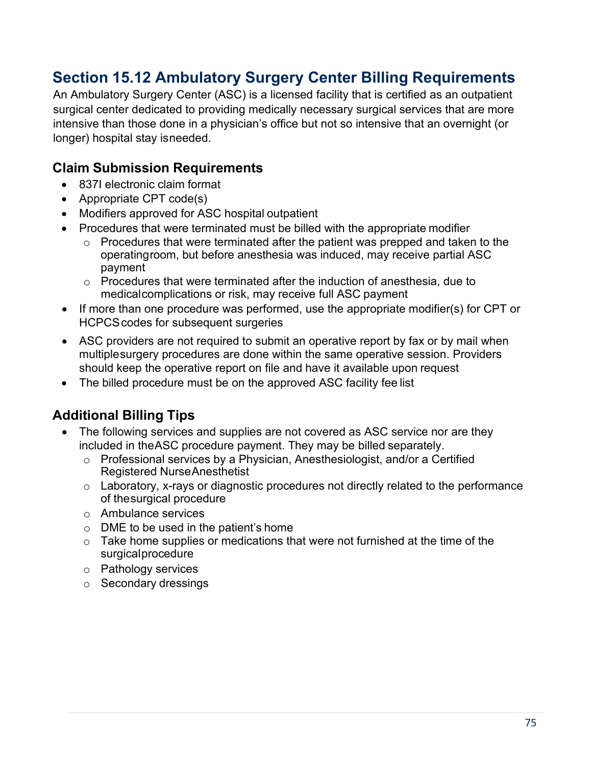# **Section 15.12 Ambulatory Surgery Center Billing Requirements**

An Ambulatory Surgery Center (ASC) is a licensed facility that is certified as an outpatient surgical center dedicated to providing medically necessary surgical services that are more intensive than those done in a physician's office but not so intensive that an overnight (or longer) hospital stay isneeded.

### **Claim Submission Requirements**

- 837I electronic claim format
- Appropriate CPT code(s)
- Modifiers approved for ASC hospital outpatient
- Procedures that were terminated must be billed with the appropriate modifier
	- o Procedures that were terminated after the patient was prepped and taken to the operatingroom, but before anesthesia was induced, may receive partial ASC payment
	- o Procedures that were terminated after the induction of anesthesia, due to medicalcomplications or risk, may receive full ASC payment
- If more than one procedure was performed, use the appropriate modifier(s) for CPT or HCPCScodes for subsequent surgeries
- ASC providers are not required to submit an operative report by fax or by mail when multiplesurgery procedures are done within the same operative session. Providers should keep the operative report on file and have it available upon request
- The billed procedure must be on the approved ASC facility fee list

### **Additional Billing Tips**

- The following services and supplies are not covered as ASC service nor are they included in theASC procedure payment. They may be billed separately.
	- o Professional services by a Physician, Anesthesiologist, and/or a Certified Registered NurseAnesthetist
	- o Laboratory, x-rays or diagnostic procedures not directly related to the performance of thesurgical procedure
	- o Ambulance services
	- $\circ$  DME to be used in the patient's home
	- $\circ$  Take home supplies or medications that were not furnished at the time of the surgicalprocedure
	- o Pathology services
	- o Secondary dressings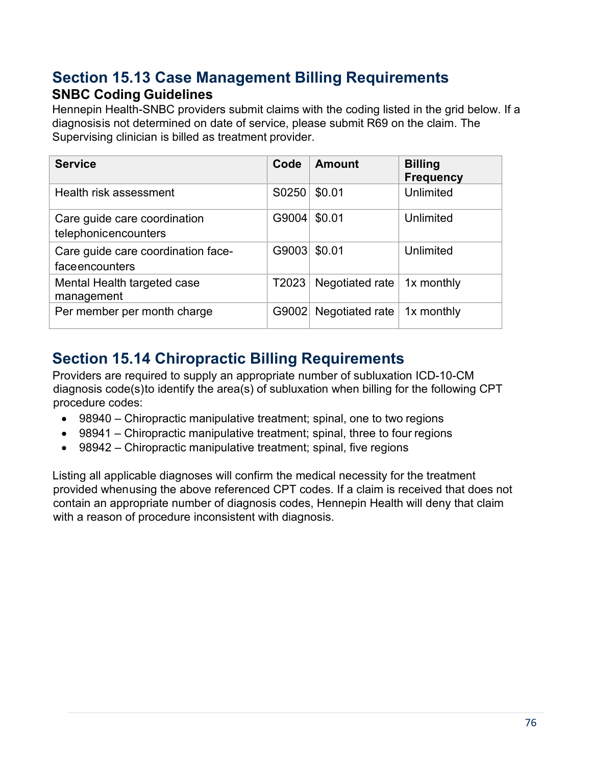### **Section 15.13 Case Management Billing Requirements SNBC Coding Guidelines**

Hennepin Health-SNBC providers submit claims with the coding listed in the grid below. If a diagnosisis not determined on date of service, please submit R69 on the claim. The Supervising clinician is billed as treatment provider.

| <b>Service</b>                                       | Code  | <b>Amount</b>   | <b>Billing</b><br><b>Frequency</b> |
|------------------------------------------------------|-------|-----------------|------------------------------------|
| Health risk assessment                               | S0250 | \$0.01          | Unlimited                          |
| Care guide care coordination<br>telephonicencounters | G9004 | \$0.01          | Unlimited                          |
| Care guide care coordination face-<br>faceencounters | G9003 | \$0.01          | <b>Unlimited</b>                   |
| Mental Health targeted case<br>management            | T2023 | Negotiated rate | 1x monthly                         |
| Per member per month charge                          | G9002 | Negotiated rate | 1x monthly                         |

# **Section 15.14 Chiropractic Billing Requirements**

Providers are required to supply an appropriate number of subluxation ICD-10-CM diagnosis code(s)to identify the area(s) of subluxation when billing for the following CPT procedure codes:

- 98940 Chiropractic manipulative treatment; spinal, one to two regions
- 98941 Chiropractic manipulative treatment; spinal, three to four regions
- 98942 Chiropractic manipulative treatment; spinal, five regions

Listing all applicable diagnoses will confirm the medical necessity for the treatment provided whenusing the above referenced CPT codes. If a claim is received that does not contain an appropriate number of diagnosis codes, Hennepin Health will deny that claim with a reason of procedure inconsistent with diagnosis.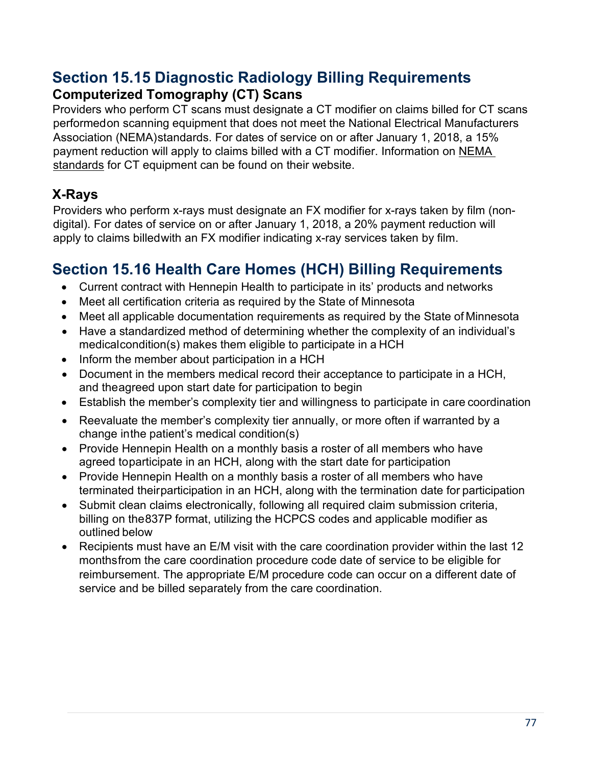# **Section 15.15 Diagnostic Radiology Billing Requirements Computerized Tomography (CT) Scans**

Providers who perform CT scans must designate a CT modifier on claims billed for CT scans performedon scanning equipment that does not meet the National Electrical Manufacturers Association (NEMA)standards. For dates of service on or after January 1, 2018, a 15% payment reduction will apply to claims billed with a CT modifier. Information on [NEMA](https://www.nema.org/Standards/Pages/Standard-Attributes-on-CT-Equipment-Related-to-Dose-Optimization-and-Management.aspx)  [standards](https://www.nema.org/Standards/Pages/Standard-Attributes-on-CT-Equipment-Related-to-Dose-Optimization-and-Management.aspx) for CT equipment can be found on their website.

## **X-Rays**

Providers who perform x-rays must designate an FX modifier for x-rays taken by film (nondigital). For dates of service on or after January 1, 2018, a 20% payment reduction will apply to claims billedwith an FX modifier indicating x-ray services taken by film.

# **Section 15.16 Health Care Homes (HCH) Billing Requirements**

- Current contract with Hennepin Health to participate in its' products and networks
- Meet all certification criteria as required by the State of Minnesota
- Meet all applicable documentation requirements as required by the State of Minnesota
- Have a standardized method of determining whether the complexity of an individual's medicalcondition(s) makes them eligible to participate in a HCH
- Inform the member about participation in a HCH
- Document in the members medical record their acceptance to participate in a HCH, and theagreed upon start date for participation to begin
- Establish the member's complexity tier and willingness to participate in care coordination
- Reevaluate the member's complexity tier annually, or more often if warranted by a change inthe patient's medical condition(s)
- Provide Hennepin Health on a monthly basis a roster of all members who have agreed toparticipate in an HCH, along with the start date for participation
- Provide Hennepin Health on a monthly basis a roster of all members who have terminated theirparticipation in an HCH, along with the termination date for participation
- Submit clean claims electronically, following all required claim submission criteria, billing on the837P format, utilizing the HCPCS codes and applicable modifier as outlined below
- Recipients must have an E/M visit with the care coordination provider within the last 12 monthsfrom the care coordination procedure code date of service to be eligible for reimbursement. The appropriate E/M procedure code can occur on a different date of service and be billed separately from the care coordination.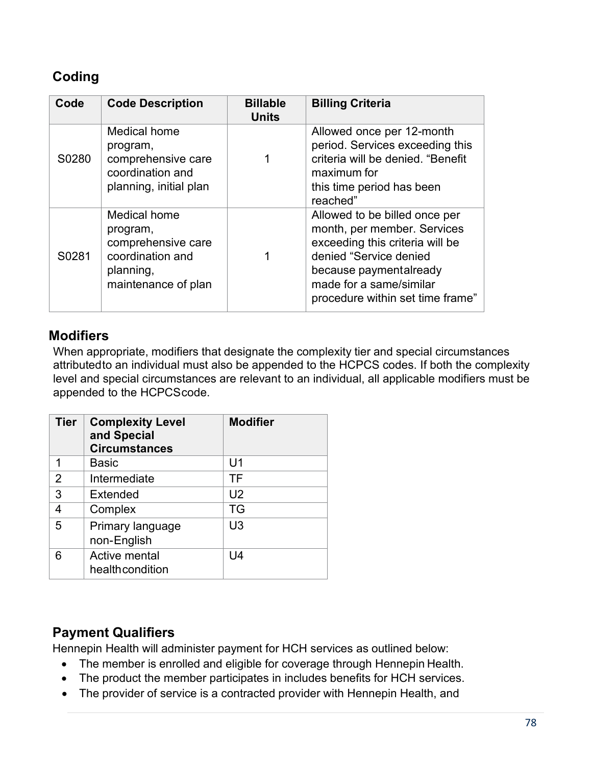### **Coding**

| Code  | <b>Code Description</b>                                                                                | <b>Billable</b><br><b>Units</b> | <b>Billing Criteria</b>                                                                                                                                                                                            |
|-------|--------------------------------------------------------------------------------------------------------|---------------------------------|--------------------------------------------------------------------------------------------------------------------------------------------------------------------------------------------------------------------|
| S0280 | Medical home<br>program,<br>comprehensive care<br>coordination and<br>planning, initial plan           |                                 | Allowed once per 12-month<br>period. Services exceeding this<br>criteria will be denied. "Benefit<br>maximum for<br>this time period has been<br>reached"                                                          |
| S0281 | Medical home<br>program,<br>comprehensive care<br>coordination and<br>planning,<br>maintenance of plan |                                 | Allowed to be billed once per<br>month, per member. Services<br>exceeding this criteria will be<br>denied "Service denied<br>because paymentalready<br>made for a same/similar<br>procedure within set time frame" |

### **Modifiers**

When appropriate, modifiers that designate the complexity tier and special circumstances attributedto an individual must also be appended to the HCPCS codes. If both the complexity level and special circumstances are relevant to an individual, all applicable modifiers must be appended to the HCPCScode.

| <b>Tier</b> | <b>Complexity Level</b><br>and Special<br><b>Circumstances</b> | <b>Modifier</b> |
|-------------|----------------------------------------------------------------|-----------------|
|             | Basic                                                          | U1              |
| 2           | Intermediate                                                   | ΤF              |
| 3           | Extended                                                       | U <sub>2</sub>  |
| 4           | Complex                                                        | TG              |
| 5           | Primary language<br>non-English                                | U <sub>3</sub>  |
| 6           | Active mental<br>healthcondition                               | U4              |

### **Payment Qualifiers**

Hennepin Health will administer payment for HCH services as outlined below:

- The member is enrolled and eligible for coverage through Hennepin Health.
- The product the member participates in includes benefits for HCH services.
- The provider of service is a contracted provider with Hennepin Health, and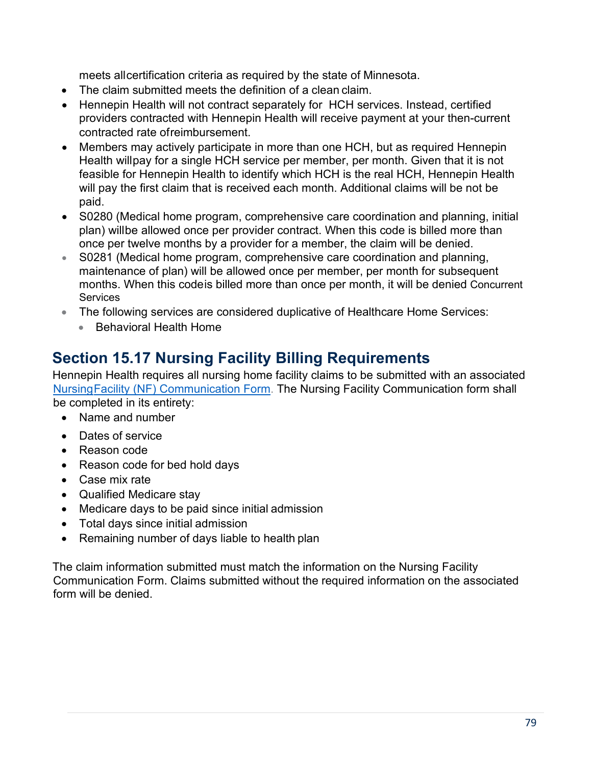meets allcertification criteria as required by the state of Minnesota.

- The claim submitted meets the definition of a clean claim.
- Hennepin Health will not contract separately for HCH services. Instead, certified providers contracted with Hennepin Health will receive payment at your then-current contracted rate ofreimbursement.
- Members may actively participate in more than one HCH, but as required Hennepin Health willpay for a single HCH service per member, per month. Given that it is not feasible for Hennepin Health to identify which HCH is the real HCH, Hennepin Health will pay the first claim that is received each month. Additional claims will be not be paid.
- S0280 (Medical home program, comprehensive care coordination and planning, initial plan) willbe allowed once per provider contract. When this code is billed more than once per twelve months by a provider for a member, the claim will be denied.
- S0281 (Medical home program, comprehensive care coordination and planning, maintenance of plan) will be allowed once per member, per month for subsequent months. When this codeis billed more than once per month, it will be denied Concurrent **Services**
- The following services are considered duplicative of Healthcare Home Services:
	- Behavioral Health Home

# **Section 15.17 Nursing Facility Billing Requirements**

Hennepin Health requires all nursing home facility claims to be submitted with an associated [NursingFacility \(NF\) Communication Form.](https://edocs.dhs.state.mn.us/lfserver/Public/DHS-4461-ENG) The Nursing Facility Communication form shall be completed in its entirety:

- Name and number
- Dates of service
- Reason code
- Reason code for bed hold days
- Case mix rate
- Qualified Medicare stay
- Medicare days to be paid since initial admission
- Total days since initial admission
- Remaining number of days liable to health plan

The claim information submitted must match the information on the Nursing Facility Communication Form. Claims submitted without the required information on the associated form will be denied.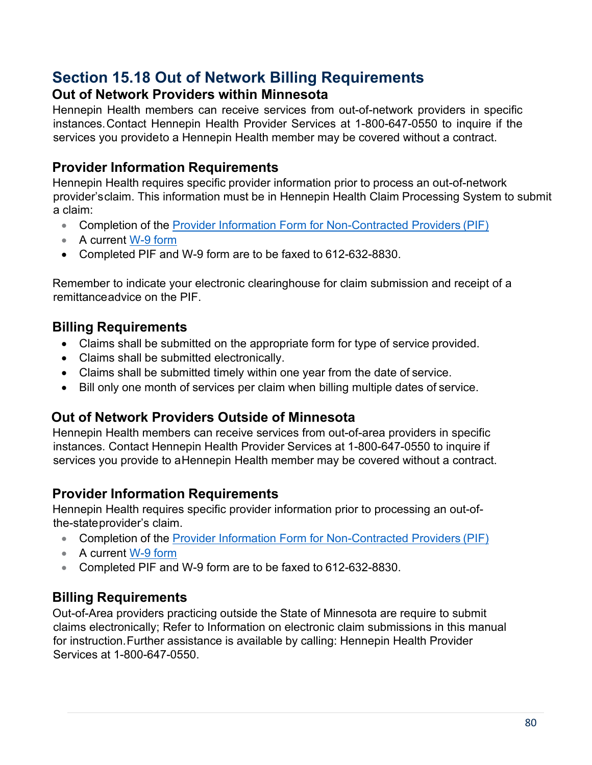### **Section 15.18 Out of Network Billing Requirements Out of Network Providers within Minnesota**

Hennepin Health members can receive services from out-of-network providers in specific instances.Contact Hennepin Health Provider Services at 1-800-647-0550 to inquire if the services you provideto a Hennepin Health member may be covered without a contract.

### **Provider Information Requirements**

Hennepin Health requires specific provider information prior to process an out-of-network provider'sclaim. This information must be in Hennepin Health Claim Processing System to submit a claim:

- Completion of the **Provider Information Form for [Non-Contracted](https://hennepinhealth.org/-/media/hh/providers/forms/Provider-Information-Form-for-Non-Contracted-Providers-1018.pdf) Providers (PIF)**
- A current [W-9 form](https://hennepinhealth.org/-/media/hh/providers/forms/W9-non-contracted-providers-618.pdf)
- Completed PIF and W-9 form are to be faxed to 612-632-8830.

Remember to indicate your electronic clearinghouse for claim submission and receipt of a remittanceadvice on the PIF.

### **Billing Requirements**

- Claims shall be submitted on the appropriate form for type of service provided.
- Claims shall be submitted electronically.
- Claims shall be submitted timely within one year from the date of service.
- Bill only one month of services per claim when billing multiple dates of service.

### **Out of Network Providers Outside of Minnesota**

Hennepin Health members can receive services from out-of-area providers in specific instances. Contact Hennepin Health Provider Services at 1-800-647-0550 to inquire if services you provide to a Hennepin Health member may be covered without a contract.

### **Provider Information Requirements**

Hennepin Health requires specific provider information prior to processing an out-ofthe-stateprovider's claim.

- Completion of the Provider Information Form for [Non-Contracted](https://hennepinhealth.org/-/media/hh/providers/forms/Provider-Information-Form-for-Non-Contracted-Providers-1018.pdf) Providers (PIF)
- A current [W-9 form](https://hennepinhealth.org/-/media/hh/providers/forms/W9-non-contracted-providers-618.pdf)
- Completed PIF and W-9 form are to be faxed to 612-632-8830.

### **Billing Requirements**

Out-of-Area providers practicing outside the State of Minnesota are require to submit claims electronically; Refer to Information on electronic claim submissions in this manual for instruction.Further assistance is available by calling: Hennepin Health Provider Services at 1-800-647-0550.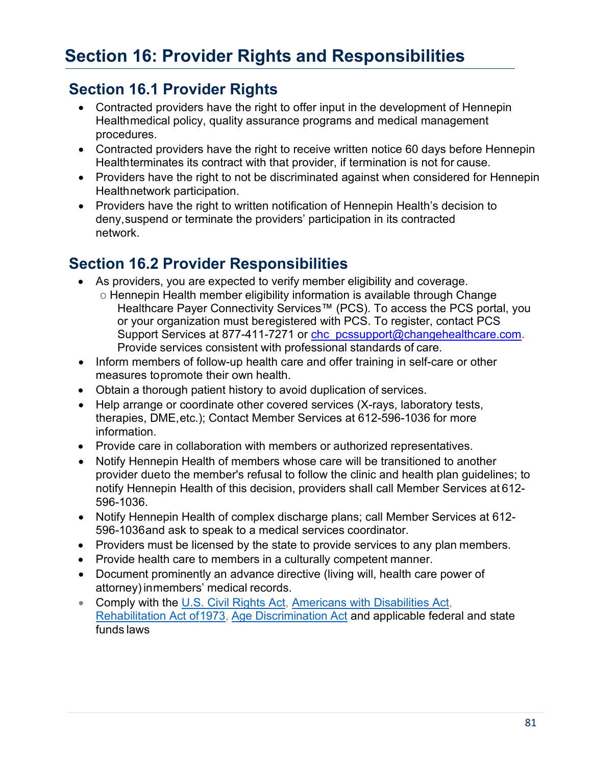# **Section 16.1 Provider Rights**

- Contracted providers have the right to offer input in the development of Hennepin Healthmedical policy, quality assurance programs and medical management procedures.
- Contracted providers have the right to receive written notice 60 days before Hennepin Healthterminates its contract with that provider, if termination is not for cause.
- Providers have the right to not be discriminated against when considered for Hennepin Healthnetwork participation.
- Providers have the right to written notification of Hennepin Health's decision to deny,suspend or terminate the providers' participation in its contracted network.

# **Section 16.2 Provider Responsibilities**

- As providers, you are expected to verify member eligibility and coverage.
	- o Hennepin Health member eligibility information is available through Change Healthcare Payer Connectivity Services™ (PCS). To access the PCS portal, you or your organization must beregistered with PCS. To register, contact PCS Support Services at 877-411-7271 or [chc\\_pcssupport@changehealthcare.com.](mailto:chc_pcssupport@changehealthcare.com) Provide services consistent with professional standards of care.
- Inform members of follow-up health care and offer training in self-care or other measures topromote their own health.
- Obtain a thorough patient history to avoid duplication of services.
- Help arrange or coordinate other covered services (X-rays, laboratory tests, therapies, DME,etc.); Contact Member Services at 612-596-1036 for more information.
- Provide care in collaboration with members or authorized representatives.
- Notify Hennepin Health of members whose care will be transitioned to another provider dueto the member's refusal to follow the clinic and health plan guidelines; to notify Hennepin Health of this decision, providers shall call Member Services at 612- 596-1036.
- Notify Hennepin Health of complex discharge plans; call Member Services at 612- 596-1036and ask to speak to a medical services coordinator.
- Providers must be licensed by the state to provide services to any plan members.
- Provide health care to members in a culturally competent manner.
- Document prominently an advance directive (living will, health care power of attorney)inmembers' medical records.
- Comply with the [U.S. Civil Rights Act,](https://www.hhs.gov/civil-rights/index.html) [Americans with Disabilities Act](https://www.ada.gov/)[,](https://www.access-board.gov/the-board/laws/rehabilitation-act-of-1973) Rehabilitation Act of 1973, [Age Discrimination Act a](https://www.dol.gov/general/topic/discrimination/agedisc)nd applicable federal and state funds laws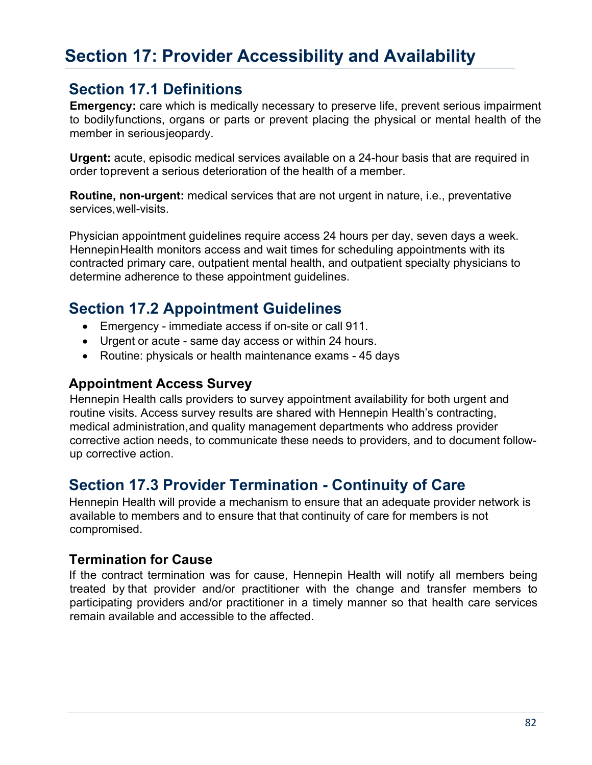# **Section 17: Provider Accessibility and Availability**

### **Section 17.1 Definitions**

**Emergency:** care which is medically necessary to preserve life, prevent serious impairment to bodilyfunctions, organs or parts or prevent placing the physical or mental health of the member in seriousjeopardy.

**Urgent:** acute, episodic medical services available on a 24-hour basis that are required in order toprevent a serious deterioration of the health of a member.

**Routine, non-urgent:** medical services that are not urgent in nature, i.e., preventative services,well-visits.

Physician appointment guidelines require access 24 hours per day, seven days a week. HennepinHealth monitors access and wait times for scheduling appointments with its contracted primary care, outpatient mental health, and outpatient specialty physicians to determine adherence to these appointment guidelines.

## **Section 17.2 Appointment Guidelines**

- Emergency immediate access if on-site or call 911.
- Urgent or acute same day access or within 24 hours.
- Routine: physicals or health maintenance exams 45 days

### **Appointment Access Survey**

Hennepin Health calls providers to survey appointment availability for both urgent and routine visits. Access survey results are shared with Hennepin Health's contracting, medical administration,and quality management departments who address provider corrective action needs, to communicate these needs to providers, and to document followup corrective action.

# **Section 17.3 Provider Termination - Continuity of Care**

Hennepin Health will provide a mechanism to ensure that an adequate provider network is available to members and to ensure that that continuity of care for members is not compromised.

### **Termination for Cause**

If the contract termination was for cause, Hennepin Health will notify all members being treated by that provider and/or practitioner with the change and transfer members to participating providers and/or practitioner in a timely manner so that health care services remain available and accessible to the affected.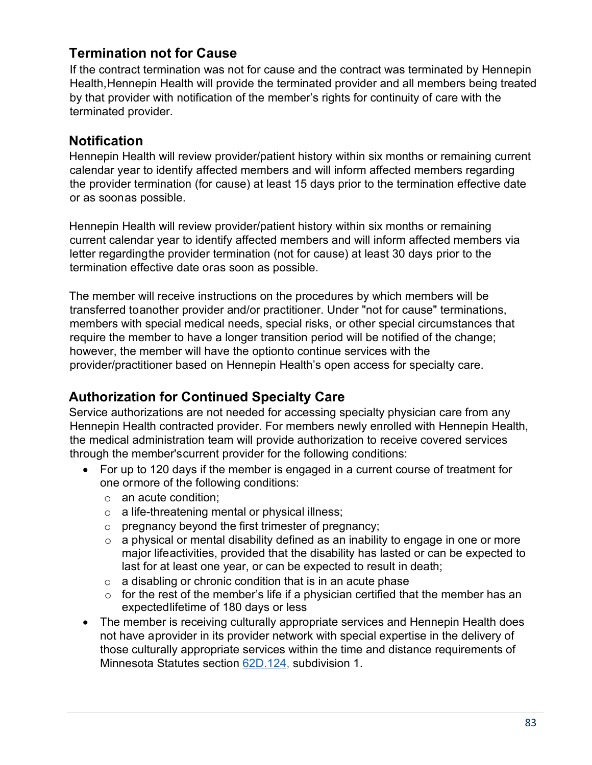### **Termination not for Cause**

If the contract termination was not for cause and the contract was terminated by Hennepin Health,Hennepin Health will provide the terminated provider and all members being treated by that provider with notification of the member's rights for continuity of care with the terminated provider.

### **Notification**

Hennepin Health will review provider/patient history within six months or remaining current calendar year to identify affected members and will inform affected members regarding the provider termination (for cause) at least 15 days prior to the termination effective date or as soonas possible.

Hennepin Health will review provider/patient history within six months or remaining current calendar year to identify affected members and will inform affected members via letter regardingthe provider termination (not for cause) at least 30 days prior to the termination effective date oras soon as possible.

The member will receive instructions on the procedures by which members will be transferred toanother provider and/or practitioner. Under "not for cause" terminations, members with special medical needs, special risks, or other special circumstances that require the member to have a longer transition period will be notified of the change; however, the member will have the optionto continue services with the provider/practitioner based on Hennepin Health's open access for specialty care.

### **Authorization for Continued Specialty Care**

Service authorizations are not needed for accessing specialty physician care from any Hennepin Health contracted provider. For members newly enrolled with Hennepin Health, the medical administration team will provide authorization to receive covered services through the member'scurrent provider for the following conditions:

- For up to 120 days if the member is engaged in a current course of treatment for one ormore of the following conditions:
	- o an acute condition;
	- o a life-threatening mental or physical illness;
	- $\circ$  pregnancy beyond the first trimester of pregnancy;
	- $\circ$  a physical or mental disability defined as an inability to engage in one or more major lifeactivities, provided that the disability has lasted or can be expected to last for at least one year, or can be expected to result in death;
	- $\circ$  a disabling or chronic condition that is in an acute phase
	- $\circ$  for the rest of the member's life if a physician certified that the member has an expectedlifetime of 180 days or less
- The member is receiving culturally appropriate services and Hennepin Health does not have aprovider in its provider network with special expertise in the delivery of those culturally appropriate services within the time and distance requirements of Minnesota Statutes section [62D.124,](https://www.revisor.mn.gov/statutes/cite/62D.124) subdivision 1.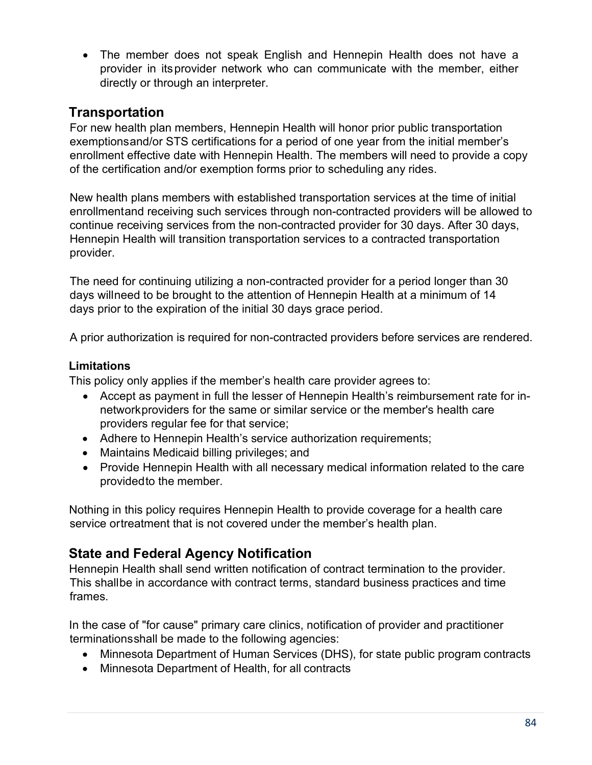• The member does not speak English and Hennepin Health does not have a provider in itsprovider network who can communicate with the member, either directly or through an interpreter.

### **Transportation**

For new health plan members, Hennepin Health will honor prior public transportation exemptionsand/or STS certifications for a period of one year from the initial member's enrollment effective date with Hennepin Health. The members will need to provide a copy of the certification and/or exemption forms prior to scheduling any rides.

New health plans members with established transportation services at the time of initial enrollmentand receiving such services through non-contracted providers will be allowed to continue receiving services from the non-contracted provider for 30 days. After 30 days, Hennepin Health will transition transportation services to a contracted transportation provider.

The need for continuing utilizing a non-contracted provider for a period longer than 30 days willneed to be brought to the attention of Hennepin Health at a minimum of 14 days prior to the expiration of the initial 30 days grace period.

A prior authorization is required for non-contracted providers before services are rendered.

#### **Limitations**

This policy only applies if the member's health care provider agrees to:

- Accept as payment in full the lesser of Hennepin Health's reimbursement rate for innetworkproviders for the same or similar service or the member's health care providers regular fee for that service;
- Adhere to Hennepin Health's service authorization requirements;
- Maintains Medicaid billing privileges; and
- Provide Hennepin Health with all necessary medical information related to the care providedto the member.

Nothing in this policy requires Hennepin Health to provide coverage for a health care service ortreatment that is not covered under the member's health plan.

### **State and Federal Agency Notification**

Hennepin Health shall send written notification of contract termination to the provider. This shallbe in accordance with contract terms, standard business practices and time frames.

In the case of "for cause" primary care clinics, notification of provider and practitioner terminationsshall be made to the following agencies:

- Minnesota Department of Human Services (DHS), for state public program contracts
- Minnesota Department of Health, for all contracts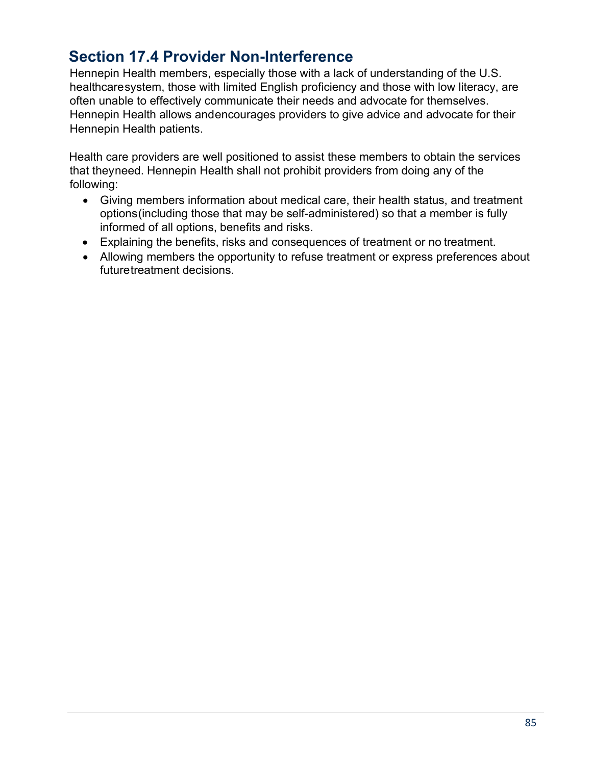# **Section 17.4 Provider Non-Interference**

Hennepin Health members, especially those with a lack of understanding of the U.S. healthcaresystem, those with limited English proficiency and those with low literacy, are often unable to effectively communicate their needs and advocate for themselves. Hennepin Health allows andencourages providers to give advice and advocate for their Hennepin Health patients.

Health care providers are well positioned to assist these members to obtain the services that theyneed. Hennepin Health shall not prohibit providers from doing any of the following:

- Giving members information about medical care, their health status, and treatment options(including those that may be self-administered) so that a member is fully informed of all options, benefits and risks.
- Explaining the benefits, risks and consequences of treatment or no treatment.
- Allowing members the opportunity to refuse treatment or express preferences about futuretreatment decisions.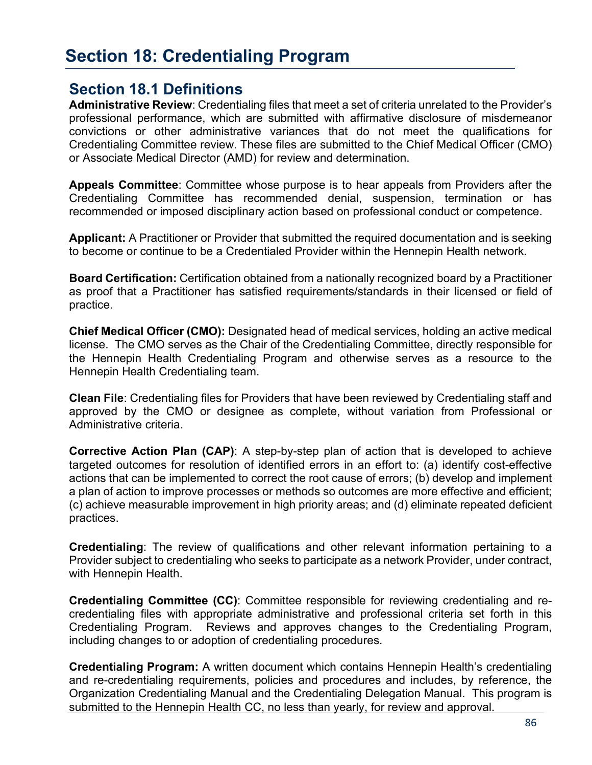# **Section 18: Credentialing Program**

### **Section 18.1 Definitions**

**Administrative Review**: Credentialing files that meet a set of criteria unrelated to the Provider's professional performance, which are submitted with affirmative disclosure of misdemeanor convictions or other administrative variances that do not meet the qualifications for Credentialing Committee review. These files are submitted to the Chief Medical Officer (CMO) or Associate Medical Director (AMD) for review and determination.

**Appeals Committee**: Committee whose purpose is to hear appeals from Providers after the Credentialing Committee has recommended denial, suspension, termination or has recommended or imposed disciplinary action based on professional conduct or competence.

**Applicant:** A Practitioner or Provider that submitted the required documentation and is seeking to become or continue to be a Credentialed Provider within the Hennepin Health network.

**Board Certification:** Certification obtained from a nationally recognized board by a Practitioner as proof that a Practitioner has satisfied requirements/standards in their licensed or field of practice.

**Chief Medical Officer (CMO):** Designated head of medical services, holding an active medical license. The CMO serves as the Chair of the Credentialing Committee, directly responsible for the Hennepin Health Credentialing Program and otherwise serves as a resource to the Hennepin Health Credentialing team.

**Clean File**: Credentialing files for Providers that have been reviewed by Credentialing staff and approved by the CMO or designee as complete, without variation from Professional or Administrative criteria.

**Corrective Action Plan (CAP)**: A step-by-step plan of action that is developed to achieve targeted outcomes for resolution of identified errors in an effort to: (a) identify cost-effective actions that can be implemented to correct the root cause of errors; (b) develop and implement a plan of action to improve processes or methods so outcomes are more effective and efficient; (c) achieve measurable improvement in high priority areas; and (d) eliminate repeated deficient practices.

**Credentialing**: The review of qualifications and other relevant information pertaining to a Provider subject to credentialing who seeks to participate as a network Provider, under contract, with Hennepin Health.

**Credentialing Committee (CC)**: Committee responsible for reviewing credentialing and recredentialing files with appropriate administrative and professional criteria set forth in this Credentialing Program. Reviews and approves changes to the Credentialing Program, including changes to or adoption of credentialing procedures.

**Credentialing Program:** A written document which contains Hennepin Health's credentialing and re-credentialing requirements, policies and procedures and includes, by reference, the Organization Credentialing Manual and the Credentialing Delegation Manual. This program is submitted to the Hennepin Health CC, no less than yearly, for review and approval.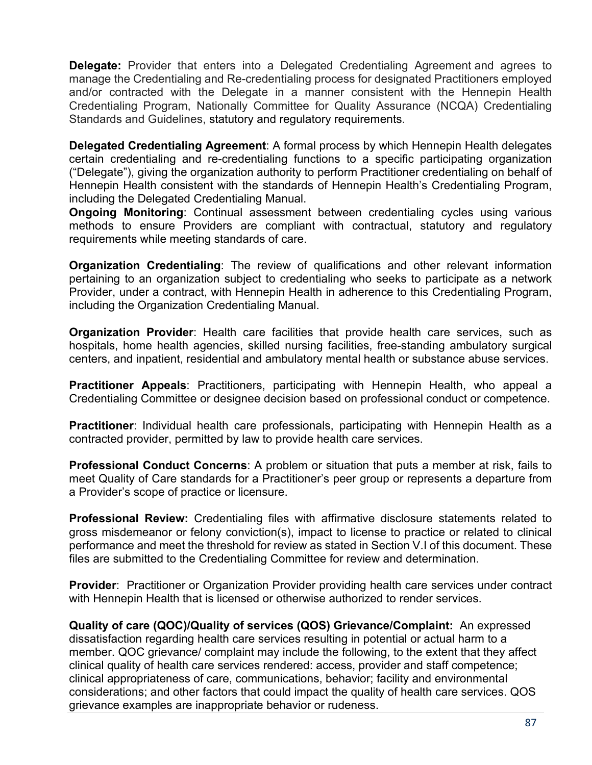**Delegate:** Provider that enters into a Delegated Credentialing Agreement and agrees to manage the Credentialing and Re-credentialing process for designated Practitioners employed and/or contracted with the Delegate in a manner consistent with the Hennepin Health Credentialing Program, Nationally Committee for Quality Assurance (NCQA) Credentialing Standards and Guidelines, statutory and regulatory requirements.

**Delegated Credentialing Agreement**: A formal process by which Hennepin Health delegates certain credentialing and re-credentialing functions to a specific participating organization ("Delegate"), giving the organization authority to perform Practitioner credentialing on behalf of Hennepin Health consistent with the standards of Hennepin Health's Credentialing Program, including the Delegated Credentialing Manual.

**Ongoing Monitoring**: Continual assessment between credentialing cycles using various methods to ensure Providers are compliant with contractual, statutory and regulatory requirements while meeting standards of care.

**Organization Credentialing**: The review of qualifications and other relevant information pertaining to an organization subject to credentialing who seeks to participate as a network Provider, under a contract, with Hennepin Health in adherence to this Credentialing Program, including the Organization Credentialing Manual.

**Organization Provider**: Health care facilities that provide health care services, such as hospitals, home health agencies, skilled nursing facilities, free-standing ambulatory surgical centers, and inpatient, residential and ambulatory mental health or substance abuse services.

**Practitioner Appeals**: Practitioners, participating with Hennepin Health, who appeal a Credentialing Committee or designee decision based on professional conduct or competence.

**Practitioner**: Individual health care professionals, participating with Hennepin Health as a contracted provider, permitted by law to provide health care services.

**Professional Conduct Concerns**: A problem or situation that puts a member at risk, fails to meet Quality of Care standards for a Practitioner's peer group or represents a departure from a Provider's scope of practice or licensure.

**Professional Review:** Credentialing files with affirmative disclosure statements related to gross misdemeanor or felony conviction(s), impact to license to practice or related to clinical performance and meet the threshold for review as stated in Section V.I of this document. These files are submitted to the Credentialing Committee for review and determination.

**Provider**: Practitioner or Organization Provider providing health care services under contract with Hennepin Health that is licensed or otherwise authorized to render services.

**Quality of care (QOC)/Quality of services (QOS) Grievance/Complaint:** An expressed dissatisfaction regarding health care services resulting in potential or actual harm to a member. QOC grievance/ complaint may include the following, to the extent that they affect clinical quality of health care services rendered: access, provider and staff competence; clinical appropriateness of care, communications, behavior; facility and environmental considerations; and other factors that could impact the quality of health care services. QOS grievance examples are inappropriate behavior or rudeness.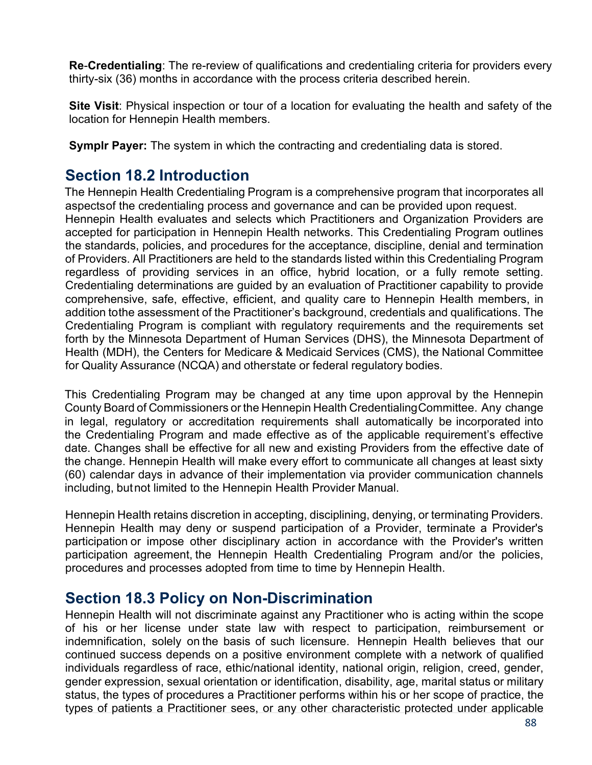**Re**-**Credentialing**: The re-review of qualifications and credentialing criteria for providers every thirty-six (36) months in accordance with the process criteria described herein.

**Site Visit**: Physical inspection or tour of a location for evaluating the health and safety of the location for Hennepin Health members.

**Symplr Payer:** The system in which the contracting and credentialing data is stored.

## **Section 18.2 Introduction**

The Hennepin Health Credentialing Program is a comprehensive program that incorporates all aspectsof the credentialing process and governance and can be provided upon request. Hennepin Health evaluates and selects which Practitioners and Organization Providers are accepted for participation in Hennepin Health networks. This Credentialing Program outlines the standards, policies, and procedures for the acceptance, discipline, denial and termination of Providers. All Practitioners are held to the standards listed within this Credentialing Program regardless of providing services in an office, hybrid location, or a fully remote setting. Credentialing determinations are guided by an evaluation of Practitioner capability to provide comprehensive, safe, effective, efficient, and quality care to Hennepin Health members, in addition tothe assessment of the Practitioner's background, credentials and qualifications. The Credentialing Program is compliant with regulatory requirements and the requirements set forth by the Minnesota Department of Human Services (DHS), the Minnesota Department of Health (MDH), the Centers for Medicare & Medicaid Services (CMS), the National Committee for Quality Assurance (NCQA) and otherstate or federal regulatory bodies.

This Credentialing Program may be changed at any time upon approval by the Hennepin County Board of Commissioners or the Hennepin Health CredentialingCommittee. Any change in legal, regulatory or accreditation requirements shall automatically be incorporated into the Credentialing Program and made effective as of the applicable requirement's effective date. Changes shall be effective for all new and existing Providers from the effective date of the change. Hennepin Health will make every effort to communicate all changes at least sixty (60) calendar days in advance of their implementation via provider communication channels including, but not limited to the Hennepin Health Provider Manual.

Hennepin Health retains discretion in accepting, disciplining, denying, or terminating Providers. Hennepin Health may deny or suspend participation of a Provider, terminate a Provider's participation or impose other disciplinary action in accordance with the Provider's written participation agreement, the Hennepin Health Credentialing Program and/or the policies, procedures and processes adopted from time to time by Hennepin Health.

### **Section 18.3 Policy on Non-Discrimination**

Hennepin Health will not discriminate against any Practitioner who is acting within the scope of his or her license under state law with respect to participation, reimbursement or indemnification, solely on the basis of such licensure. Hennepin Health believes that our continued success depends on a positive environment complete with a network of qualified individuals regardless of race, ethic/national identity, national origin, religion, creed, gender, gender expression, sexual orientation or identification, disability, age, marital status or military status, the types of procedures a Practitioner performs within his or her scope of practice, the types of patients a Practitioner sees, or any other characteristic protected under applicable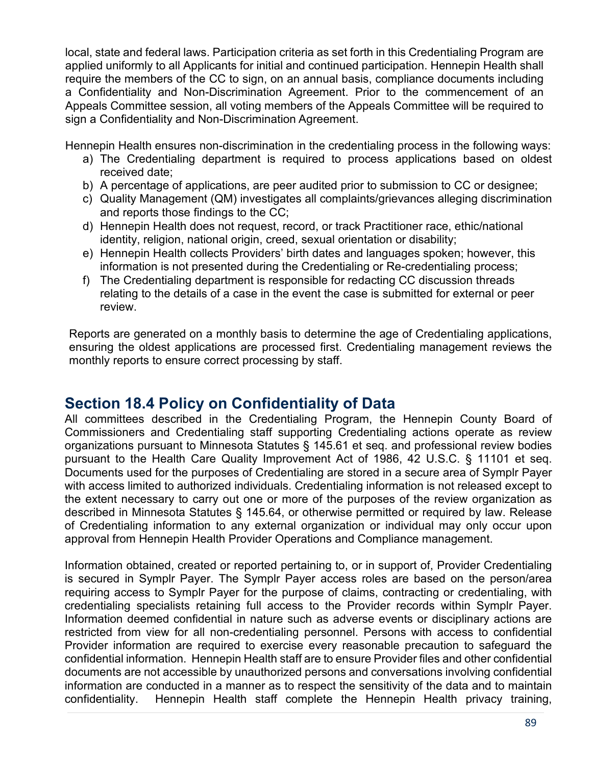local, state and federal laws. Participation criteria as set forth in this Credentialing Program are applied uniformly to all Applicants for initial and continued participation. Hennepin Health shall require the members of the CC to sign, on an annual basis, compliance documents including a Confidentiality and Non-Discrimination Agreement. Prior to the commencement of an Appeals Committee session, all voting members of the Appeals Committee will be required to sign a Confidentiality and Non-Discrimination Agreement.

Hennepin Health ensures non-discrimination in the credentialing process in the following ways:

- a) The Credentialing department is required to process applications based on oldest received date;
- b) A percentage of applications, are peer audited prior to submission to CC or designee;
- c) Quality Management (QM) investigates all complaints/grievances alleging discrimination and reports those findings to the CC;
- d) Hennepin Health does not request, record, or track Practitioner race, ethic/national identity, religion, national origin, creed, sexual orientation or disability;
- e) Hennepin Health collects Providers' birth dates and languages spoken; however, this information is not presented during the Credentialing or Re-credentialing process;
- f) The Credentialing department is responsible for redacting CC discussion threads relating to the details of a case in the event the case is submitted for external or peer review.

Reports are generated on a monthly basis to determine the age of Credentialing applications, ensuring the oldest applications are processed first. Credentialing management reviews the monthly reports to ensure correct processing by staff.

# **Section 18.4 Policy on Confidentiality of Data**

All committees described in the Credentialing Program, the Hennepin County Board of Commissioners and Credentialing staff supporting Credentialing actions operate as review organizations pursuant to Minnesota Statutes § 145.61 et seq. and professional review bodies pursuant to the Health Care Quality Improvement Act of 1986, 42 U.S.C. § 11101 et seq. Documents used for the purposes of Credentialing are stored in a secure area of Symplr Payer with access limited to authorized individuals. Credentialing information is not released except to the extent necessary to carry out one or more of the purposes of the review organization as described in Minnesota Statutes § 145.64, or otherwise permitted or required by law. Release of Credentialing information to any external organization or individual may only occur upon approval from Hennepin Health Provider Operations and Compliance management.

Information obtained, created or reported pertaining to, or in support of, Provider Credentialing is secured in Symplr Payer. The Symplr Payer access roles are based on the person/area requiring access to Symplr Payer for the purpose of claims, contracting or credentialing, with credentialing specialists retaining full access to the Provider records within Symplr Payer. Information deemed confidential in nature such as adverse events or disciplinary actions are restricted from view for all non-credentialing personnel. Persons with access to confidential Provider information are required to exercise every reasonable precaution to safeguard the confidential information. Hennepin Health staff are to ensure Provider files and other confidential documents are not accessible by unauthorized persons and conversations involving confidential information are conducted in a manner as to respect the sensitivity of the data and to maintain confidentiality. Hennepin Health staff complete the Hennepin Health privacy training,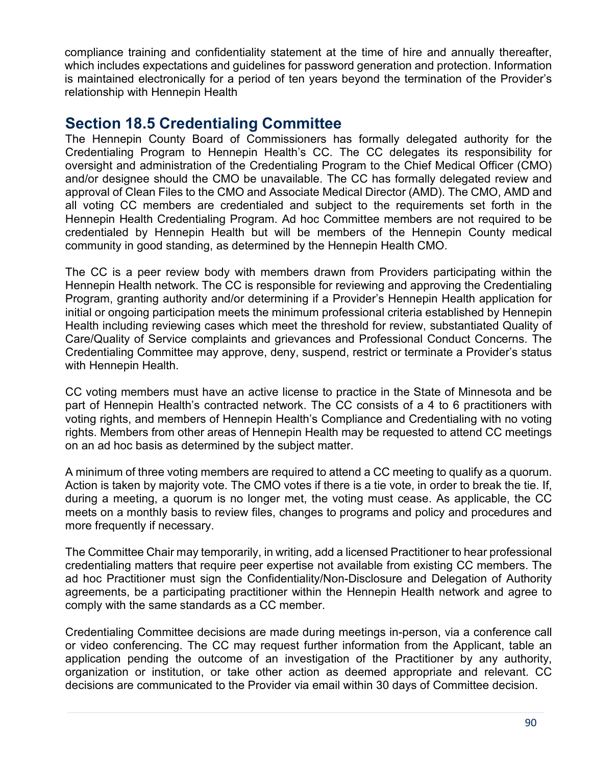compliance training and confidentiality statement at the time of hire and annually thereafter, which includes expectations and guidelines for password generation and protection. Information is maintained electronically for a period of ten years beyond the termination of the Provider's relationship with Hennepin Health

### **Section 18.5 Credentialing Committee**

The Hennepin County Board of Commissioners has formally delegated authority for the Credentialing Program to Hennepin Health's CC. The CC delegates its responsibility for oversight and administration of the Credentialing Program to the Chief Medical Officer (CMO) and/or designee should the CMO be unavailable. The CC has formally delegated review and approval of Clean Files to the CMO and Associate Medical Director (AMD). The CMO, AMD and all voting CC members are credentialed and subject to the requirements set forth in the Hennepin Health Credentialing Program. Ad hoc Committee members are not required to be credentialed by Hennepin Health but will be members of the Hennepin County medical community in good standing, as determined by the Hennepin Health CMO.

The CC is a peer review body with members drawn from Providers participating within the Hennepin Health network. The CC is responsible for reviewing and approving the Credentialing Program, granting authority and/or determining if a Provider's Hennepin Health application for initial or ongoing participation meets the minimum professional criteria established by Hennepin Health including reviewing cases which meet the threshold for review, substantiated Quality of Care/Quality of Service complaints and grievances and Professional Conduct Concerns. The Credentialing Committee may approve, deny, suspend, restrict or terminate a Provider's status with Hennepin Health.

CC voting members must have an active license to practice in the State of Minnesota and be part of Hennepin Health's contracted network. The CC consists of a 4 to 6 practitioners with voting rights, and members of Hennepin Health's Compliance and Credentialing with no voting rights. Members from other areas of Hennepin Health may be requested to attend CC meetings on an ad hoc basis as determined by the subject matter.

A minimum of three voting members are required to attend a CC meeting to qualify as a quorum. Action is taken by majority vote. The CMO votes if there is a tie vote, in order to break the tie. If, during a meeting, a quorum is no longer met, the voting must cease. As applicable, the CC meets on a monthly basis to review files, changes to programs and policy and procedures and more frequently if necessary.

The Committee Chair may temporarily, in writing, add a licensed Practitioner to hear professional credentialing matters that require peer expertise not available from existing CC members. The ad hoc Practitioner must sign the Confidentiality/Non-Disclosure and Delegation of Authority agreements, be a participating practitioner within the Hennepin Health network and agree to comply with the same standards as a CC member.

Credentialing Committee decisions are made during meetings in-person, via a conference call or video conferencing. The CC may request further information from the Applicant, table an application pending the outcome of an investigation of the Practitioner by any authority, organization or institution, or take other action as deemed appropriate and relevant. CC decisions are communicated to the Provider via email within 30 days of Committee decision.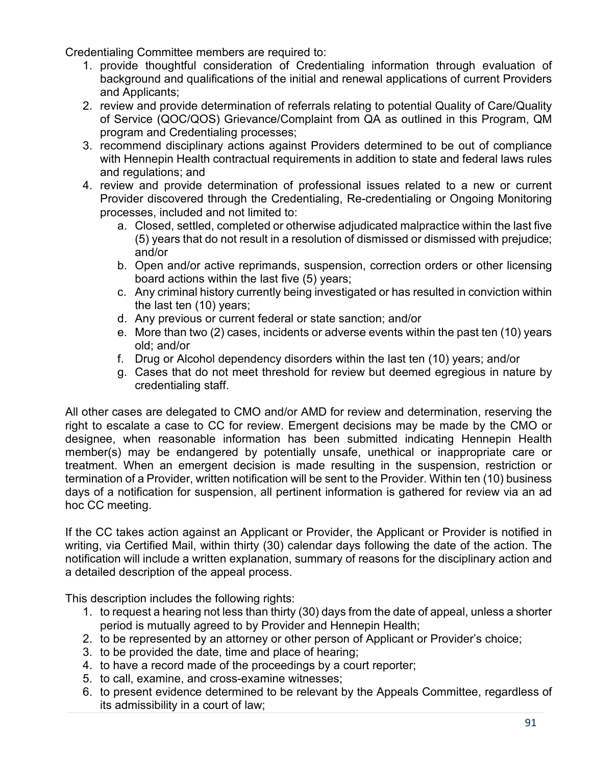Credentialing Committee members are required to:

- 1. provide thoughtful consideration of Credentialing information through evaluation of background and qualifications of the initial and renewal applications of current Providers and Applicants;
- 2. review and provide determination of referrals relating to potential Quality of Care/Quality of Service (QOC/QOS) Grievance/Complaint from QA as outlined in this Program, QM program and Credentialing processes;
- 3. recommend disciplinary actions against Providers determined to be out of compliance with Hennepin Health contractual requirements in addition to state and federal laws rules and regulations; and
- 4. review and provide determination of professional issues related to a new or current Provider discovered through the Credentialing, Re-credentialing or Ongoing Monitoring processes, included and not limited to:
	- a. Closed, settled, completed or otherwise adjudicated malpractice within the last five (5) years that do not result in a resolution of dismissed or dismissed with prejudice; and/or
	- b. Open and/or active reprimands, suspension, correction orders or other licensing board actions within the last five (5) years;
	- c. Any criminal history currently being investigated or has resulted in conviction within the last ten (10) years;
	- d. Any previous or current federal or state sanction; and/or
	- e. More than two (2) cases, incidents or adverse events within the past ten (10) years old; and/or
	- f. Drug or Alcohol dependency disorders within the last ten (10) years; and/or
	- g. Cases that do not meet threshold for review but deemed egregious in nature by credentialing staff.

All other cases are delegated to CMO and/or AMD for review and determination, reserving the right to escalate a case to CC for review. Emergent decisions may be made by the CMO or designee, when reasonable information has been submitted indicating Hennepin Health member(s) may be endangered by potentially unsafe, unethical or inappropriate care or treatment. When an emergent decision is made resulting in the suspension, restriction or termination of a Provider, written notification will be sent to the Provider. Within ten (10) business days of a notification for suspension, all pertinent information is gathered for review via an ad hoc CC meeting.

If the CC takes action against an Applicant or Provider, the Applicant or Provider is notified in writing, via Certified Mail, within thirty (30) calendar days following the date of the action. The notification will include a written explanation, summary of reasons for the disciplinary action and a detailed description of the appeal process.

This description includes the following rights:

- 1. to request a hearing not less than thirty (30) days from the date of appeal, unless a shorter period is mutually agreed to by Provider and Hennepin Health;
- 2. to be represented by an attorney or other person of Applicant or Provider's choice;
- 3. to be provided the date, time and place of hearing;
- 4. to have a record made of the proceedings by a court reporter;
- 5. to call, examine, and cross-examine witnesses;
- 6. to present evidence determined to be relevant by the Appeals Committee, regardless of its admissibility in a court of law;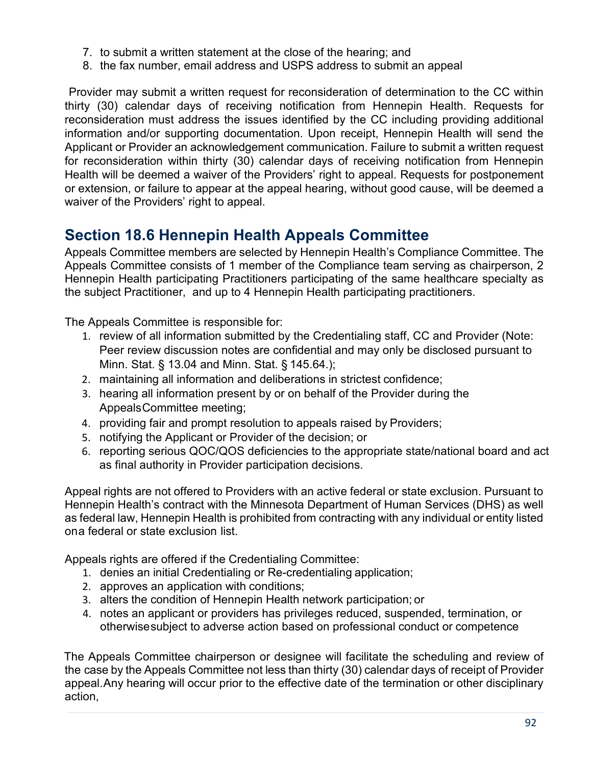- 7. to submit a written statement at the close of the hearing; and
- 8. the fax number, email address and USPS address to submit an appeal

Provider may submit a written request for reconsideration of determination to the CC within thirty (30) calendar days of receiving notification from Hennepin Health. Requests for reconsideration must address the issues identified by the CC including providing additional information and/or supporting documentation. Upon receipt, Hennepin Health will send the Applicant or Provider an acknowledgement communication. Failure to submit a written request for reconsideration within thirty (30) calendar days of receiving notification from Hennepin Health will be deemed a waiver of the Providers' right to appeal. Requests for postponement or extension, or failure to appear at the appeal hearing, without good cause, will be deemed a waiver of the Providers' right to appeal.

# **Section 18.6 Hennepin Health Appeals Committee**

Appeals Committee members are selected by Hennepin Health's Compliance Committee. The Appeals Committee consists of 1 member of the Compliance team serving as chairperson, 2 Hennepin Health participating Practitioners participating of the same healthcare specialty as the subject Practitioner, and up to 4 Hennepin Health participating practitioners.

The Appeals Committee is responsible for:

- 1. review of all information submitted by the Credentialing staff, CC and Provider (Note: Peer review discussion notes are confidential and may only be disclosed pursuant to Minn. Stat. § 13.04 and Minn. Stat. § 145.64.);
- 2. maintaining all information and deliberations in strictest confidence;
- 3. hearing all information present by or on behalf of the Provider during the AppealsCommittee meeting;
- 4. providing fair and prompt resolution to appeals raised by Providers;
- 5. notifying the Applicant or Provider of the decision; or
- 6. reporting serious QOC/QOS deficiencies to the appropriate state/national board and act as final authority in Provider participation decisions.

Appeal rights are not offered to Providers with an active federal or state exclusion. Pursuant to Hennepin Health's contract with the Minnesota Department of Human Services (DHS) as well as federal law, Hennepin Health is prohibited from contracting with any individual or entity listed ona federal or state exclusion list.

Appeals rights are offered if the Credentialing Committee:

- 1. denies an initial Credentialing or Re-credentialing application;
- 2. approves an application with conditions;
- 3. alters the condition of Hennepin Health network participation; or
- 4. notes an applicant or providers has privileges reduced, suspended, termination, or otherwisesubject to adverse action based on professional conduct or competence

The Appeals Committee chairperson or designee will facilitate the scheduling and review of the case by the Appeals Committee not less than thirty (30) calendar days of receipt of Provider appeal.Any hearing will occur prior to the effective date of the termination or other disciplinary action,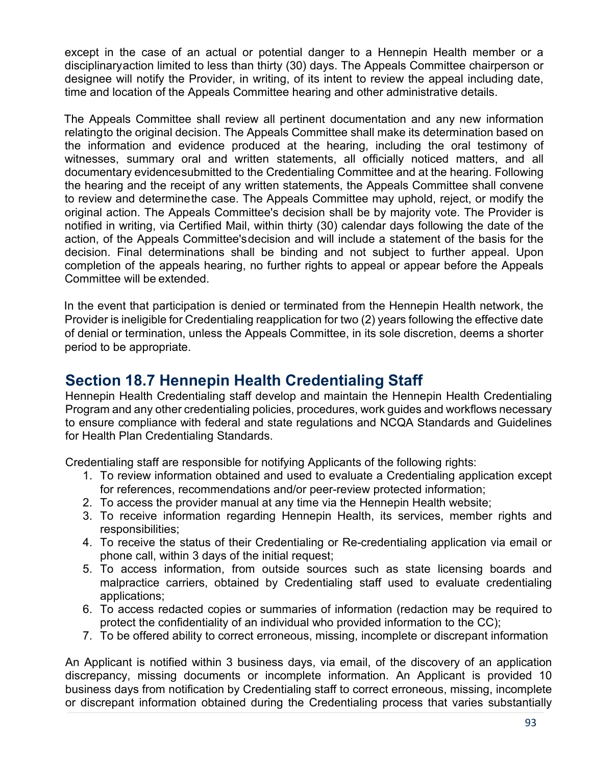except in the case of an actual or potential danger to a Hennepin Health member or a disciplinaryaction limited to less than thirty (30) days. The Appeals Committee chairperson or designee will notify the Provider, in writing, of its intent to review the appeal including date, time and location of the Appeals Committee hearing and other administrative details.

The Appeals Committee shall review all pertinent documentation and any new information relatingto the original decision. The Appeals Committee shall make its determination based on the information and evidence produced at the hearing, including the oral testimony of witnesses, summary oral and written statements, all officially noticed matters, and all documentary evidencesubmitted to the Credentialing Committee and at the hearing. Following the hearing and the receipt of any written statements, the Appeals Committee shall convene to review and determinethe case. The Appeals Committee may uphold, reject, or modify the original action. The Appeals Committee's decision shall be by majority vote. The Provider is notified in writing, via Certified Mail, within thirty (30) calendar days following the date of the action, of the Appeals Committee'sdecision and will include a statement of the basis for the decision. Final determinations shall be binding and not subject to further appeal. Upon completion of the appeals hearing, no further rights to appeal or appear before the Appeals Committee will be extended.

In the event that participation is denied or terminated from the Hennepin Health network, the Provider is ineligible for Credentialing reapplication for two (2) years following the effective date of denial or termination, unless the Appeals Committee, in its sole discretion, deems a shorter period to be appropriate.

### **Section 18.7 Hennepin Health Credentialing Staff**

Hennepin Health Credentialing staff develop and maintain the Hennepin Health Credentialing Program and any other credentialing policies, procedures, work guides and workflows necessary to ensure compliance with federal and state regulations and NCQA Standards and Guidelines for Health Plan Credentialing Standards.

Credentialing staff are responsible for notifying Applicants of the following rights:

- 1. To review information obtained and used to evaluate a Credentialing application except for references, recommendations and/or peer-review protected information;
- 2. To access the provider manual at any time via the Hennepin Health website;
- 3. To receive information regarding Hennepin Health, its services, member rights and responsibilities;
- 4. To receive the status of their Credentialing or Re-credentialing application via email or phone call, within 3 days of the initial request;
- 5. To access information, from outside sources such as state licensing boards and malpractice carriers, obtained by Credentialing staff used to evaluate credentialing applications;
- 6. To access redacted copies or summaries of information (redaction may be required to protect the confidentiality of an individual who provided information to the CC);
- 7. To be offered ability to correct erroneous, missing, incomplete or discrepant information

An Applicant is notified within 3 business days, via email, of the discovery of an application discrepancy, missing documents or incomplete information. An Applicant is provided 10 business days from notification by Credentialing staff to correct erroneous, missing, incomplete or discrepant information obtained during the Credentialing process that varies substantially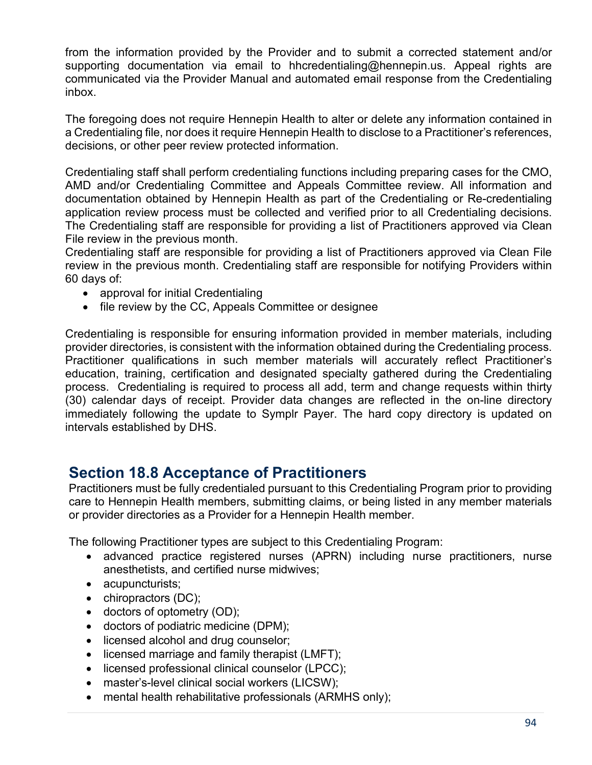from the information provided by the Provider and to submit a corrected statement and/or supporting documentation via email to hhcredentialing@hennepin.us. Appeal rights are communicated via the Provider Manual and automated email response from the Credentialing inbox.

The foregoing does not require Hennepin Health to alter or delete any information contained in a Credentialing file, nor does it require Hennepin Health to disclose to a Practitioner's references, decisions, or other peer review protected information.

Credentialing staff shall perform credentialing functions including preparing cases for the CMO, AMD and/or Credentialing Committee and Appeals Committee review. All information and documentation obtained by Hennepin Health as part of the Credentialing or Re-credentialing application review process must be collected and verified prior to all Credentialing decisions. The Credentialing staff are responsible for providing a list of Practitioners approved via Clean File review in the previous month.

Credentialing staff are responsible for providing a list of Practitioners approved via Clean File review in the previous month. Credentialing staff are responsible for notifying Providers within 60 days of:

- approval for initial Credentialing
- file review by the CC, Appeals Committee or designee

Credentialing is responsible for ensuring information provided in member materials, including provider directories, is consistent with the information obtained during the Credentialing process. Practitioner qualifications in such member materials will accurately reflect Practitioner's education, training, certification and designated specialty gathered during the Credentialing process. Credentialing is required to process all add, term and change requests within thirty (30) calendar days of receipt. Provider data changes are reflected in the on-line directory immediately following the update to Symplr Payer. The hard copy directory is updated on intervals established by DHS.

### **Section 18.8 Acceptance of Practitioners**

Practitioners must be fully credentialed pursuant to this Credentialing Program prior to providing care to Hennepin Health members, submitting claims, or being listed in any member materials or provider directories as a Provider for a Hennepin Health member.

The following Practitioner types are subject to this Credentialing Program:

- advanced practice registered nurses (APRN) including nurse practitioners, nurse anesthetists, and certified nurse midwives;
- acupuncturists;
- chiropractors (DC);
- doctors of optometry (OD);
- doctors of podiatric medicine (DPM);
- licensed alcohol and drug counselor;
- licensed marriage and family therapist (LMFT);
- licensed professional clinical counselor (LPCC);
- master's-level clinical social workers (LICSW);
- mental health rehabilitative professionals (ARMHS only);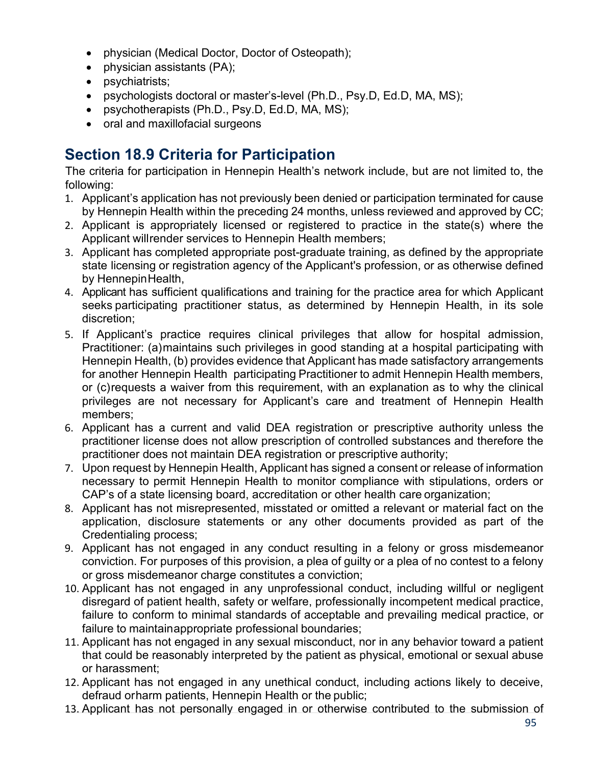- physician (Medical Doctor, Doctor of Osteopath);
- physician assistants (PA);
- psychiatrists;
- psychologists doctoral or master's-level (Ph.D., Psy.D, Ed.D, MA, MS);
- psychotherapists (Ph.D., Psy.D, Ed.D, MA, MS);
- oral and maxillofacial surgeons

# **Section 18.9 Criteria for Participation**

The criteria for participation in Hennepin Health's network include, but are not limited to, the following:

- 1. Applicant's application has not previously been denied or participation terminated for cause by Hennepin Health within the preceding 24 months, unless reviewed and approved by CC;
- 2. Applicant is appropriately licensed or registered to practice in the state(s) where the Applicant willrender services to Hennepin Health members;
- 3. Applicant has completed appropriate post-graduate training, as defined by the appropriate state licensing or registration agency of the Applicant's profession, or as otherwise defined by HennepinHealth,
- 4. Applicant has sufficient qualifications and training for the practice area for which Applicant seeks participating practitioner status, as determined by Hennepin Health, in its sole discretion;
- 5. If Applicant's practice requires clinical privileges that allow for hospital admission, Practitioner: (a)maintains such privileges in good standing at a hospital participating with Hennepin Health, (b) provides evidence that Applicant has made satisfactory arrangements for another Hennepin Health participating Practitioner to admit Hennepin Health members, or (c)requests a waiver from this requirement, with an explanation as to why the clinical privileges are not necessary for Applicant's care and treatment of Hennepin Health members;
- 6. Applicant has a current and valid DEA registration or prescriptive authority unless the practitioner license does not allow prescription of controlled substances and therefore the practitioner does not maintain DEA registration or prescriptive authority;
- 7. Upon request by Hennepin Health, Applicant has signed a consent or release of information necessary to permit Hennepin Health to monitor compliance with stipulations, orders or CAP's of a state licensing board, accreditation or other health care organization;
- 8. Applicant has not misrepresented, misstated or omitted a relevant or material fact on the application, disclosure statements or any other documents provided as part of the Credentialing process;
- 9. Applicant has not engaged in any conduct resulting in a felony or gross misdemeanor conviction. For purposes of this provision, a plea of guilty or a plea of no contest to a felony or gross misdemeanor charge constitutes a conviction;
- 10. Applicant has not engaged in any unprofessional conduct, including willful or negligent disregard of patient health, safety or welfare, professionally incompetent medical practice, failure to conform to minimal standards of acceptable and prevailing medical practice, or failure to maintainappropriate professional boundaries;
- 11. Applicant has not engaged in any sexual misconduct, nor in any behavior toward a patient that could be reasonably interpreted by the patient as physical, emotional or sexual abuse or harassment;
- 12. Applicant has not engaged in any unethical conduct, including actions likely to deceive, defraud orharm patients, Hennepin Health or the public;
- 13. Applicant has not personally engaged in or otherwise contributed to the submission of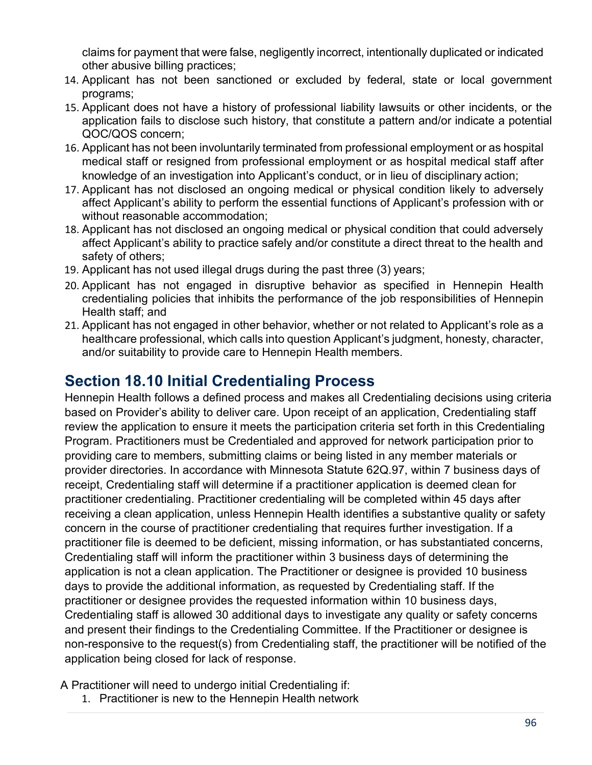claims for payment that were false, negligently incorrect, intentionally duplicated or indicated other abusive billing practices;

- 14. Applicant has not been sanctioned or excluded by federal, state or local government programs;
- 15. Applicant does not have a history of professional liability lawsuits or other incidents, or the application fails to disclose such history, that constitute a pattern and/or indicate a potential QOC/QOS concern;
- 16. Applicant has not been involuntarily terminated from professional employment or as hospital medical staff or resigned from professional employment or as hospital medical staff after knowledge of an investigation into Applicant's conduct, or in lieu of disciplinary action;
- 17. Applicant has not disclosed an ongoing medical or physical condition likely to adversely affect Applicant's ability to perform the essential functions of Applicant's profession with or without reasonable accommodation;
- 18. Applicant has not disclosed an ongoing medical or physical condition that could adversely affect Applicant's ability to practice safely and/or constitute a direct threat to the health and safety of others;
- 19. Applicant has not used illegal drugs during the past three (3) years;
- 20. Applicant has not engaged in disruptive behavior as specified in Hennepin Health credentialing policies that inhibits the performance of the job responsibilities of Hennepin Health staff; and
- 21. Applicant has not engaged in other behavior, whether or not related to Applicant's role as a healthcare professional, which calls into question Applicant's judgment, honesty, character, and/or suitability to provide care to Hennepin Health members.

# **Section 18.10 Initial Credentialing Process**

Hennepin Health follows a defined process and makes all Credentialing decisions using criteria based on Provider's ability to deliver care. Upon receipt of an application, Credentialing staff review the application to ensure it meets the participation criteria set forth in this Credentialing Program. Practitioners must be Credentialed and approved for network participation prior to providing care to members, submitting claims or being listed in any member materials or provider directories. In accordance with Minnesota Statute 62Q.97, within 7 business days of receipt, Credentialing staff will determine if a practitioner application is deemed clean for practitioner credentialing. Practitioner credentialing will be completed within 45 days after receiving a clean application, unless Hennepin Health identifies a substantive quality or safety concern in the course of practitioner credentialing that requires further investigation. If a practitioner file is deemed to be deficient, missing information, or has substantiated concerns, Credentialing staff will inform the practitioner within 3 business days of determining the application is not a clean application. The Practitioner or designee is provided 10 business days to provide the additional information, as requested by Credentialing staff. If the practitioner or designee provides the requested information within 10 business days, Credentialing staff is allowed 30 additional days to investigate any quality or safety concerns and present their findings to the Credentialing Committee. If the Practitioner or designee is non-responsive to the request(s) from Credentialing staff, the practitioner will be notified of the application being closed for lack of response.

A Practitioner will need to undergo initial Credentialing if:

1. Practitioner is new to the Hennepin Health network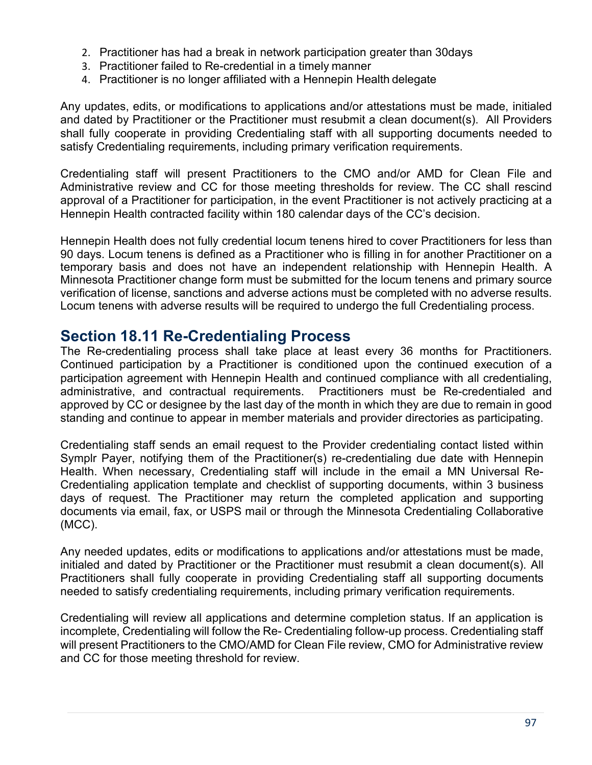- 2. Practitioner has had a break in network participation greater than 30days
- 3. Practitioner failed to Re-credential in a timely manner
- 4. Practitioner is no longer affiliated with a Hennepin Health delegate

Any updates, edits, or modifications to applications and/or attestations must be made, initialed and dated by Practitioner or the Practitioner must resubmit a clean document(s). All Providers shall fully cooperate in providing Credentialing staff with all supporting documents needed to satisfy Credentialing requirements, including primary verification requirements.

Credentialing staff will present Practitioners to the CMO and/or AMD for Clean File and Administrative review and CC for those meeting thresholds for review. The CC shall rescind approval of a Practitioner for participation, in the event Practitioner is not actively practicing at a Hennepin Health contracted facility within 180 calendar days of the CC's decision.

Hennepin Health does not fully credential locum tenens hired to cover Practitioners for less than 90 days. Locum tenens is defined as a Practitioner who is filling in for another Practitioner on a temporary basis and does not have an independent relationship with Hennepin Health. A Minnesota Practitioner change form must be submitted for the locum tenens and primary source verification of license, sanctions and adverse actions must be completed with no adverse results. Locum tenens with adverse results will be required to undergo the full Credentialing process.

### **Section 18.11 Re-Credentialing Process**

The Re-credentialing process shall take place at least every 36 months for Practitioners. Continued participation by a Practitioner is conditioned upon the continued execution of a participation agreement with Hennepin Health and continued compliance with all credentialing, administrative, and contractual requirements. Practitioners must be Re-credentialed and approved by CC or designee by the last day of the month in which they are due to remain in good standing and continue to appear in member materials and provider directories as participating.

Credentialing staff sends an email request to the Provider credentialing contact listed within Symplr Payer, notifying them of the Practitioner(s) re-credentialing due date with Hennepin Health. When necessary, Credentialing staff will include in the email a MN Universal Re-Credentialing application template and checklist of supporting documents, within 3 business days of request. The Practitioner may return the completed application and supporting documents via email, fax, or USPS mail or through the Minnesota Credentialing Collaborative (MCC).

Any needed updates, edits or modifications to applications and/or attestations must be made, initialed and dated by Practitioner or the Practitioner must resubmit a clean document(s). All Practitioners shall fully cooperate in providing Credentialing staff all supporting documents needed to satisfy credentialing requirements, including primary verification requirements.

Credentialing will review all applications and determine completion status. If an application is incomplete, Credentialing will follow the Re- Credentialing follow-up process. Credentialing staff will present Practitioners to the CMO/AMD for Clean File review, CMO for Administrative review and CC for those meeting threshold for review.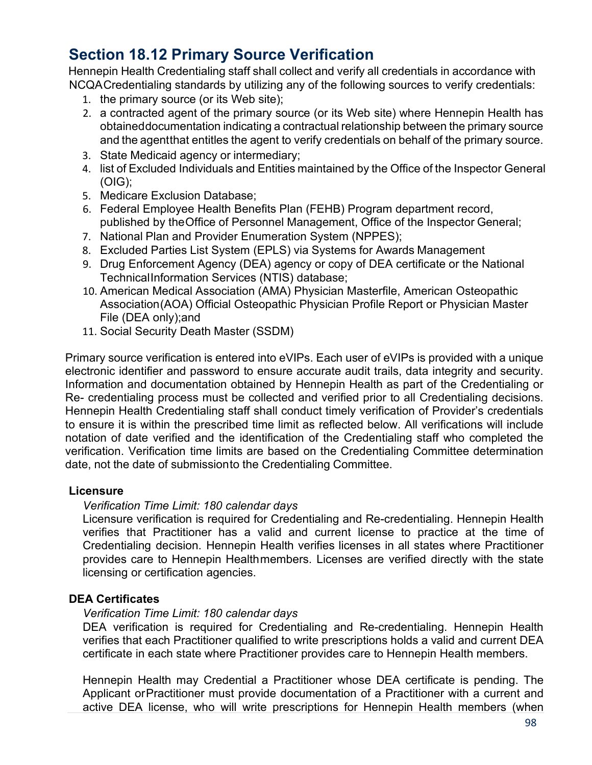# **Section 18.12 Primary Source Verification**

Hennepin Health Credentialing staff shall collect and verify all credentials in accordance with NCQACredentialing standards by utilizing any of the following sources to verify credentials:

- 1. the primary source (or its Web site);
- 2. a contracted agent of the primary source (or its Web site) where Hennepin Health has obtaineddocumentation indicating a contractual relationship between the primary source and the agentthat entitles the agent to verify credentials on behalf of the primary source.
- 3. State Medicaid agency or intermediary;
- 4. list of Excluded Individuals and Entities maintained by the Office of the Inspector General (OIG);
- 5. Medicare Exclusion Database;
- 6. Federal Employee Health Benefits Plan (FEHB) Program department record, published by theOffice of Personnel Management, Office of the Inspector General;
- 7. National Plan and Provider Enumeration System (NPPES);
- 8. Excluded Parties List System (EPLS) via Systems for Awards Management
- 9. Drug Enforcement Agency (DEA) agency or copy of DEA certificate or the National TechnicalInformation Services (NTIS) database;
- 10. American Medical Association (AMA) Physician Masterfile, American Osteopathic Association(AOA) Official Osteopathic Physician Profile Report or Physician Master File (DEA only);and
- 11. Social Security Death Master (SSDM)

Primary source verification is entered into eVIPs. Each user of eVIPs is provided with a unique electronic identifier and password to ensure accurate audit trails, data integrity and security. Information and documentation obtained by Hennepin Health as part of the Credentialing or Re- credentialing process must be collected and verified prior to all Credentialing decisions. Hennepin Health Credentialing staff shall conduct timely verification of Provider's credentials to ensure it is within the prescribed time limit as reflected below. All verifications will include notation of date verified and the identification of the Credentialing staff who completed the verification. Verification time limits are based on the Credentialing Committee determination date, not the date of submissionto the Credentialing Committee.

#### **Licensure**

#### *Verification Time Limit: 180 calendar days*

Licensure verification is required for Credentialing and Re-credentialing. Hennepin Health verifies that Practitioner has a valid and current license to practice at the time of Credentialing decision. Hennepin Health verifies licenses in all states where Practitioner provides care to Hennepin Healthmembers. Licenses are verified directly with the state licensing or certification agencies.

#### **DEA Certificates**

#### *Verification Time Limit: 180 calendar days*

DEA verification is required for Credentialing and Re-credentialing. Hennepin Health verifies that each Practitioner qualified to write prescriptions holds a valid and current DEA certificate in each state where Practitioner provides care to Hennepin Health members.

Hennepin Health may Credential a Practitioner whose DEA certificate is pending. The Applicant orPractitioner must provide documentation of a Practitioner with a current and active DEA license, who will write prescriptions for Hennepin Health members (when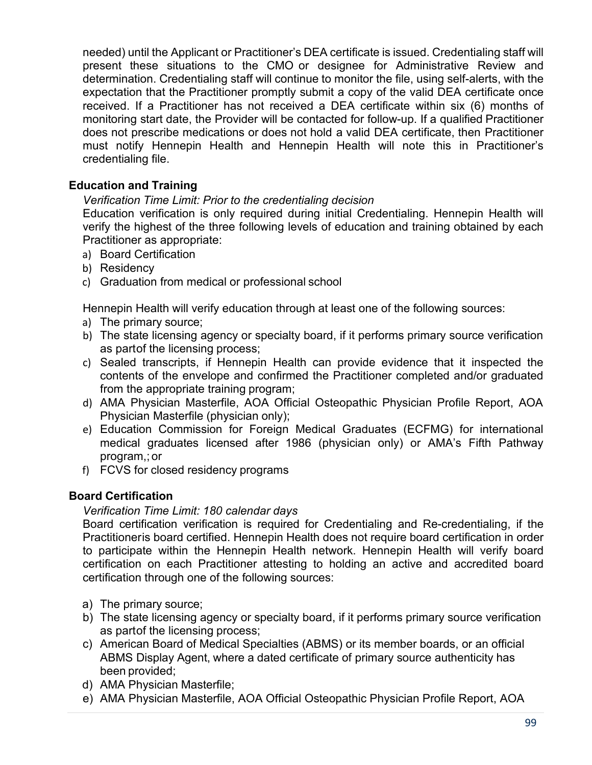needed) until the Applicant or Practitioner's DEA certificate is issued. Credentialing staff will present these situations to the CMO or designee for Administrative Review and determination. Credentialing staff will continue to monitor the file, using self-alerts, with the expectation that the Practitioner promptly submit a copy of the valid DEA certificate once received. If a Practitioner has not received a DEA certificate within six (6) months of monitoring start date, the Provider will be contacted for follow-up. If a qualified Practitioner does not prescribe medications or does not hold a valid DEA certificate, then Practitioner must notify Hennepin Health and Hennepin Health will note this in Practitioner's credentialing file.

#### **Education and Training**

#### *Verification Time Limit: Prior to the credentialing decision*

Education verification is only required during initial Credentialing. Hennepin Health will verify the highest of the three following levels of education and training obtained by each Practitioner as appropriate:

- a) Board Certification
- b) Residency
- c) Graduation from medical or professional school

Hennepin Health will verify education through at least one of the following sources:

- a) The primary source;
- b) The state licensing agency or specialty board, if it performs primary source verification as partof the licensing process;
- c) Sealed transcripts, if Hennepin Health can provide evidence that it inspected the contents of the envelope and confirmed the Practitioner completed and/or graduated from the appropriate training program;
- d) AMA Physician Masterfile, AOA Official Osteopathic Physician Profile Report, AOA Physician Masterfile (physician only);
- e) Education Commission for Foreign Medical Graduates (ECFMG) for international medical graduates licensed after 1986 (physician only) or AMA's Fifth Pathway program,; or
- f) FCVS for closed residency programs

#### **Board Certification**

#### *Verification Time Limit: 180 calendar days*

Board certification verification is required for Credentialing and Re-credentialing, if the Practitioneris board certified. Hennepin Health does not require board certification in order to participate within the Hennepin Health network. Hennepin Health will verify board certification on each Practitioner attesting to holding an active and accredited board certification through one of the following sources:

- a) The primary source;
- b) The state licensing agency or specialty board, if it performs primary source verification as partof the licensing process;
- c) American Board of Medical Specialties (ABMS) or its member boards, or an official ABMS Display Agent, where a dated certificate of primary source authenticity has been provided;
- d) AMA Physician Masterfile;
- e) AMA Physician Masterfile, AOA Official Osteopathic Physician Profile Report, AOA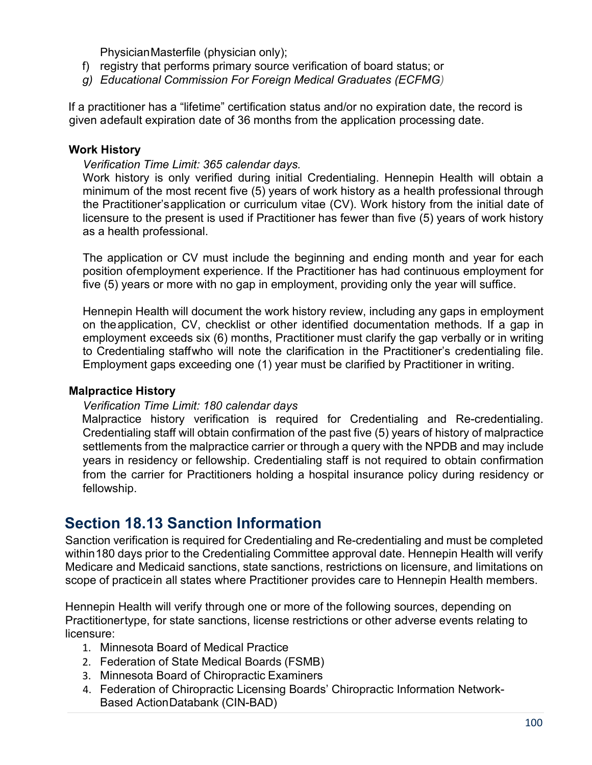PhysicianMasterfile (physician only);

- f) registry that performs primary source verification of board status; or
- *g) Educational Commission For Foreign Medical Graduates (ECFMG)*

If a practitioner has a "lifetime" certification status and/or no expiration date, the record is given adefault expiration date of 36 months from the application processing date.

#### **Work History**

#### *Verification Time Limit: 365 calendar days.*

Work history is only verified during initial Credentialing. Hennepin Health will obtain a minimum of the most recent five (5) years of work history as a health professional through the Practitioner'sapplication or curriculum vitae (CV). Work history from the initial date of licensure to the present is used if Practitioner has fewer than five (5) years of work history as a health professional.

The application or CV must include the beginning and ending month and year for each position ofemployment experience. If the Practitioner has had continuous employment for five (5) years or more with no gap in employment, providing only the year will suffice.

Hennepin Health will document the work history review, including any gaps in employment on theapplication, CV, checklist or other identified documentation methods. If a gap in employment exceeds six (6) months, Practitioner must clarify the gap verbally or in writing to Credentialing staffwho will note the clarification in the Practitioner's credentialing file. Employment gaps exceeding one (1) year must be clarified by Practitioner in writing.

#### **Malpractice History**

#### *Verification Time Limit: 180 calendar days*

Malpractice history verification is required for Credentialing and Re-credentialing. Credentialing staff will obtain confirmation of the past five (5) years of history of malpractice settlements from the malpractice carrier or through a query with the NPDB and may include years in residency or fellowship. Credentialing staff is not required to obtain confirmation from the carrier for Practitioners holding a hospital insurance policy during residency or fellowship.

### **Section 18.13 Sanction Information**

Sanction verification is required for Credentialing and Re-credentialing and must be completed within180 days prior to the Credentialing Committee approval date. Hennepin Health will verify Medicare and Medicaid sanctions, state sanctions, restrictions on licensure, and limitations on scope of practicein all states where Practitioner provides care to Hennepin Health members.

Hennepin Health will verify through one or more of the following sources, depending on Practitionertype, for state sanctions, license restrictions or other adverse events relating to licensure:

- 1. Minnesota Board of Medical Practice
- 2. Federation of State Medical Boards (FSMB)
- 3. Minnesota Board of Chiropractic Examiners
- 4. Federation of Chiropractic Licensing Boards' Chiropractic Information Network-Based ActionDatabank (CIN-BAD)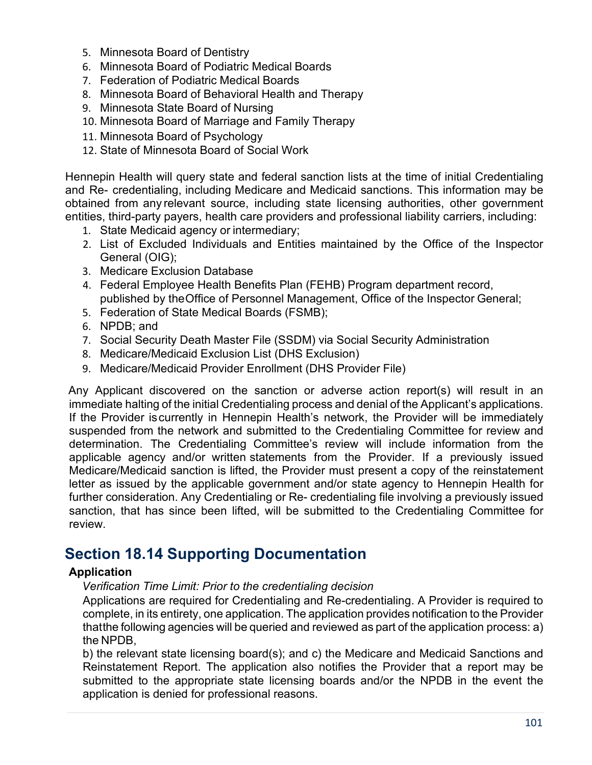- 5. Minnesota Board of Dentistry
- 6. Minnesota Board of Podiatric Medical Boards
- 7. Federation of Podiatric Medical Boards
- 8. Minnesota Board of Behavioral Health and Therapy
- 9. Minnesota State Board of Nursing
- 10. Minnesota Board of Marriage and Family Therapy
- 11. Minnesota Board of Psychology
- 12. State of Minnesota Board of Social Work

Hennepin Health will query state and federal sanction lists at the time of initial Credentialing and Re- credentialing, including Medicare and Medicaid sanctions. This information may be obtained from any relevant source, including state licensing authorities, other government entities, third-party payers, health care providers and professional liability carriers, including:

- 1. State Medicaid agency or intermediary;
- 2. List of Excluded Individuals and Entities maintained by the Office of the Inspector General (OIG);
- 3. Medicare Exclusion Database
- 4. Federal Employee Health Benefits Plan (FEHB) Program department record, published by theOffice of Personnel Management, Office of the Inspector General;
- 5. Federation of State Medical Boards (FSMB);
- 6. NPDB; and
- 7. Social Security Death Master File (SSDM) via Social Security Administration
- 8. Medicare/Medicaid Exclusion List (DHS Exclusion)
- 9. Medicare/Medicaid Provider Enrollment (DHS Provider File)

Any Applicant discovered on the sanction or adverse action report(s) will result in an immediate halting of the initial Credentialing process and denial of the Applicant's applications. If the Provider iscurrently in Hennepin Health's network, the Provider will be immediately suspended from the network and submitted to the Credentialing Committee for review and determination. The Credentialing Committee's review will include information from the applicable agency and/or written statements from the Provider. If a previously issued Medicare/Medicaid sanction is lifted, the Provider must present a copy of the reinstatement letter as issued by the applicable government and/or state agency to Hennepin Health for further consideration. Any Credentialing or Re- credentialing file involving a previously issued sanction, that has since been lifted, will be submitted to the Credentialing Committee for review.

# **Section 18.14 Supporting Documentation**

### **Application**

*Verification Time Limit: Prior to the credentialing decision*

Applications are required for Credentialing and Re-credentialing. A Provider is required to complete, in its entirety, one application. The application provides notification to the Provider thatthe following agencies will be queried and reviewed as part of the application process: a) the NPDB,

b) the relevant state licensing board(s); and c) the Medicare and Medicaid Sanctions and Reinstatement Report. The application also notifies the Provider that a report may be submitted to the appropriate state licensing boards and/or the NPDB in the event the application is denied for professional reasons.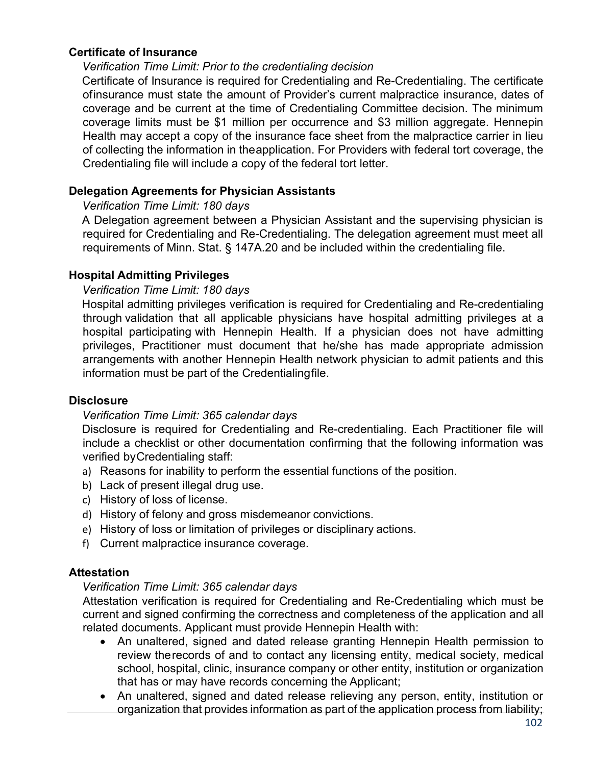#### **Certificate of Insurance**

#### *Verification Time Limit: Prior to the credentialing decision*

Certificate of Insurance is required for Credentialing and Re-Credentialing. The certificate ofinsurance must state the amount of Provider's current malpractice insurance, dates of coverage and be current at the time of Credentialing Committee decision. The minimum coverage limits must be \$1 million per occurrence and \$3 million aggregate. Hennepin Health may accept a copy of the insurance face sheet from the malpractice carrier in lieu of collecting the information in theapplication. For Providers with federal tort coverage, the Credentialing file will include a copy of the federal tort letter.

#### **Delegation Agreements for Physician Assistants**

#### *Verification Time Limit: 180 days*

A Delegation agreement between a Physician Assistant and the supervising physician is required for Credentialing and Re-Credentialing. The delegation agreement must meet all requirements of Minn. Stat. § 147A.20 and be included within the credentialing file.

#### **Hospital Admitting Privileges**

#### *Verification Time Limit: 180 days*

Hospital admitting privileges verification is required for Credentialing and Re-credentialing through validation that all applicable physicians have hospital admitting privileges at a hospital participating with Hennepin Health. If a physician does not have admitting privileges, Practitioner must document that he/she has made appropriate admission arrangements with another Hennepin Health network physician to admit patients and this information must be part of the Credentialingfile.

#### **Disclosure**

#### *Verification Time Limit: 365 calendar days*

Disclosure is required for Credentialing and Re-credentialing. Each Practitioner file will include a checklist or other documentation confirming that the following information was verified byCredentialing staff:

- a) Reasons for inability to perform the essential functions of the position.
- b) Lack of present illegal drug use.
- c) History of loss of license.
- d) History of felony and gross misdemeanor convictions.
- e) History of loss or limitation of privileges or disciplinary actions.
- f) Current malpractice insurance coverage.

#### **Attestation**

#### *Verification Time Limit: 365 calendar days*

Attestation verification is required for Credentialing and Re-Credentialing which must be current and signed confirming the correctness and completeness of the application and all related documents. Applicant must provide Hennepin Health with:

- An unaltered, signed and dated release granting Hennepin Health permission to review therecords of and to contact any licensing entity, medical society, medical school, hospital, clinic, insurance company or other entity, institution or organization that has or may have records concerning the Applicant;
- An unaltered, signed and dated release relieving any person, entity, institution or organization that provides information as part of the application process from liability;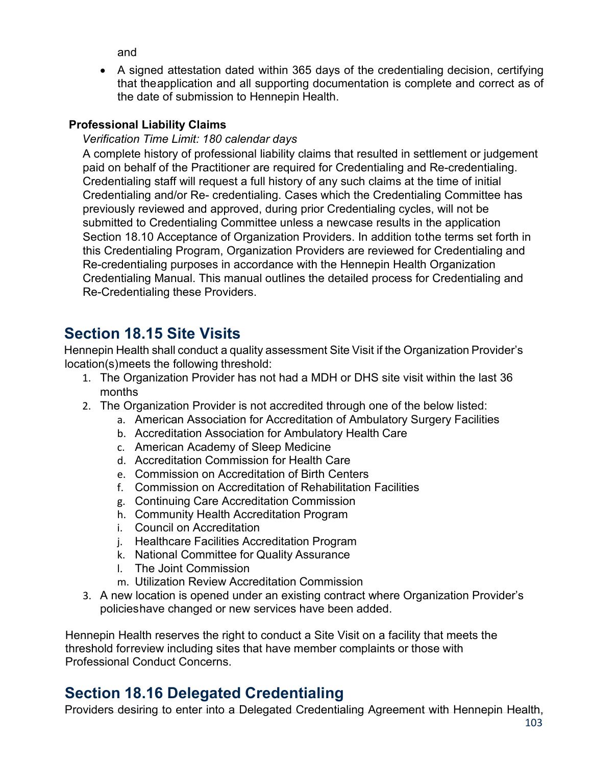and

• A signed attestation dated within 365 days of the credentialing decision, certifying that theapplication and all supporting documentation is complete and correct as of the date of submission to Hennepin Health.

#### **Professional Liability Claims**

#### *Verification Time Limit: 180 calendar days*

A complete history of professional liability claims that resulted in settlement or judgement paid on behalf of the Practitioner are required for Credentialing and Re-credentialing. Credentialing staff will request a full history of any such claims at the time of initial Credentialing and/or Re- credentialing. Cases which the Credentialing Committee has previously reviewed and approved, during prior Credentialing cycles, will not be submitted to Credentialing Committee unless a newcase results in the application Section 18.10 Acceptance of Organization Providers. In addition tothe terms set forth in this Credentialing Program, Organization Providers are reviewed for Credentialing and Re-credentialing purposes in accordance with the Hennepin Health Organization Credentialing Manual. This manual outlines the detailed process for Credentialing and Re-Credentialing these Providers.

# **Section 18.15 Site Visits**

Hennepin Health shall conduct a quality assessment Site Visit if the Organization Provider's location(s)meets the following threshold:

- 1. The Organization Provider has not had a MDH or DHS site visit within the last 36 months
- 2. The Organization Provider is not accredited through one of the below listed:
	- a. American Association for Accreditation of Ambulatory Surgery Facilities
	- b. Accreditation Association for Ambulatory Health Care
	- c. American Academy of Sleep Medicine
	- d. Accreditation Commission for Health Care
	- e. Commission on Accreditation of Birth Centers
	- f. Commission on Accreditation of Rehabilitation Facilities
	- g. Continuing Care Accreditation Commission
	- h. Community Health Accreditation Program
	- i. Council on Accreditation
	- j. Healthcare Facilities Accreditation Program
	- k. National Committee for Quality Assurance
	- l. The Joint Commission
	- m. Utilization Review Accreditation Commission
- 3. A new location is opened under an existing contract where Organization Provider's policieshave changed or new services have been added.

Hennepin Health reserves the right to conduct a Site Visit on a facility that meets the threshold forreview including sites that have member complaints or those with Professional Conduct Concerns.

# **Section 18.16 Delegated Credentialing**

Providers desiring to enter into a Delegated Credentialing Agreement with Hennepin Health,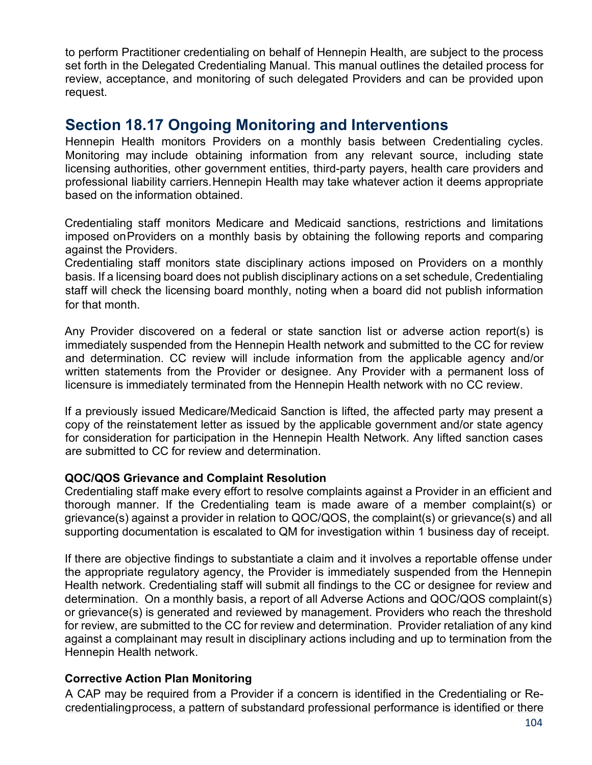to perform Practitioner credentialing on behalf of Hennepin Health, are subject to the process set forth in the Delegated Credentialing Manual. This manual outlines the detailed process for review, acceptance, and monitoring of such delegated Providers and can be provided upon request.

### **Section 18.17 Ongoing Monitoring and Interventions**

Hennepin Health monitors Providers on a monthly basis between Credentialing cycles. Monitoring may include obtaining information from any relevant source, including state licensing authorities, other government entities, third-party payers, health care providers and professional liability carriers.Hennepin Health may take whatever action it deems appropriate based on the information obtained.

Credentialing staff monitors Medicare and Medicaid sanctions, restrictions and limitations imposed onProviders on a monthly basis by obtaining the following reports and comparing against the Providers.

Credentialing staff monitors state disciplinary actions imposed on Providers on a monthly basis. If a licensing board does not publish disciplinary actions on a set schedule, Credentialing staff will check the licensing board monthly, noting when a board did not publish information for that month.

Any Provider discovered on a federal or state sanction list or adverse action report(s) is immediately suspended from the Hennepin Health network and submitted to the CC for review and determination. CC review will include information from the applicable agency and/or written statements from the Provider or designee. Any Provider with a permanent loss of licensure is immediately terminated from the Hennepin Health network with no CC review.

If a previously issued Medicare/Medicaid Sanction is lifted, the affected party may present a copy of the reinstatement letter as issued by the applicable government and/or state agency for consideration for participation in the Hennepin Health Network. Any lifted sanction cases are submitted to CC for review and determination.

#### **QOC/QOS Grievance and Complaint Resolution**

Credentialing staff make every effort to resolve complaints against a Provider in an efficient and thorough manner. If the Credentialing team is made aware of a member complaint(s) or grievance(s) against a provider in relation to QOC/QOS, the complaint(s) or grievance(s) and all supporting documentation is escalated to QM for investigation within 1 business day of receipt.

If there are objective findings to substantiate a claim and it involves a reportable offense under the appropriate regulatory agency, the Provider is immediately suspended from the Hennepin Health network. Credentialing staff will submit all findings to the CC or designee for review and determination. On a monthly basis, a report of all Adverse Actions and QOC/QOS complaint(s) or grievance(s) is generated and reviewed by management. Providers who reach the threshold for review, are submitted to the CC for review and determination. Provider retaliation of any kind against a complainant may result in disciplinary actions including and up to termination from the Hennepin Health network.

#### **Corrective Action Plan Monitoring**

A CAP may be required from a Provider if a concern is identified in the Credentialing or Recredentialingprocess, a pattern of substandard professional performance is identified or there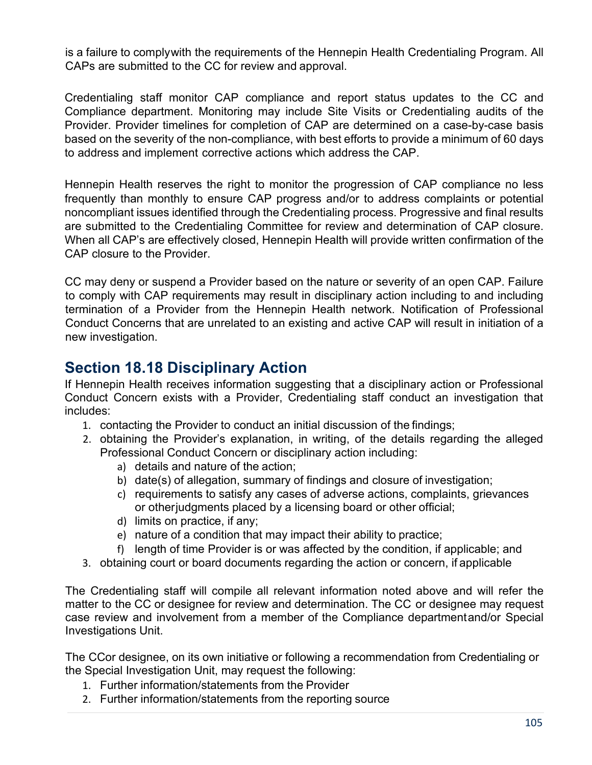is a failure to complywith the requirements of the Hennepin Health Credentialing Program. All CAPs are submitted to the CC for review and approval.

Credentialing staff monitor CAP compliance and report status updates to the CC and Compliance department. Monitoring may include Site Visits or Credentialing audits of the Provider. Provider timelines for completion of CAP are determined on a case-by-case basis based on the severity of the non-compliance, with best efforts to provide a minimum of 60 days to address and implement corrective actions which address the CAP.

Hennepin Health reserves the right to monitor the progression of CAP compliance no less frequently than monthly to ensure CAP progress and/or to address complaints or potential noncompliant issues identified through the Credentialing process. Progressive and final results are submitted to the Credentialing Committee for review and determination of CAP closure. When all CAP's are effectively closed, Hennepin Health will provide written confirmation of the CAP closure to the Provider.

CC may deny or suspend a Provider based on the nature or severity of an open CAP. Failure to comply with CAP requirements may result in disciplinary action including to and including termination of a Provider from the Hennepin Health network. Notification of Professional Conduct Concerns that are unrelated to an existing and active CAP will result in initiation of a new investigation.

## **Section 18.18 Disciplinary Action**

If Hennepin Health receives information suggesting that a disciplinary action or Professional Conduct Concern exists with a Provider, Credentialing staff conduct an investigation that includes:

- 1. contacting the Provider to conduct an initial discussion of the findings;
- 2. obtaining the Provider's explanation, in writing, of the details regarding the alleged Professional Conduct Concern or disciplinary action including:
	- a) details and nature of the action;
	- b) date(s) of allegation, summary of findings and closure of investigation;
	- c) requirements to satisfy any cases of adverse actions, complaints, grievances or otherjudgments placed by a licensing board or other official;
	- d) limits on practice, if any;
	- e) nature of a condition that may impact their ability to practice;
	- f) length of time Provider is or was affected by the condition, if applicable; and
- 3. obtaining court or board documents regarding the action or concern, if applicable

The Credentialing staff will compile all relevant information noted above and will refer the matter to the CC or designee for review and determination. The CC or designee may request case review and involvement from a member of the Compliance departmentand/or Special Investigations Unit.

The CCor designee, on its own initiative or following a recommendation from Credentialing or the Special Investigation Unit, may request the following:

- 1. Further information/statements from the Provider
- 2. Further information/statements from the reporting source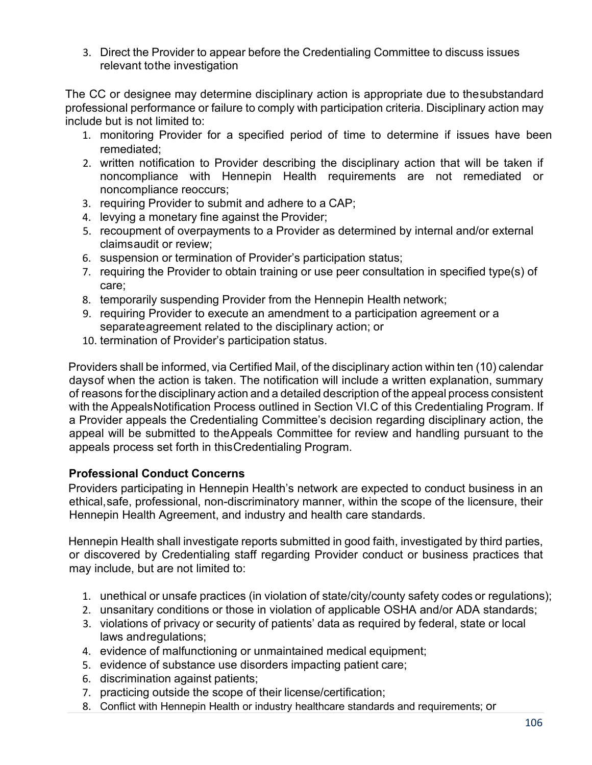3. Direct the Provider to appear before the Credentialing Committee to discuss issues relevant tothe investigation

The CC or designee may determine disciplinary action is appropriate due to thesubstandard professional performance or failure to comply with participation criteria. Disciplinary action may include but is not limited to:

- 1. monitoring Provider for a specified period of time to determine if issues have been remediated;
- 2. written notification to Provider describing the disciplinary action that will be taken if noncompliance with Hennepin Health requirements are not remediated or noncompliance reoccurs;
- 3. requiring Provider to submit and adhere to a CAP;
- 4. levying a monetary fine against the Provider;
- 5. recoupment of overpayments to a Provider as determined by internal and/or external claimsaudit or review;
- 6. suspension or termination of Provider's participation status;
- 7. requiring the Provider to obtain training or use peer consultation in specified type(s) of care;
- 8. temporarily suspending Provider from the Hennepin Health network;
- 9. requiring Provider to execute an amendment to a participation agreement or a separateagreement related to the disciplinary action; or
- 10. termination of Provider's participation status.

Providers shall be informed, via Certified Mail, of the disciplinary action within ten (10) calendar daysof when the action is taken. The notification will include a written explanation, summary of reasons forthe disciplinary action and a detailed description of the appeal process consistent with the AppealsNotification Process outlined in Section VI.C of this Credentialing Program. If a Provider appeals the Credentialing Committee's decision regarding disciplinary action, the appeal will be submitted to theAppeals Committee for review and handling pursuant to the appeals process set forth in thisCredentialing Program.

#### **Professional Conduct Concerns**

Providers participating in Hennepin Health's network are expected to conduct business in an ethical,safe, professional, non-discriminatory manner, within the scope of the licensure, their Hennepin Health Agreement, and industry and health care standards.

Hennepin Health shall investigate reports submitted in good faith, investigated by third parties, or discovered by Credentialing staff regarding Provider conduct or business practices that may include, but are not limited to:

- 1. unethical or unsafe practices (in violation of state/city/county safety codes or regulations);
- 2. unsanitary conditions or those in violation of applicable OSHA and/or ADA standards;
- 3. violations of privacy or security of patients' data as required by federal, state or local laws andregulations;
- 4. evidence of malfunctioning or unmaintained medical equipment;
- 5. evidence of substance use disorders impacting patient care;
- 6. discrimination against patients;
- 7. practicing outside the scope of their license/certification;
- 8. Conflict with Hennepin Health or industry healthcare standards and requirements; or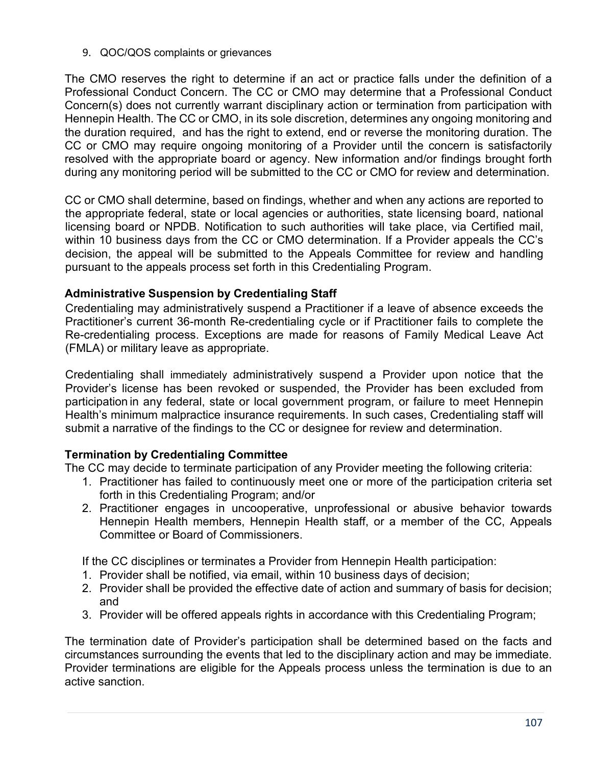9. QOC/QOS complaints or grievances

The CMO reserves the right to determine if an act or practice falls under the definition of a Professional Conduct Concern. The CC or CMO may determine that a Professional Conduct Concern(s) does not currently warrant disciplinary action or termination from participation with Hennepin Health. The CC or CMO, in its sole discretion, determines any ongoing monitoring and the duration required, and has the right to extend, end or reverse the monitoring duration. The CC or CMO may require ongoing monitoring of a Provider until the concern is satisfactorily resolved with the appropriate board or agency. New information and/or findings brought forth during any monitoring period will be submitted to the CC or CMO for review and determination.

CC or CMO shall determine, based on findings, whether and when any actions are reported to the appropriate federal, state or local agencies or authorities, state licensing board, national licensing board or NPDB. Notification to such authorities will take place, via Certified mail, within 10 business days from the CC or CMO determination. If a Provider appeals the CC's decision, the appeal will be submitted to the Appeals Committee for review and handling pursuant to the appeals process set forth in this Credentialing Program.

#### **Administrative Suspension by Credentialing Staff**

Credentialing may administratively suspend a Practitioner if a leave of absence exceeds the Practitioner's current 36-month Re-credentialing cycle or if Practitioner fails to complete the Re-credentialing process. Exceptions are made for reasons of Family Medical Leave Act (FMLA) or military leave as appropriate.

Credentialing shall immediately administratively suspend a Provider upon notice that the Provider's license has been revoked or suspended, the Provider has been excluded from participation in any federal, state or local government program, or failure to meet Hennepin Health's minimum malpractice insurance requirements. In such cases, Credentialing staff will submit a narrative of the findings to the CC or designee for review and determination.

### **Termination by Credentialing Committee**

The CC may decide to terminate participation of any Provider meeting the following criteria:

- 1. Practitioner has failed to continuously meet one or more of the participation criteria set forth in this Credentialing Program; and/or
- 2. Practitioner engages in uncooperative, unprofessional or abusive behavior towards Hennepin Health members, Hennepin Health staff, or a member of the CC, Appeals Committee or Board of Commissioners.

If the CC disciplines or terminates a Provider from Hennepin Health participation:

- 1. Provider shall be notified, via email, within 10 business days of decision;
- 2. Provider shall be provided the effective date of action and summary of basis for decision; and
- 3. Provider will be offered appeals rights in accordance with this Credentialing Program;

The termination date of Provider's participation shall be determined based on the facts and circumstances surrounding the events that led to the disciplinary action and may be immediate. Provider terminations are eligible for the Appeals process unless the termination is due to an active sanction.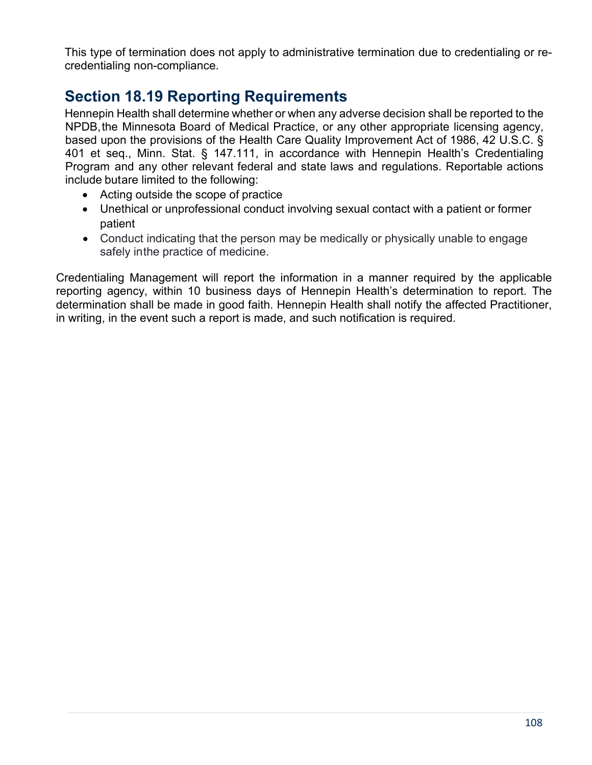This type of termination does not apply to administrative termination due to credentialing or recredentialing non-compliance.

# **Section 18.19 Reporting Requirements**

Hennepin Health shall determine whether or when any adverse decision shall be reported to the NPDB,the Minnesota Board of Medical Practice, or any other appropriate licensing agency, based upon the provisions of the Health Care Quality Improvement Act of 1986, 42 U.S.C. § 401 et seq., Minn. Stat. § 147.111, in accordance with Hennepin Health's Credentialing Program and any other relevant federal and state laws and regulations. Reportable actions include butare limited to the following:

- Acting outside the scope of practice
- Unethical or unprofessional conduct involving sexual contact with a patient or former patient
- Conduct indicating that the person may be medically or physically unable to engage safely inthe practice of medicine.

Credentialing Management will report the information in a manner required by the applicable reporting agency, within 10 business days of Hennepin Health's determination to report. The determination shall be made in good faith. Hennepin Health shall notify the affected Practitioner, in writing, in the event such a report is made, and such notification is required.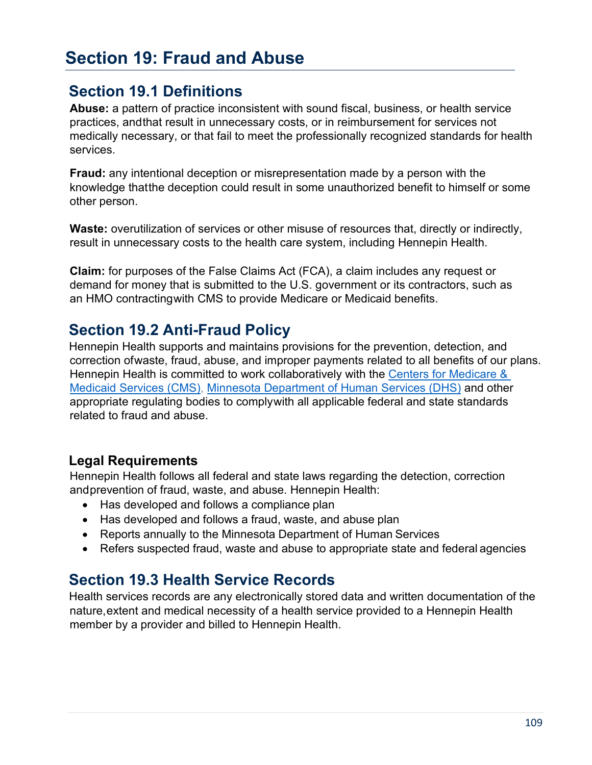# **Section 19: Fraud and Abuse**

## **Section 19.1 Definitions**

**Abuse:** a pattern of practice inconsistent with sound fiscal, business, or health service practices, andthat result in unnecessary costs, or in reimbursement for services not medically necessary, or that fail to meet the professionally recognized standards for health services.

**Fraud:** any intentional deception or misrepresentation made by a person with the knowledge thatthe deception could result in some unauthorized benefit to himself or some other person.

Waste: overutilization of services or other misuse of resources that, directly or indirectly, result in unnecessary costs to the health care system, including Hennepin Health.

**Claim:** for purposes of the False Claims Act (FCA), a claim includes any request or demand for money that is submitted to the U.S. government or its contractors, such as an HMO contractingwith CMS to provide Medicare or Medicaid benefits.

## **Section 19.2 Anti-Fraud Policy**

Hennepin Health supports and maintains provisions for the prevention, detection, and correction ofwaste, fraud, abuse, and improper payments related to all benefits of our plans. Hennepin Health is committed to work collaboratively with the [Centers for Medicare &](https://www.cms.gov/)  [Medicaid Services \(CMS\),](https://www.cms.gov/) [Minnesota Department of Human Services \(DHS\)](https://mn.gov/dhs/) and other appropriate regulating bodies to complywith all applicable federal and state standards related to fraud and abuse.

#### **Legal Requirements**

Hennepin Health follows all federal and state laws regarding the detection, correction andprevention of fraud, waste, and abuse. Hennepin Health:

- Has developed and follows a compliance plan
- Has developed and follows a fraud, waste, and abuse plan
- Reports annually to the Minnesota Department of Human Services
- Refers suspected fraud, waste and abuse to appropriate state and federal agencies

## **Section 19.3 Health Service Records**

Health services records are any electronically stored data and written documentation of the nature,extent and medical necessity of a health service provided to a Hennepin Health member by a provider and billed to Hennepin Health.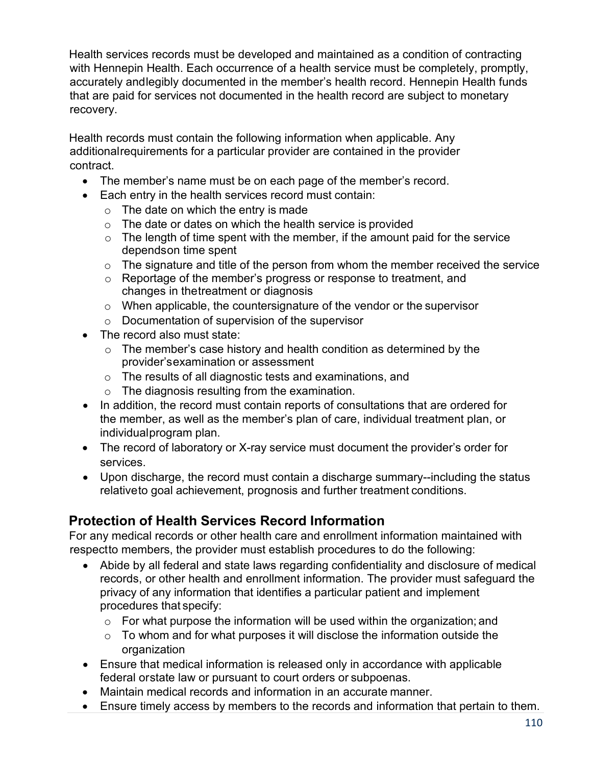Health services records must be developed and maintained as a condition of contracting with Hennepin Health. Each occurrence of a health service must be completely, promptly, accurately andlegibly documented in the member's health record. Hennepin Health funds that are paid for services not documented in the health record are subject to monetary recovery.

Health records must contain the following information when applicable. Any additionalrequirements for a particular provider are contained in the provider contract.

- The member's name must be on each page of the member's record.
- Each entry in the health services record must contain:
	- $\circ$  The date on which the entry is made
	- $\circ$  The date or dates on which the health service is provided
	- $\circ$  The length of time spent with the member, if the amount paid for the service dependson time spent
	- $\circ$  The signature and title of the person from whom the member received the service
	- o Reportage of the member's progress or response to treatment, and changes in thetreatment or diagnosis
	- $\circ$  When applicable, the countersignature of the vendor or the supervisor
	- o Documentation of supervision of the supervisor
- The record also must state:
	- $\circ$  The member's case history and health condition as determined by the provider'sexamination or assessment
	- o The results of all diagnostic tests and examinations, and
	- o The diagnosis resulting from the examination.
- In addition, the record must contain reports of consultations that are ordered for the member, as well as the member's plan of care, individual treatment plan, or individualprogram plan.
- The record of laboratory or X-ray service must document the provider's order for services.
- Upon discharge, the record must contain a discharge summary--including the status relativeto goal achievement, prognosis and further treatment conditions.

#### **Protection of Health Services Record Information**

For any medical records or other health care and enrollment information maintained with respectto members, the provider must establish procedures to do the following:

- Abide by all federal and state laws regarding confidentiality and disclosure of medical records, or other health and enrollment information. The provider must safeguard the privacy of any information that identifies a particular patient and implement procedures that specify:
	- $\circ$  For what purpose the information will be used within the organization; and
	- $\circ$  To whom and for what purposes it will disclose the information outside the organization
- Ensure that medical information is released only in accordance with applicable federal orstate law or pursuant to court orders or subpoenas.
- Maintain medical records and information in an accurate manner.
- Ensure timely access by members to the records and information that pertain to them.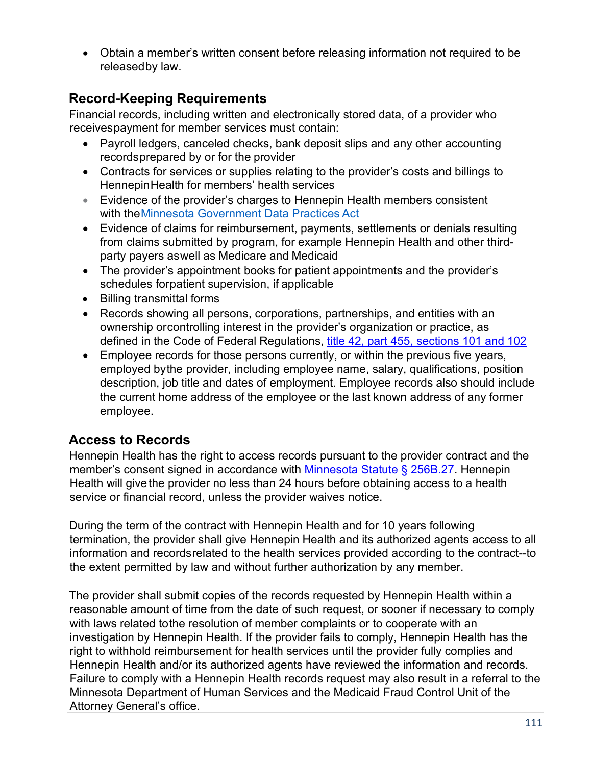• Obtain a member's written consent before releasing information not required to be releasedby law.

#### **Record-Keeping Requirements**

Financial records, including written and electronically stored data, of a provider who receivespayment for member services must contain:

- Payroll ledgers, canceled checks, bank deposit slips and any other accounting recordsprepared by or for the provider
- Contracts for services or supplies relating to the provider's costs and billings to HennepinHealth for members' health services
- Evidence of the provider's charges to Hennepin Health members consistent with theMinnesota Government [Data Practices Act](https://www.revisor.mn.gov/statutes/cite/13.01)
- Evidence of claims for reimbursement, payments, settlements or denials resulting from claims submitted by program, for example Hennepin Health and other thirdparty payers aswell as Medicare and Medicaid
- The provider's appointment books for patient appointments and the provider's schedules forpatient supervision, if applicable
- Billing transmittal forms
- Records showing all persons, corporations, partnerships, and entities with an ownership orcontrolling interest in the provider's organization or practice, as defined in the Code of Federal Regulations, title 42, part [455, sections 101](https://www.ecfr.gov/current/title-42/chapter-IV/subchapter-C/part-455/subpart-B) and 102
- Employee records for those persons currently, or within the previous five years, employed bythe provider, including employee name, salary, qualifications, position description, job title and dates of employment. Employee records also should include the current home address of the employee or the last known address of any former employee.

### **Access to Records**

Hennepin Health has the right to access records pursuant to the provider contract and the member's consent signed in accordance with [Minnesota Statute § 256B.27.](https://www.revisor.mn.gov/statutes/cite/256B.27) Hennepin Health will give the provider no less than 24 hours before obtaining access to a health service or financial record, unless the provider waives notice.

During the term of the contract with Hennepin Health and for 10 years following termination, the provider shall give Hennepin Health and its authorized agents access to all information and recordsrelated to the health services provided according to the contract--to the extent permitted by law and without further authorization by any member.

The provider shall submit copies of the records requested by Hennepin Health within a reasonable amount of time from the date of such request, or sooner if necessary to comply with laws related tothe resolution of member complaints or to cooperate with an investigation by Hennepin Health. If the provider fails to comply, Hennepin Health has the right to withhold reimbursement for health services until the provider fully complies and Hennepin Health and/or its authorized agents have reviewed the information and records. Failure to comply with a Hennepin Health records request may also result in a referral to the Minnesota Department of Human Services and the Medicaid Fraud Control Unit of the Attorney General's office.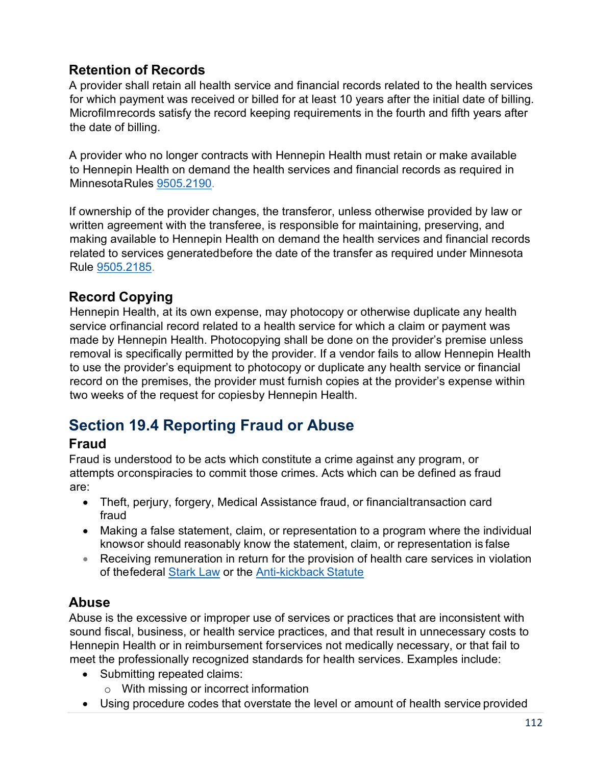## **Retention of Records**

A provider shall retain all health service and financial records related to the health services for which payment was received or billed for at least 10 years after the initial date of billing. Microfilmrecords satisfy the record keeping requirements in the fourth and fifth years after the date of billing.

A provider who no longer contracts with Hennepin Health must retain or make available to Hennepin Health on demand the health services and financial records as required in MinnesotaRules [9505.2190.](https://www.revisor.mn.gov/rules/9505.2190/)

If ownership of the provider changes, the transferor, unless otherwise provided by law or written agreement with the transferee, is responsible for maintaining, preserving, and making available to Hennepin Health on demand the health services and financial records related to services generatedbefore the date of the transfer as required under Minnesota Rule [9505.2185.](https://www.revisor.mn.gov/rules/9505.2185/)

### **Record Copying**

Hennepin Health, at its own expense, may photocopy or otherwise duplicate any health service orfinancial record related to a health service for which a claim or payment was made by Hennepin Health. Photocopying shall be done on the provider's premise unless removal is specifically permitted by the provider. If a vendor fails to allow Hennepin Health to use the provider's equipment to photocopy or duplicate any health service or financial record on the premises, the provider must furnish copies at the provider's expense within two weeks of the request for copiesby Hennepin Health.

# **Section 19.4 Reporting Fraud or Abuse**

#### **Fraud**

Fraud is understood to be acts which constitute a crime against any program, or attempts orconspiracies to commit those crimes. Acts which can be defined as fraud are:

- Theft, perjury, forgery, Medical Assistance fraud, or financialtransaction card fraud
- Making a false statement, claim, or representation to a program where the individual knowsor should reasonably know the statement, claim, or representation is false
- Receiving remuneration in return for the provision of health care services in violation of thefederal [Stark](https://www.cms.gov/medicare/fraud-and-abuse/physicianselfreferral/index.html) Law or the [Anti-kickback Statute](https://www.oig.hhs.gov/compliance/physician-education/01laws.asp)

#### **Abuse**

Abuse is the excessive or improper use of services or practices that are inconsistent with sound fiscal, business, or health service practices, and that result in unnecessary costs to Hennepin Health or in reimbursement forservices not medically necessary, or that fail to meet the professionally recognized standards for health services. Examples include:

- Submitting repeated claims:
	- o With missing or incorrect information
- Using procedure codes that overstate the level or amount of health service provided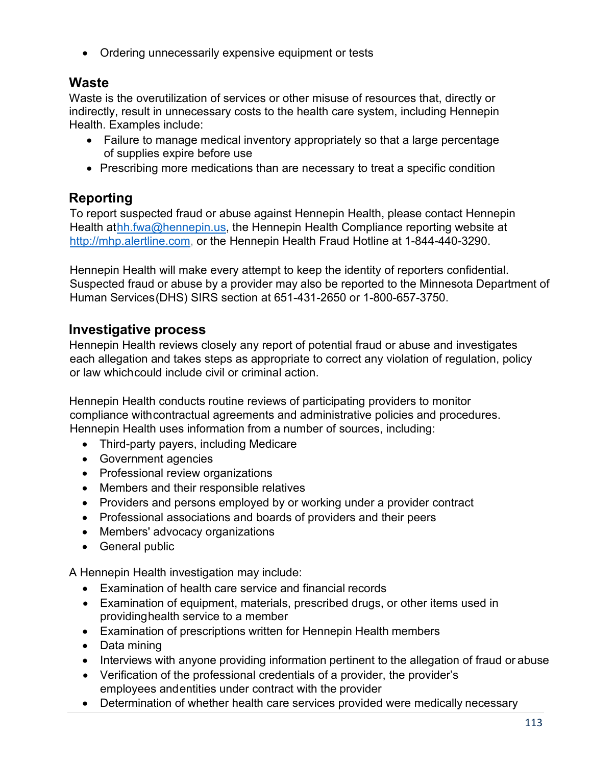• Ordering unnecessarily expensive equipment or tests

#### **Waste**

Waste is the overutilization of services or other misuse of resources that, directly or indirectly, result in unnecessary costs to the health care system, including Hennepin Health. Examples include:

- Failure to manage medical inventory appropriately so that a large percentage of supplies expire before use
- Prescribing more medications than are necessary to treat a specific condition

## **Reporting**

To report suspected fraud or abuse against Hennepin Health, please contact Hennepin Health a[thh.fwa@hennepin.us, t](mailto:hh.fwa@hennepin.us)he Hennepin Health Compliance reporting website at [http://mhp.alertline.com,](http://mhp.alertline.com/) or the Hennepin Health Fraud Hotline at 1-844-440-3290.

Hennepin Health will make every attempt to keep the identity of reporters confidential. Suspected fraud or abuse by a provider may also be reported to the Minnesota Department of Human Services (DHS) SIRS section at 651-431-2650 or 1-800-657-3750.

### **Investigative process**

Hennepin Health reviews closely any report of potential fraud or abuse and investigates each allegation and takes steps as appropriate to correct any violation of regulation, policy or law whichcould include civil or criminal action.

Hennepin Health conducts routine reviews of participating providers to monitor compliance withcontractual agreements and administrative policies and procedures. Hennepin Health uses information from a number of sources, including:

- Third-party payers, including Medicare
- Government agencies
- Professional review organizations
- Members and their responsible relatives
- Providers and persons employed by or working under a provider contract
- Professional associations and boards of providers and their peers
- Members' advocacy organizations
- General public

A Hennepin Health investigation may include:

- Examination of health care service and financial records
- Examination of equipment, materials, prescribed drugs, or other items used in providinghealth service to a member
- Examination of prescriptions written for Hennepin Health members
- Data mining
- Interviews with anyone providing information pertinent to the allegation of fraud or abuse
- Verification of the professional credentials of a provider, the provider's employees andentities under contract with the provider
- Determination of whether health care services provided were medically necessary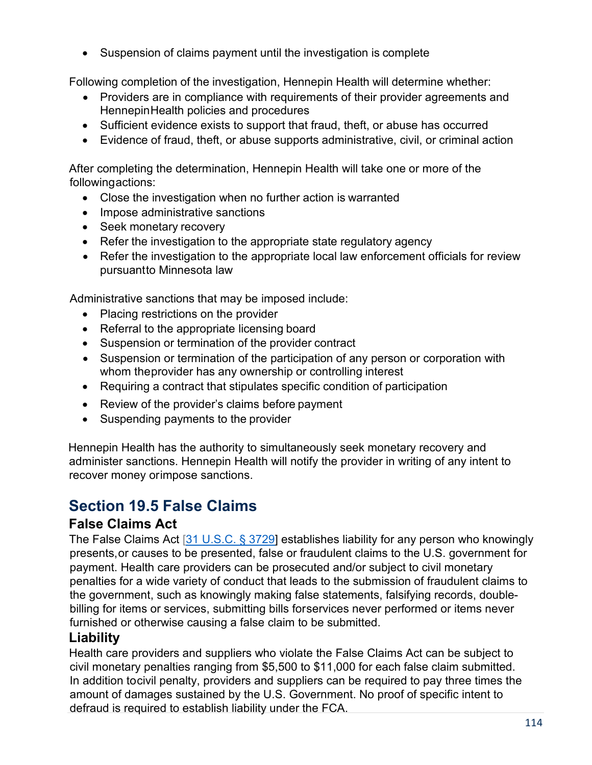• Suspension of claims payment until the investigation is complete

Following completion of the investigation, Hennepin Health will determine whether:

- Providers are in compliance with requirements of their provider agreements and HennepinHealth policies and procedures
- Sufficient evidence exists to support that fraud, theft, or abuse has occurred
- Evidence of fraud, theft, or abuse supports administrative, civil, or criminal action

After completing the determination, Hennepin Health will take one or more of the following actions:

- Close the investigation when no further action is warranted
- Impose administrative sanctions
- Seek monetary recovery
- Refer the investigation to the appropriate state regulatory agency
- Refer the investigation to the appropriate local law enforcement officials for review pursuantto Minnesota law

Administrative sanctions that may be imposed include:

- Placing restrictions on the provider
- Referral to the appropriate licensing board
- Suspension or termination of the provider contract
- Suspension or termination of the participation of any person or corporation with whom theprovider has any ownership or controlling interest
- Requiring a contract that stipulates specific condition of participation
- Review of the provider's claims before payment
- Suspending payments to the provider

Hennepin Health has the authority to simultaneously seek monetary recovery and administer sanctions. Hennepin Health will notify the provider in writing of any intent to recover money orimpose sanctions.

# **Section 19.5 False Claims**

#### **False Claims Act**

The False Claims Act [31 U.S.C. § 3729] establishes liability for any person who knowingly presents,or causes to be presented, false or fraudulent claims to the U.S. government for payment. Health care providers can be prosecuted and/or subject to civil monetary penalties for a wide variety of conduct that leads to the submission of fraudulent claims to the government, such as knowingly making false statements, falsifying records, doublebilling for items or services, submitting bills forservices never performed or items never furnished or otherwise causing a false claim to be submitted.

#### **Liability**

Health care providers and suppliers who violate the False Claims Act can be subject to civil monetary penalties ranging from \$5,500 to \$11,000 for each false claim submitted. In addition tocivil penalty, providers and suppliers can be required to pay three times the amount of damages sustained by the U.S. Government. No proof of specific intent to defraud is required to establish liability under the FCA.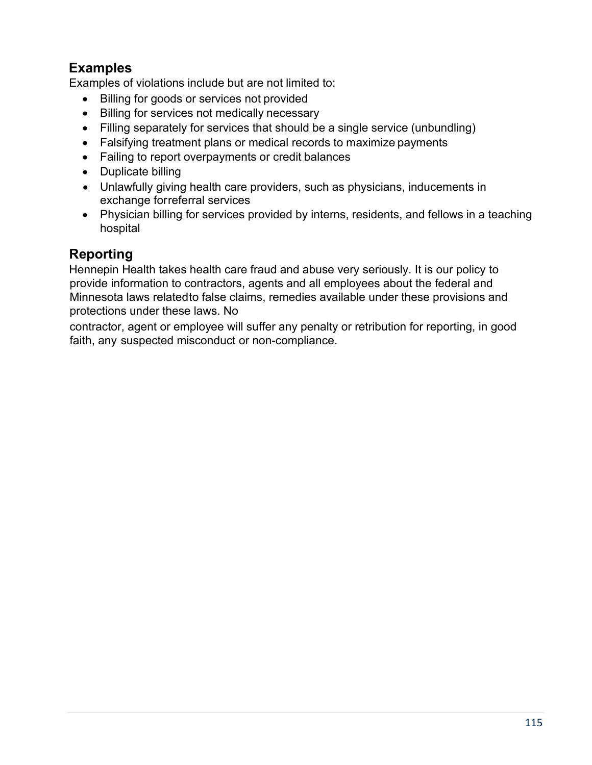## **Examples**

Examples of violations include but are not limited to:

- Billing for goods or services not provided
- Billing for services not medically necessary
- Filling separately for services that should be a single service (unbundling)
- Falsifying treatment plans or medical records to maximize payments
- Failing to report overpayments or credit balances
- Duplicate billing
- Unlawfully giving health care providers, such as physicians, inducements in exchange forreferral services
- Physician billing for services provided by interns, residents, and fellows in a teaching hospital

#### **Reporting**

Hennepin Health takes health care fraud and abuse very seriously. It is our policy to provide information to contractors, agents and all employees about the federal and Minnesota laws relatedto false claims, remedies available under these provisions and protections under these laws. No

contractor, agent or employee will suffer any penalty or retribution for reporting, in good faith, any suspected misconduct or non-compliance.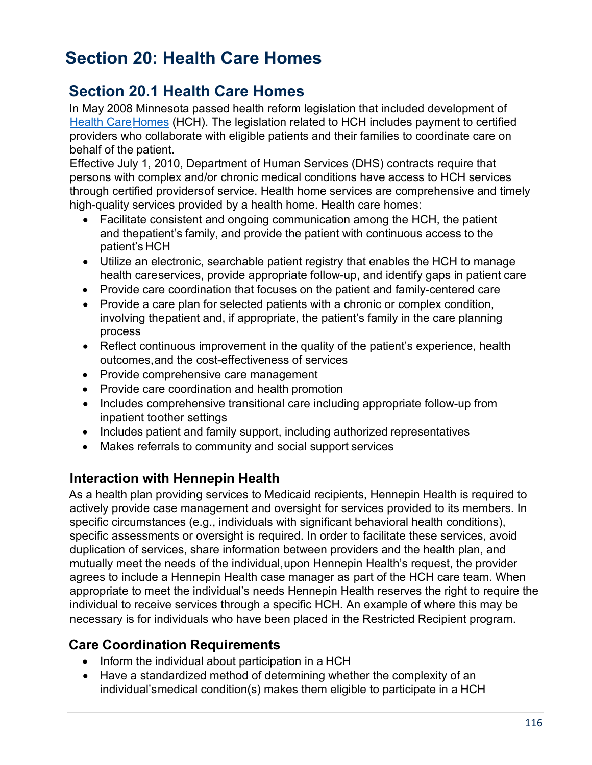## **Section 20.1 Health Care Homes**

In May 2008 Minnesota passed health reform legislation that included development of [Health CareHomes](http://www.dhs.state.mn.us/main/idcplg?IdcService=GET_DYNAMIC_CONVERSION&RevisionSelectionMethod=LatestReleased&dDocName=DHS16_151066) (HCH). The legislation related to HCH includes payment to certified providers who collaborate with eligible patients and their families to coordinate care on behalf of the patient.

Effective July 1, 2010, Department of Human Services (DHS) contracts require that persons with complex and/or chronic medical conditions have access to HCH services through certified providersof service. Health home services are comprehensive and timely high-quality services provided by a health home. Health care homes:

- Facilitate consistent and ongoing communication among the HCH, the patient and thepatient's family, and provide the patient with continuous access to the patient's HCH
- Utilize an electronic, searchable patient registry that enables the HCH to manage health careservices, provide appropriate follow-up, and identify gaps in patient care
- Provide care coordination that focuses on the patient and family-centered care
- Provide a care plan for selected patients with a chronic or complex condition, involving thepatient and, if appropriate, the patient's family in the care planning process
- Reflect continuous improvement in the quality of the patient's experience, health outcomes,and the cost-effectiveness of services
- Provide comprehensive care management
- Provide care coordination and health promotion
- Includes comprehensive transitional care including appropriate follow-up from inpatient toother settings
- Includes patient and family support, including authorized representatives
- Makes referrals to community and social support services

#### **Interaction with Hennepin Health**

As a health plan providing services to Medicaid recipients, Hennepin Health is required to actively provide case management and oversight for services provided to its members. In specific circumstances (e.g., individuals with significant behavioral health conditions), specific assessments or oversight is required. In order to facilitate these services, avoid duplication of services, share information between providers and the health plan, and mutually meet the needs of the individual,upon Hennepin Health's request, the provider agrees to include a Hennepin Health case manager as part of the HCH care team. When appropriate to meet the individual's needs Hennepin Health reserves the right to require the individual to receive services through a specific HCH. An example of where this may be necessary is for individuals who have been placed in the Restricted Recipient program.

#### **Care Coordination Requirements**

- Inform the individual about participation in a HCH
- Have a standardized method of determining whether the complexity of an individual'smedical condition(s) makes them eligible to participate in a HCH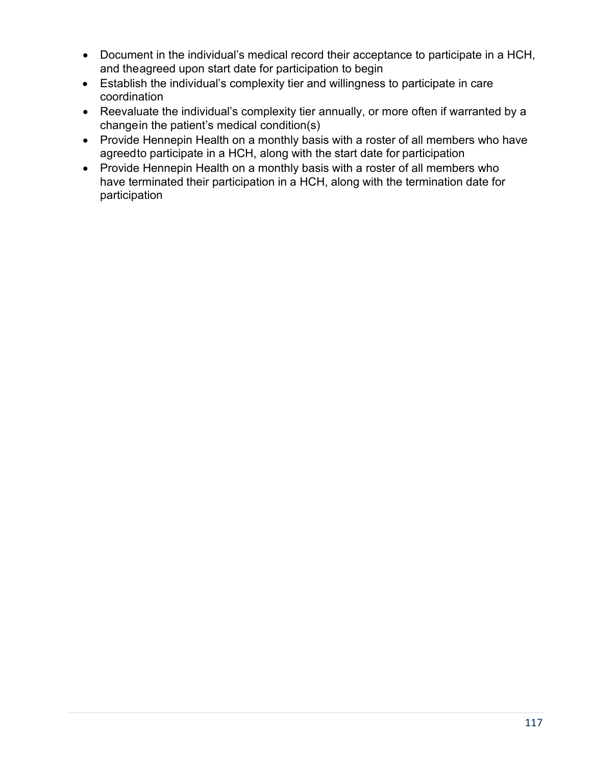- Document in the individual's medical record their acceptance to participate in a HCH, and theagreed upon start date for participation to begin
- Establish the individual's complexity tier and willingness to participate in care coordination
- Reevaluate the individual's complexity tier annually, or more often if warranted by a changein the patient's medical condition(s)
- Provide Hennepin Health on a monthly basis with a roster of all members who have agreedto participate in a HCH, along with the start date for participation
- Provide Hennepin Health on a monthly basis with a roster of all members who have terminated their participation in a HCH, along with the termination date for participation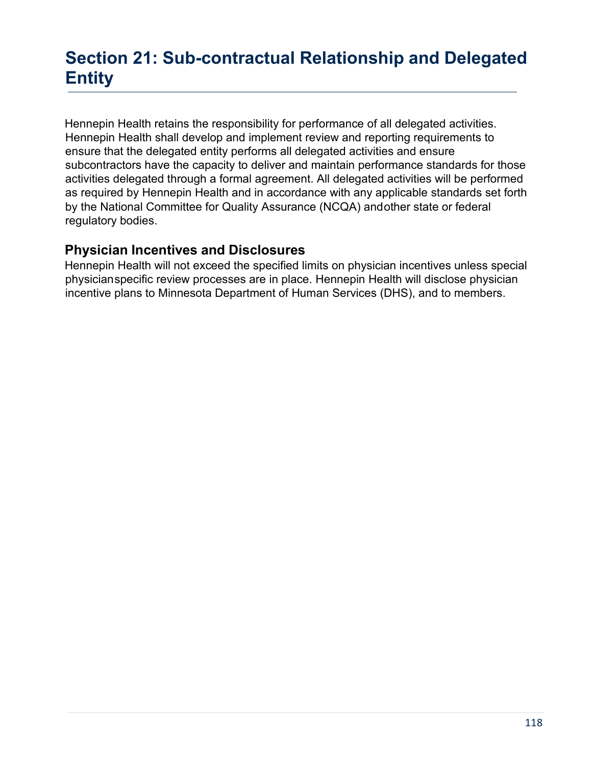# **Section 21: Sub-contractual Relationship and Delegated Entity**

Hennepin Health retains the responsibility for performance of all delegated activities. Hennepin Health shall develop and implement review and reporting requirements to ensure that the delegated entity performs all delegated activities and ensure subcontractors have the capacity to deliver and maintain performance standards for those activities delegated through a formal agreement. All delegated activities will be performed as required by Hennepin Health and in accordance with any applicable standards set forth by the National Committee for Quality Assurance (NCQA) andother state or federal regulatory bodies.

#### **Physician Incentives and Disclosures**

Hennepin Health will not exceed the specified limits on physician incentives unless special physicianspecific review processes are in place. Hennepin Health will disclose physician incentive plans to Minnesota Department of Human Services (DHS), and to members.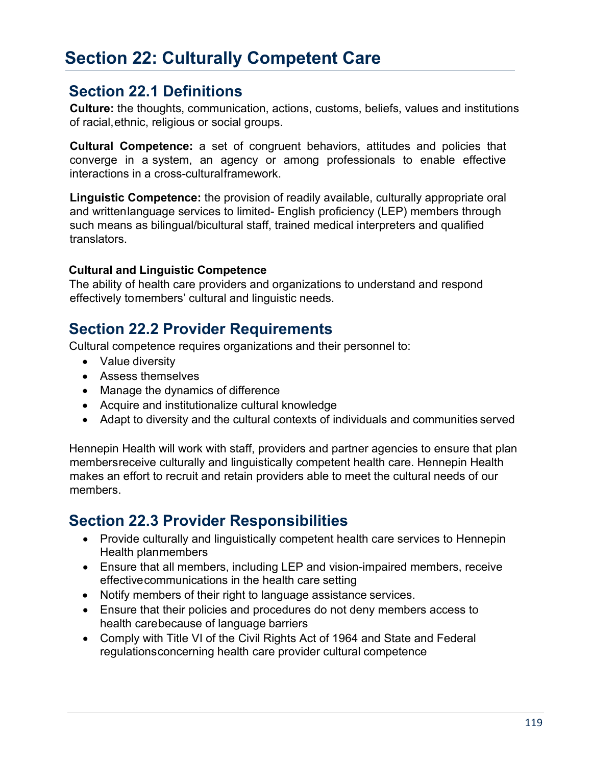# **Section 22: Culturally Competent Care**

## **Section 22.1 Definitions**

**Culture:** the thoughts, communication, actions, customs, beliefs, values and institutions of racial,ethnic, religious or social groups.

**Cultural Competence:** a set of congruent behaviors, attitudes and policies that converge in a system, an agency or among professionals to enable effective interactions in a cross-culturalframework.

**Linguistic Competence:** the provision of readily available, culturally appropriate oral and writtenlanguage services to limited- English proficiency (LEP) members through such means as bilingual/bicultural staff, trained medical interpreters and qualified translators.

#### **Cultural and Linguistic Competence**

The ability of health care providers and organizations to understand and respond effectively tomembers' cultural and linguistic needs.

## **Section 22.2 Provider Requirements**

Cultural competence requires organizations and their personnel to:

- Value diversity
- Assess themselves
- Manage the dynamics of difference
- Acquire and institutionalize cultural knowledge
- Adapt to diversity and the cultural contexts of individuals and communities served

Hennepin Health will work with staff, providers and partner agencies to ensure that plan membersreceive culturally and linguistically competent health care. Hennepin Health makes an effort to recruit and retain providers able to meet the cultural needs of our members.

## **Section 22.3 Provider Responsibilities**

- Provide culturally and linguistically competent health care services to Hennepin Health planmembers
- Ensure that all members, including LEP and vision-impaired members, receive effectivecommunications in the health care setting
- Notify members of their right to language assistance services.
- Ensure that their policies and procedures do not deny members access to health carebecause of language barriers
- Comply with Title VI of the Civil Rights Act of 1964 and State and Federal regulationsconcerning health care provider cultural competence